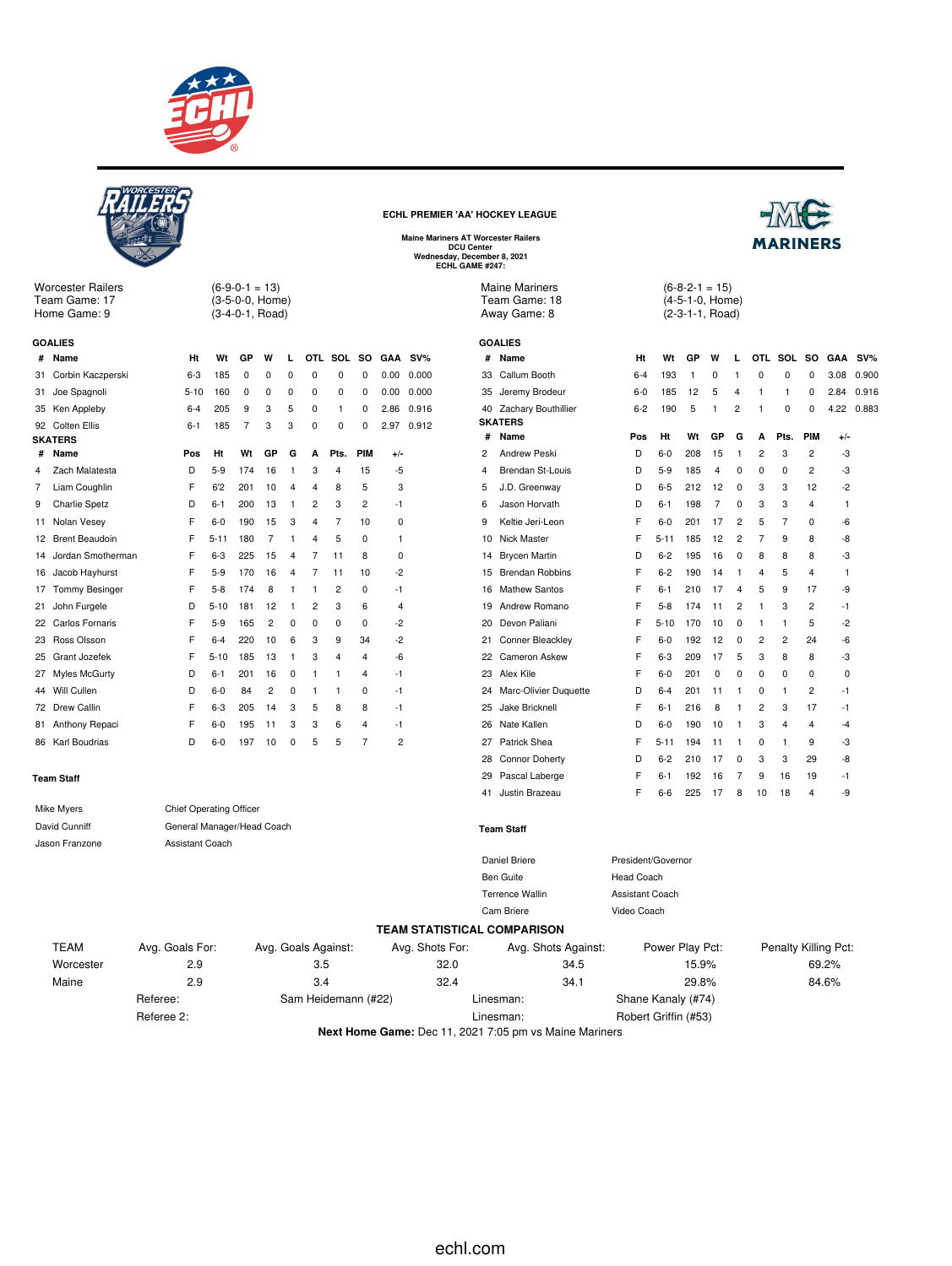



**Next Home Game:** Dec 11, 2021 7:05 pm vs Maine Mariners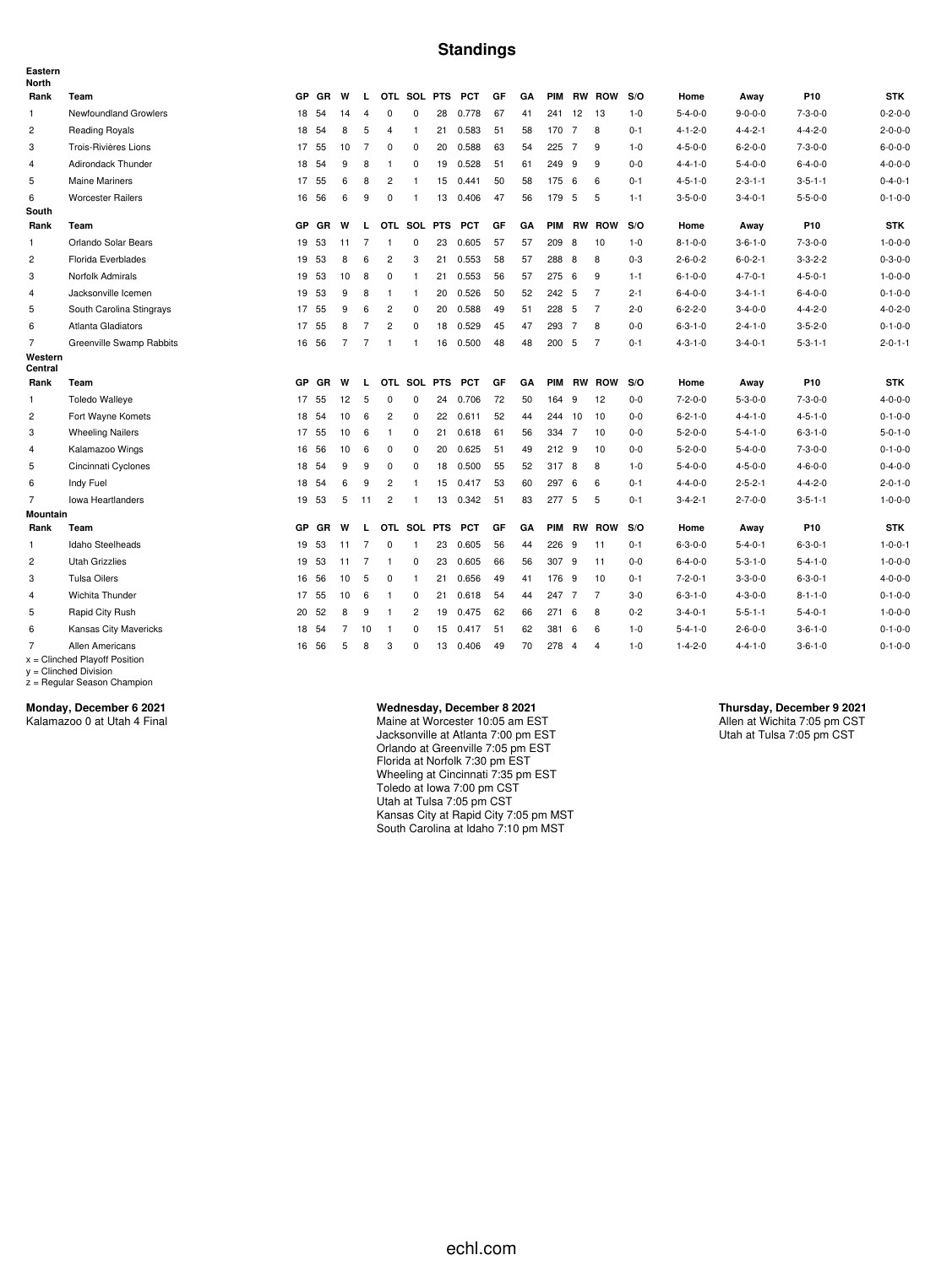#### **Standings**

| Eastern<br><b>North</b> |                                                    |           |           |                |                |                |                |    |            |    |    |            |     |                |         |                 |                 |                 |                 |
|-------------------------|----------------------------------------------------|-----------|-----------|----------------|----------------|----------------|----------------|----|------------|----|----|------------|-----|----------------|---------|-----------------|-----------------|-----------------|-----------------|
| Rank                    | Team                                               | <b>GP</b> | <b>GR</b> | W              | L.             |                | OTL SOL PTS    |    | <b>PCT</b> | GF | GA | PIM        |     | <b>RW ROW</b>  | S/O     | Home            | Away            | P <sub>10</sub> | <b>STK</b>      |
| 1                       | Newfoundland Growlers                              | 18        | 54        | 14             | 4              | $\mathbf 0$    | 0              | 28 | 0.778      | 67 | 41 | 241        | 12  | 13             | $1 - 0$ | $5 - 4 - 0 - 0$ | $9 - 0 - 0 - 0$ | $7 - 3 - 0 - 0$ | $0 - 2 - 0 - 0$ |
| 2                       | Reading Royals                                     | 18        | 54        | 8              | 5              | $\overline{4}$ | $\mathbf{1}$   | 21 | 0.583      | 51 | 58 | 170 7      |     | 8              | $0 - 1$ | $4 - 1 - 2 - 0$ | $4 - 4 - 2 - 1$ | $4 - 4 - 2 - 0$ | $2 - 0 - 0 - 0$ |
| 3                       | Trois-Rivières Lions                               |           | 17 55     | 10             | $\overline{7}$ | $\mathbf 0$    | $\mathbf 0$    | 20 | 0.588      | 63 | 54 | 225 7      |     | 9              | $1 - 0$ | $4 - 5 - 0 - 0$ | $6 - 2 - 0 - 0$ | $7 - 3 - 0 - 0$ | $6 - 0 - 0 - 0$ |
| 4                       | Adirondack Thunder                                 | 18        | 54        | 9              | 8              | -1             | 0              | 19 | 0.528      | 51 | 61 | 249 9      |     | 9              | $0 - 0$ | $4 - 4 - 1 - 0$ | $5 - 4 - 0 - 0$ | $6 - 4 - 0 - 0$ | $4 - 0 - 0 - 0$ |
| 5                       | <b>Maine Mariners</b>                              | 17        | 55        | 6              | 8              | $\overline{2}$ | -1             | 15 | 0.441      | 50 | 58 | 175        | - 6 | 6              | $0 - 1$ | $4 - 5 - 1 - 0$ | $2 - 3 - 1 - 1$ | $3 - 5 - 1 - 1$ | $0 - 4 - 0 - 1$ |
| 6                       | <b>Worcester Railers</b>                           | 16        | 56        | 6              | 9              | $\mathbf 0$    | $\mathbf{1}$   | 13 | 0.406      | 47 | 56 | 179        | 5   | 5              | $1 - 1$ | $3 - 5 - 0 - 0$ | $3 - 4 - 0 - 1$ | $5 - 5 - 0 - 0$ | $0 - 1 - 0 - 0$ |
| South                   |                                                    |           |           |                |                |                |                |    |            |    |    |            |     |                |         |                 |                 |                 |                 |
| Rank                    | Team                                               | GP        | GR        | W              | L              |                | OTL SOL PTS    |    | <b>PCT</b> | GF | GA | <b>PIM</b> |     | <b>RW ROW</b>  | S/O     | Home            | Away            | P <sub>10</sub> | <b>STK</b>      |
| $\mathbf{1}$            | Orlando Solar Bears                                | 19        | 53        | 11             | $\overline{7}$ | $\overline{1}$ | 0              | 23 | 0.605      | 57 | 57 | 209        | 8   | 10             | $1 - 0$ | $8 - 1 - 0 - 0$ | $3 - 6 - 1 - 0$ | $7 - 3 - 0 - 0$ | $1 - 0 - 0 - 0$ |
| $\overline{c}$          | Florida Everblades                                 | 19        | 53        | 8              | 6              | $\overline{c}$ | 3              | 21 | 0.553      | 58 | 57 | 288        | 8   | 8              | $0 - 3$ | $2 - 6 - 0 - 2$ | $6 - 0 - 2 - 1$ | $3 - 3 - 2 - 2$ | $0 - 3 - 0 - 0$ |
| 3                       | Norfolk Admirals                                   | 19        | 53        | 10             | 8              | 0              | $\mathbf{1}$   | 21 | 0.553      | 56 | 57 | 275 6      |     | 9              | $1 - 1$ | $6 - 1 - 0 - 0$ | $4 - 7 - 0 - 1$ | $4 - 5 - 0 - 1$ | $1 - 0 - 0 - 0$ |
| $\overline{4}$          | Jacksonville Icemen                                | 19        | 53        | 9              | 8              | $\mathbf{1}$   | $\mathbf{1}$   | 20 | 0.526      | 50 | 52 | 242 5      |     | $\overline{7}$ | $2 - 1$ | $6 - 4 - 0 - 0$ | $3 - 4 - 1 - 1$ | $6 - 4 - 0 - 0$ | $0 - 1 - 0 - 0$ |
| 5                       | South Carolina Stingrays                           | 17        | 55        | 9              | 6              | $\overline{c}$ | 0              | 20 | 0.588      | 49 | 51 | 228 5      |     | $\overline{7}$ | $2 - 0$ | $6 - 2 - 2 - 0$ | $3 - 4 - 0 - 0$ | $4 - 4 - 2 - 0$ | $4 - 0 - 2 - 0$ |
| 6                       | Atlanta Gladiators                                 | 17        | 55        | 8              | 7              | $\overline{c}$ | $\mathbf 0$    | 18 | 0.529      | 45 | 47 | 293        | -7  | 8              | $0 - 0$ | $6 - 3 - 1 - 0$ | $2 - 4 - 1 - 0$ | $3 - 5 - 2 - 0$ | $0 - 1 - 0 - 0$ |
| $\overline{7}$          | Greenville Swamp Rabbits                           | 16        | 56        | $\overline{7}$ | $\overline{7}$ | $\overline{1}$ | $\mathbf{1}$   | 16 | 0.500      | 48 | 48 | 200 5      |     | $\overline{7}$ | $0 - 1$ | $4 - 3 - 1 - 0$ | $3 - 4 - 0 - 1$ | $5 - 3 - 1 - 1$ | $2 - 0 - 1 - 1$ |
| Western<br>Central      |                                                    |           |           |                |                |                |                |    |            |    |    |            |     |                |         |                 |                 |                 |                 |
| Rank                    | Team                                               | GP        | GR        | W              | L.             |                | OTL SOL PTS    |    | <b>PCT</b> | GF | GA | PIM        |     | <b>RW ROW</b>  | S/O     | Home            | Away            | P <sub>10</sub> | <b>STK</b>      |
| $\mathbf{1}$            | <b>Toledo Walleye</b>                              | 17        | 55        | 12             | 5              | $^{\circ}$     | $\mathbf 0$    | 24 | 0.706      | 72 | 50 | 164 9      |     | 12             | $0 - 0$ | $7 - 2 - 0 - 0$ | $5 - 3 - 0 - 0$ | $7 - 3 - 0 - 0$ | $4 - 0 - 0 - 0$ |
| $\overline{2}$          | Fort Wayne Komets                                  | 18        | 54        | 10             | 6              | $\overline{2}$ | $\mathbf 0$    | 22 | 0.611      | 52 | 44 | 244 10     |     | 10             | $0-0$   | $6 - 2 - 1 - 0$ | $4 - 4 - 1 - 0$ | $4 - 5 - 1 - 0$ | $0 - 1 - 0 - 0$ |
| 3                       | <b>Wheeling Nailers</b>                            | 17        | 55        | 10             | 6              | $\overline{1}$ | 0              | 21 | 0.618      | 61 | 56 | 334 7      |     | 10             | $0-0$   | $5 - 2 - 0 - 0$ | $5 - 4 - 1 - 0$ | $6 - 3 - 1 - 0$ | $5 - 0 - 1 - 0$ |
| 4                       | Kalamazoo Wings                                    | 16        | 56        | 10             | 6              | $\mathbf 0$    | 0              | 20 | 0.625      | 51 | 49 | 212 9      |     | 10             | $0 - 0$ | $5 - 2 - 0 - 0$ | $5 - 4 - 0 - 0$ | $7 - 3 - 0 - 0$ | $0 - 1 - 0 - 0$ |
| 5                       | Cincinnati Cyclones                                | 18        | 54        | 9              | 9              | 0              | 0              | 18 | 0.500      | 55 | 52 | 317        | 8   | 8              | $1 - 0$ | $5 - 4 - 0 - 0$ | $4 - 5 - 0 - 0$ | $4 - 6 - 0 - 0$ | $0 - 4 - 0 - 0$ |
| 6                       | Indy Fuel                                          |           | 18 54     | 6              | 9              | $\overline{c}$ | $\mathbf{1}$   | 15 | 0.417      | 53 | 60 | 297        | 6   | 6              | $0 - 1$ | $4 - 4 - 0 - 0$ | $2 - 5 - 2 - 1$ | $4 - 4 - 2 - 0$ | $2 - 0 - 1 - 0$ |
| $\overline{7}$          | <b>Iowa Heartlanders</b>                           |           | 19 53     | 5              | 11             | $\overline{2}$ | $\mathbf{1}$   | 13 | 0.342      | 51 | 83 | 277 5      |     | 5              | $0 - 1$ | $3 - 4 - 2 - 1$ | $2 - 7 - 0 - 0$ | $3 - 5 - 1 - 1$ | $1 - 0 - 0 - 0$ |
| <b>Mountain</b>         |                                                    |           |           |                |                |                |                |    |            |    |    |            |     |                |         |                 |                 |                 |                 |
| Rank                    | Team                                               | <b>GP</b> | <b>GR</b> | W              | L              |                | OTL SOL PTS    |    | <b>PCT</b> | GF | GΑ | <b>PIM</b> | RW  | <b>ROW</b>     | S/O     | Home            | Away            | P10             | <b>STK</b>      |
| $\mathbf{1}$            | Idaho Steelheads                                   | 19        | 53        | 11             | $\overline{7}$ | $\mathbf 0$    | $\mathbf{1}$   | 23 | 0.605      | 56 | 44 | 226 9      |     | 11             | $0 - 1$ | $6 - 3 - 0 - 0$ | $5 - 4 - 0 - 1$ | $6 - 3 - 0 - 1$ | $1 - 0 - 0 - 1$ |
| $\overline{c}$          | <b>Utah Grizzlies</b>                              | 19        | 53        | 11             | $\overline{7}$ | $\mathbf{1}$   | 0              | 23 | 0.605      | 66 | 56 | 307 9      |     | 11             | $0-0$   | $6 - 4 - 0 - 0$ | $5 - 3 - 1 - 0$ | $5 - 4 - 1 - 0$ | $1 - 0 - 0 - 0$ |
| 3                       | <b>Tulsa Oilers</b>                                | 16        | 56        | 10             | -5             | $\mathbf 0$    | $\mathbf{1}$   | 21 | 0.656      | 49 | 41 | 176        | 9   | 10             | $0 - 1$ | $7 - 2 - 0 - 1$ | $3 - 3 - 0 - 0$ | $6 - 3 - 0 - 1$ | $4 - 0 - 0 - 0$ |
| 4                       | Wichita Thunder                                    |           | 17 55     | 10             | 6              | $\mathbf{1}$   | 0              | 21 | 0.618      | 54 | 44 | 247 7      |     | $\overline{7}$ | $3 - 0$ | $6 - 3 - 1 - 0$ | $4 - 3 - 0 - 0$ | $8 - 1 - 1 - 0$ | $0 - 1 - 0 - 0$ |
| 5                       | Rapid City Rush                                    | 20        | 52        | 8              | 9              | $\mathbf{1}$   | $\overline{2}$ | 19 | 0.475      | 62 | 66 | 271        | 6   | 8              | $0 - 2$ | $3 - 4 - 0 - 1$ | $5 - 5 - 1 - 1$ | $5 - 4 - 0 - 1$ | $1 - 0 - 0 - 0$ |
| 6                       | Kansas City Mavericks                              |           | 18 54     | $\overline{7}$ | 10             | $\mathbf{1}$   | 0              | 15 | 0.417      | 51 | 62 | 381        | 6   | 6              | $1 - 0$ | $5 - 4 - 1 - 0$ | $2 - 6 - 0 - 0$ | $3 - 6 - 1 - 0$ | $0 - 1 - 0 - 0$ |
| $\overline{7}$          | Allen Americans<br>$x =$ Clinched Plavoff Position |           | 16 56     | 5              | 8              | 3              | $\Omega$       | 13 | 0.406      | 49 | 70 | 278 4      |     | $\overline{4}$ | $1 - 0$ | $1 - 4 - 2 - 0$ | $4 - 4 - 1 - 0$ | $3 - 6 - 1 - 0$ | $0 - 1 - 0 - 0$ |

x = Clinched Playoff Position y = Clinched Division z = Regular Season Champion

**Monday, December 6 2021**

Kalamazoo 0 at Utah 4 Final

#### **Wednesday, December 8 2021**

Maine at Worcester 10:05 am EST Jacksonville at Atlanta 7:00 pm EST Orlando at Greenville 7:05 pm EST Florida at Norfolk 7:30 pm EST Wheeling at Cincinnati 7:35 pm EST Toledo at Iowa 7:00 pm CST Utah at Tulsa 7:05 pm CST Kansas City at Rapid City 7:05 pm MST South Carolina at Idaho 7:10 pm MST

**Thursday, December 9 2021** Allen at Wichita 7:05 pm CST Utah at Tulsa 7:05 pm CST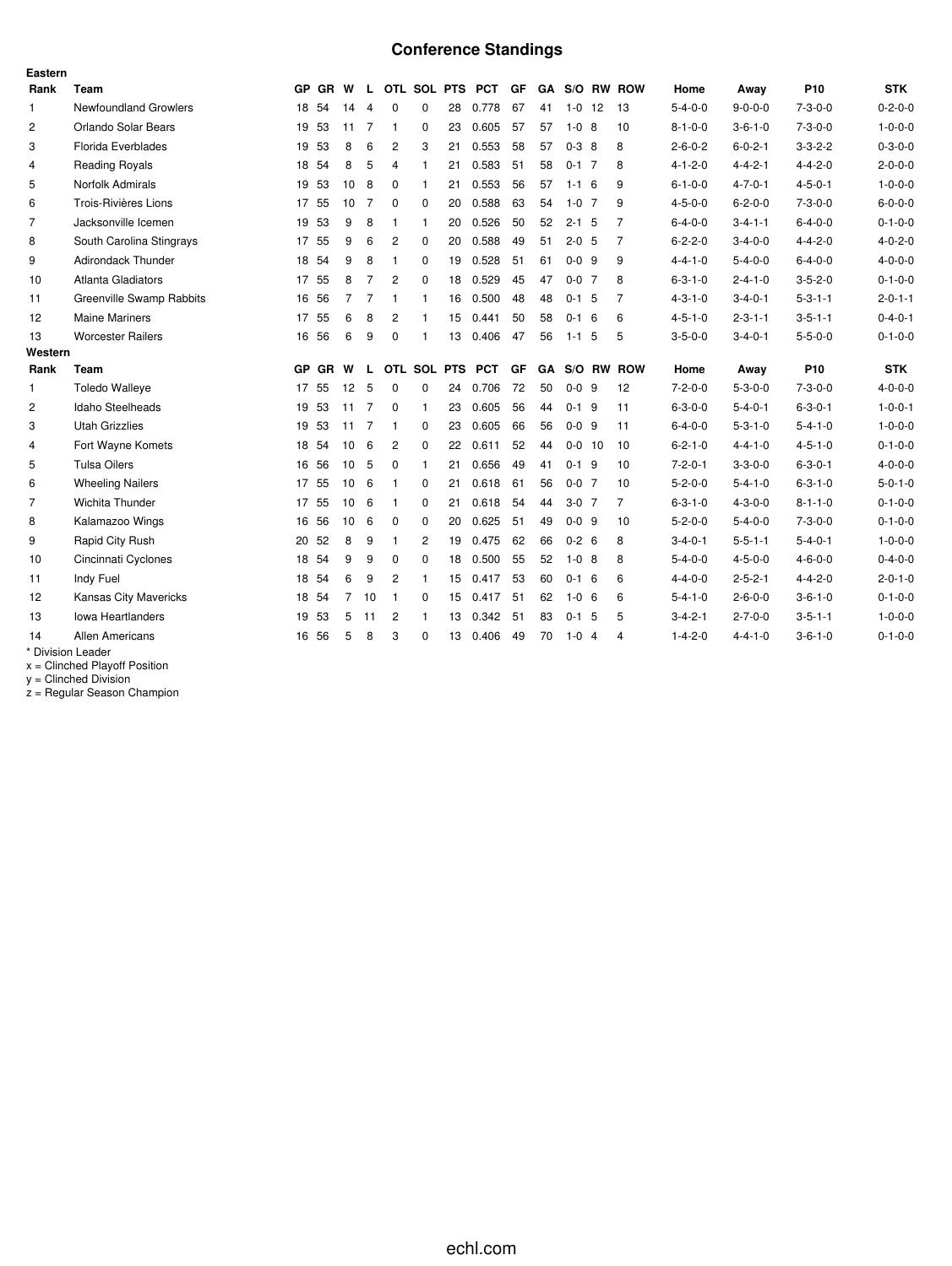## **Conference Standings**

| Eastern        |                          |    |         |                 |                |                |                |    |                   |    |           |             |                |                |                 |                 |                 |                 |
|----------------|--------------------------|----|---------|-----------------|----------------|----------------|----------------|----|-------------------|----|-----------|-------------|----------------|----------------|-----------------|-----------------|-----------------|-----------------|
| Rank           | Team                     |    | GP GR W |                 |                |                |                |    | L OTL SOL PTS PCT | GF |           |             |                | GA S/O RW ROW  | Home            | Away            | P <sub>10</sub> | <b>STK</b>      |
| $\mathbf{1}$   | Newfoundland Growlers    |    | 18 54   | 14              | $\overline{4}$ | $\mathbf 0$    | $\mathbf 0$    | 28 | 0.778             | 67 | 41        | $1 - 0$     | 12             | -13            | $5 - 4 - 0 - 0$ | $9 - 0 - 0 - 0$ | $7 - 3 - 0 - 0$ | $0 - 2 - 0 - 0$ |
| $\overline{c}$ | Orlando Solar Bears      |    | 19 53   | 11              | 7              | $\mathbf{1}$   | $\mathbf 0$    | 23 | 0.605             | 57 | 57        | $1 - 0$ 8   |                | 10             | $8 - 1 - 0 - 0$ | $3 - 6 - 1 - 0$ | $7 - 3 - 0 - 0$ | $1 - 0 - 0 - 0$ |
| 3              | Florida Everblades       | 19 | 53      | 8               | 6              | $\overline{2}$ | 3              | 21 | 0.553             | 58 | 57        | $0 - 3 = 8$ |                | 8              | $2 - 6 - 0 - 2$ | $6 - 0 - 2 - 1$ | $3 - 3 - 2 - 2$ | $0 - 3 - 0 - 0$ |
| $\overline{4}$ | <b>Reading Royals</b>    |    | 18 54   | 8               | 5              | 4              | 1              | 21 | 0.583             | 51 | 58        | $0-1$ 7     |                | 8              | $4 - 1 - 2 - 0$ | $4 - 4 - 2 - 1$ | $4 - 4 - 2 - 0$ | $2 - 0 - 0 - 0$ |
| 5              | Norfolk Admirals         | 19 | 53      | 10              | 8              | 0              | $\mathbf{1}$   | 21 | 0.553             | 56 | 57        | $1 - 1 = 6$ |                | 9              | $6 - 1 - 0 - 0$ | $4 - 7 - 0 - 1$ | $4 - 5 - 0 - 1$ | $1 - 0 - 0 - 0$ |
| 6              | Trois-Rivières Lions     |    | 17 55   | 10 <sup>°</sup> | 7              | 0              | $\Omega$       | 20 | 0.588             | 63 | 54        | $1 - 0$ 7   |                | 9              | $4 - 5 - 0 - 0$ | $6 - 2 - 0 - 0$ | $7 - 3 - 0 - 0$ | $6 - 0 - 0 - 0$ |
| $\overline{7}$ | Jacksonville Icemen      |    | 19 53   | 9               | 8              | 1              | $\mathbf{1}$   | 20 | 0.526             | 50 | 52        | $2 - 1$ 5   |                | $\overline{7}$ | $6 - 4 - 0 - 0$ | $3 - 4 - 1 - 1$ | $6 - 4 - 0 - 0$ | $0 - 1 - 0 - 0$ |
| 8              | South Carolina Stingrays |    | 17 55   | 9               | 6              | $\overline{c}$ | $\mathbf 0$    | 20 | 0.588             | 49 | 51        | $2 - 0$ 5   |                | 7              | $6 - 2 - 2 - 0$ | $3 - 4 - 0 - 0$ | $4 - 4 - 2 - 0$ | $4 - 0 - 2 - 0$ |
| 9              | Adirondack Thunder       |    | 18 54   | 9               | 8              | $\mathbf{1}$   | $\mathbf 0$    | 19 | 0.528             | 51 | 61        | $0 - 0$ 9   |                | 9              | $4 - 4 - 1 - 0$ | $5 - 4 - 0 - 0$ | $6 - 4 - 0 - 0$ | $4 - 0 - 0 - 0$ |
| 10             | Atlanta Gladiators       |    | 17 55   | 8               | $\overline{7}$ | 2              | $\mathbf 0$    | 18 | 0.529             | 45 | 47        | $0 - 0$ 7   |                | 8              | $6 - 3 - 1 - 0$ | $2 - 4 - 1 - 0$ | $3 - 5 - 2 - 0$ | $0 - 1 - 0 - 0$ |
| 11             | Greenville Swamp Rabbits |    | 16 56   | $\overline{7}$  | 7              | 1              | $\mathbf{1}$   | 16 | 0.500             | 48 | 48        | $0 - 1$ 5   |                | $\overline{7}$ | $4 - 3 - 1 - 0$ | $3 - 4 - 0 - 1$ | $5 - 3 - 1 - 1$ | $2 - 0 - 1 - 1$ |
| 12             | <b>Maine Mariners</b>    | 17 | 55      | 6               | 8              | 2              | 1              | 15 | 0.441             | 50 | 58        | $0 - 1$     | -6             | 6              | $4 - 5 - 1 - 0$ | $2 - 3 - 1 - 1$ | $3 - 5 - 1 - 1$ | $0 - 4 - 0 - 1$ |
| 13             | <b>Worcester Railers</b> |    | 16 56   | 6               | 9              | $\mathbf 0$    | 1              | 13 | 0.406             | 47 | 56        | $1 - 1$     | 5              | 5              | $3 - 5 - 0 - 0$ | $3 - 4 - 0 - 1$ | $5 - 5 - 0 - 0$ | $0 - 1 - 0 - 0$ |
| Western        |                          |    |         |                 |                |                |                |    |                   |    |           |             |                |                |                 |                 |                 |                 |
| Rank           | Team                     |    | GP GR   | W               | $\mathbf{L}$   |                | OTL SOL PTS    |    | <b>PCT</b>        | GF | <b>GA</b> |             |                | S/O RW ROW     | Home            | Away            | P <sub>10</sub> | <b>STK</b>      |
| $\mathbf{1}$   | <b>Toledo Walleve</b>    |    | 17 55   | 12              | 5              | 0              | 0              | 24 | 0.706             | 72 | 50        | $0 - 0$ 9   |                | 12             | $7 - 2 - 0 - 0$ | $5 - 3 - 0 - 0$ | $7 - 3 - 0 - 0$ | $4 - 0 - 0 - 0$ |
| $\overline{2}$ | Idaho Steelheads         | 19 | 53      | 11              | 7              | 0              | $\mathbf{1}$   | 23 | 0.605             | 56 | 44        | $0-1$ 9     |                | 11             | $6 - 3 - 0 - 0$ | $5 - 4 - 0 - 1$ | $6 - 3 - 0 - 1$ | $1 - 0 - 0 - 1$ |
| 3              | <b>Utah Grizzlies</b>    |    | 19 53   | 11              | $\overline{7}$ | 1              | 0              | 23 | 0.605             | 66 | 56        | $0 - 0$ 9   |                | 11             | $6 - 4 - 0 - 0$ | $5 - 3 - 1 - 0$ | $5 - 4 - 1 - 0$ | $1 - 0 - 0 - 0$ |
| 4              | Fort Wayne Komets        | 18 | 54      | 10              | 6              | 2              | $\mathbf 0$    | 22 | 0.611             | 52 | 44        | $0 - 0$ 10  |                | 10             | $6 - 2 - 1 - 0$ | $4 - 4 - 1 - 0$ | $4 - 5 - 1 - 0$ | $0 - 1 - 0 - 0$ |
| 5              | <b>Tulsa Oilers</b>      |    | 16 56   | 10              | 5              | 0              | $\overline{1}$ | 21 | 0.656             | 49 | 41        | $0-1$ 9     |                | 10             | $7 - 2 - 0 - 1$ | $3 - 3 - 0 - 0$ | $6 - 3 - 0 - 1$ | $4 - 0 - 0 - 0$ |
| 6              | <b>Wheeling Nailers</b>  |    | 17 55   | 10              | 6              | -1             | $\mathbf 0$    | 21 | 0.618             | 61 | 56        | $0 - 0$ 7   |                | 10             | $5 - 2 - 0 - 0$ | $5 - 4 - 1 - 0$ | $6 - 3 - 1 - 0$ | $5 - 0 - 1 - 0$ |
| $\overline{7}$ | Wichita Thunder          | 17 | 55      | 10              | 6              | $\mathbf{1}$   | $\Omega$       | 21 | 0.618             | 54 | 44        | $3-0$ 7     |                | 7              | $6 - 3 - 1 - 0$ | $4 - 3 - 0 - 0$ | $8 - 1 - 1 - 0$ | $0 - 1 - 0 - 0$ |
| 8              | Kalamazoo Wings          |    | 16 56   | 10              | 6              | 0              | $\mathbf 0$    | 20 | 0.625             | 51 | 49        | $0 - 0$ 9   |                | 10             | $5 - 2 - 0 - 0$ | $5 - 4 - 0 - 0$ | $7 - 3 - 0 - 0$ | $0 - 1 - 0 - 0$ |
| 9              | Rapid City Rush          | 20 | 52      | 8               | 9              | $\mathbf{1}$   | 2              | 19 | 0.475             | 62 | 66        | $0 - 2 = 6$ |                | 8              | $3 - 4 - 0 - 1$ | $5 - 5 - 1 - 1$ | $5 - 4 - 0 - 1$ | $1 - 0 - 0 - 0$ |
| 10             | Cincinnati Cyclones      |    | 18 54   | 9               | 9              | 0              | 0              | 18 | 0.500             | 55 | 52        | $1 - 0$ 8   |                | 8              | $5 - 4 - 0 - 0$ | $4 - 5 - 0 - 0$ | $4 - 6 - 0 - 0$ | $0 - 4 - 0 - 0$ |
| 11             | Indy Fuel                |    | 18 54   | 6               | 9              | $\overline{c}$ | $\mathbf{1}$   | 15 | 0.417             | 53 | 60        | $0-1$ 6     |                | 6              | $4 - 4 - 0 - 0$ | $2 - 5 - 2 - 1$ | $4 - 4 - 2 - 0$ | $2 - 0 - 1 - 0$ |
| 12             | Kansas City Mavericks    |    | 18 54   | $\overline{7}$  | 10             | $\mathbf{1}$   | $\Omega$       | 15 | 0.417             | 51 | 62        | $1 - 0 = 6$ |                | 6              | $5 - 4 - 1 - 0$ | $2 - 6 - 0 - 0$ | $3 - 6 - 1 - 0$ | $0 - 1 - 0 - 0$ |
| 13             | <b>Iowa Heartlanders</b> | 19 | 53      | 5               | 11             | 2              | 1              | 13 | 0.342             | 51 | 83        | $0 - 1$ 5   |                | 5              | $3 - 4 - 2 - 1$ | $2 - 7 - 0 - 0$ | $3 - 5 - 1 - 1$ | $1 - 0 - 0 - 0$ |
| 14             | <b>Allen Americans</b>   | 16 | 56      | 5               | 8              | 3              | $\Omega$       | 13 | 0.406             | 49 | 70        | $1 - 0$     | $\overline{4}$ | 4              | $1 - 4 - 2 - 0$ | $4 - 4 - 1 - 0$ | $3 - 6 - 1 - 0$ | $0 - 1 - 0 - 0$ |
|                | * Division Leader        |    |         |                 |                |                |                |    |                   |    |           |             |                |                |                 |                 |                 |                 |

x = Clinched Playoff Position

y = Clinched Division

z = Regular Season Champion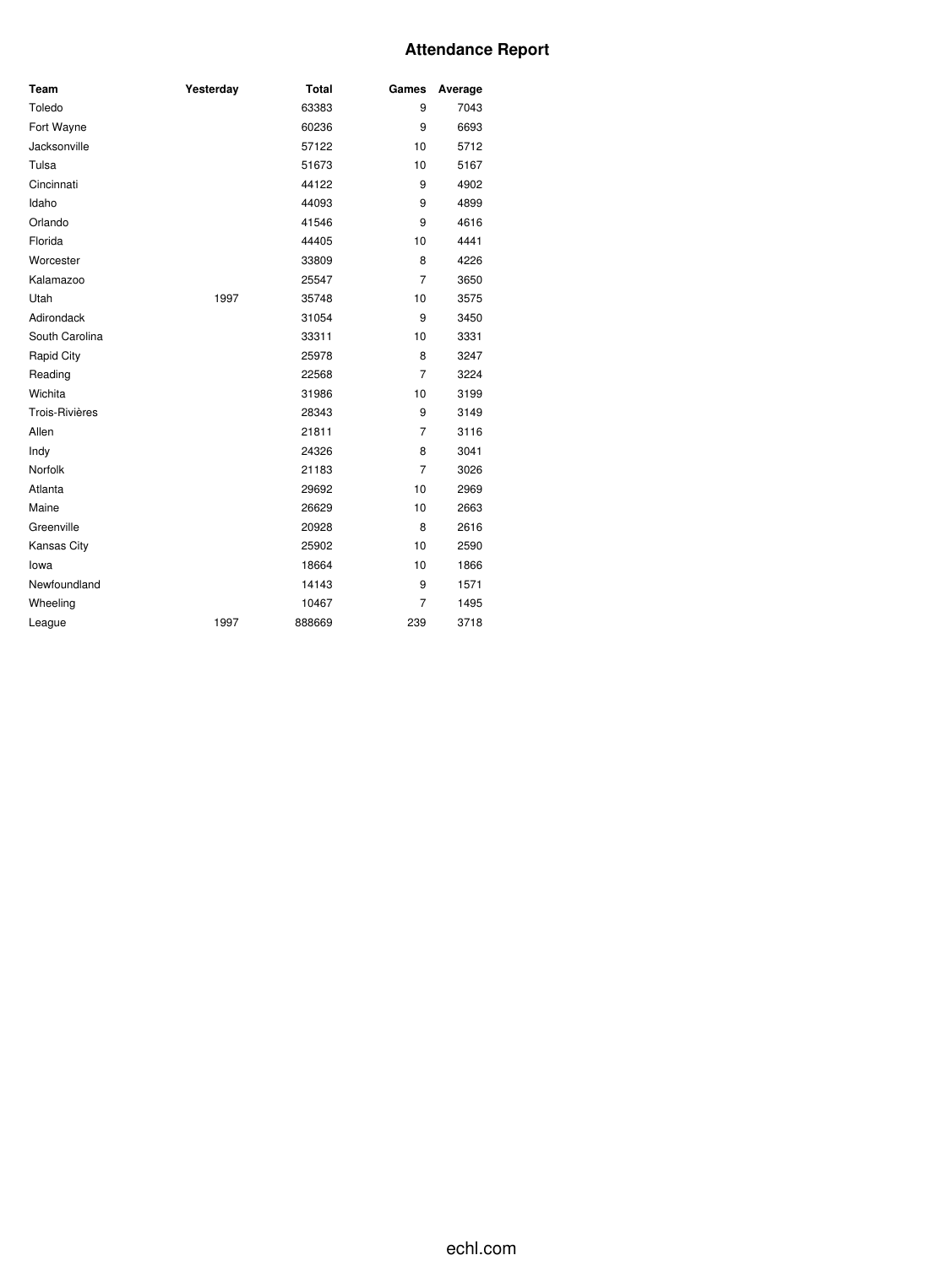### **Attendance Report**

| Team           | Yesterday | <b>Total</b> | Games          | Average |
|----------------|-----------|--------------|----------------|---------|
| Toledo         |           | 63383        | 9              | 7043    |
| Fort Wayne     |           | 60236        | 9              | 6693    |
| Jacksonville   |           | 57122        | 10             | 5712    |
| Tulsa          |           | 51673        | 10             | 5167    |
| Cincinnati     |           | 44122        | 9              | 4902    |
| Idaho          |           | 44093        | 9              | 4899    |
| Orlando        |           | 41546        | 9              | 4616    |
| Florida        |           | 44405        | 10             | 4441    |
| Worcester      |           | 33809        | 8              | 4226    |
| Kalamazoo      |           | 25547        | $\overline{7}$ | 3650    |
| Utah           | 1997      | 35748        | 10             | 3575    |
| Adirondack     |           | 31054        | 9              | 3450    |
| South Carolina |           | 33311        | 10             | 3331    |
| Rapid City     |           | 25978        | 8              | 3247    |
| Reading        |           | 22568        | 7              | 3224    |
| Wichita        |           | 31986        | 10             | 3199    |
| Trois-Rivières |           | 28343        | 9              | 3149    |
| Allen          |           | 21811        | $\overline{7}$ | 3116    |
| Indy           |           | 24326        | 8              | 3041    |
| Norfolk        |           | 21183        | 7              | 3026    |
| Atlanta        |           | 29692        | 10             | 2969    |
| Maine          |           | 26629        | 10             | 2663    |
| Greenville     |           | 20928        | 8              | 2616    |
| Kansas City    |           | 25902        | 10             | 2590    |
| lowa           |           | 18664        | 10             | 1866    |
| Newfoundland   |           | 14143        | 9              | 1571    |
| Wheeling       |           | 10467        | 7              | 1495    |
| League         | 1997      | 888669       | 239            | 3718    |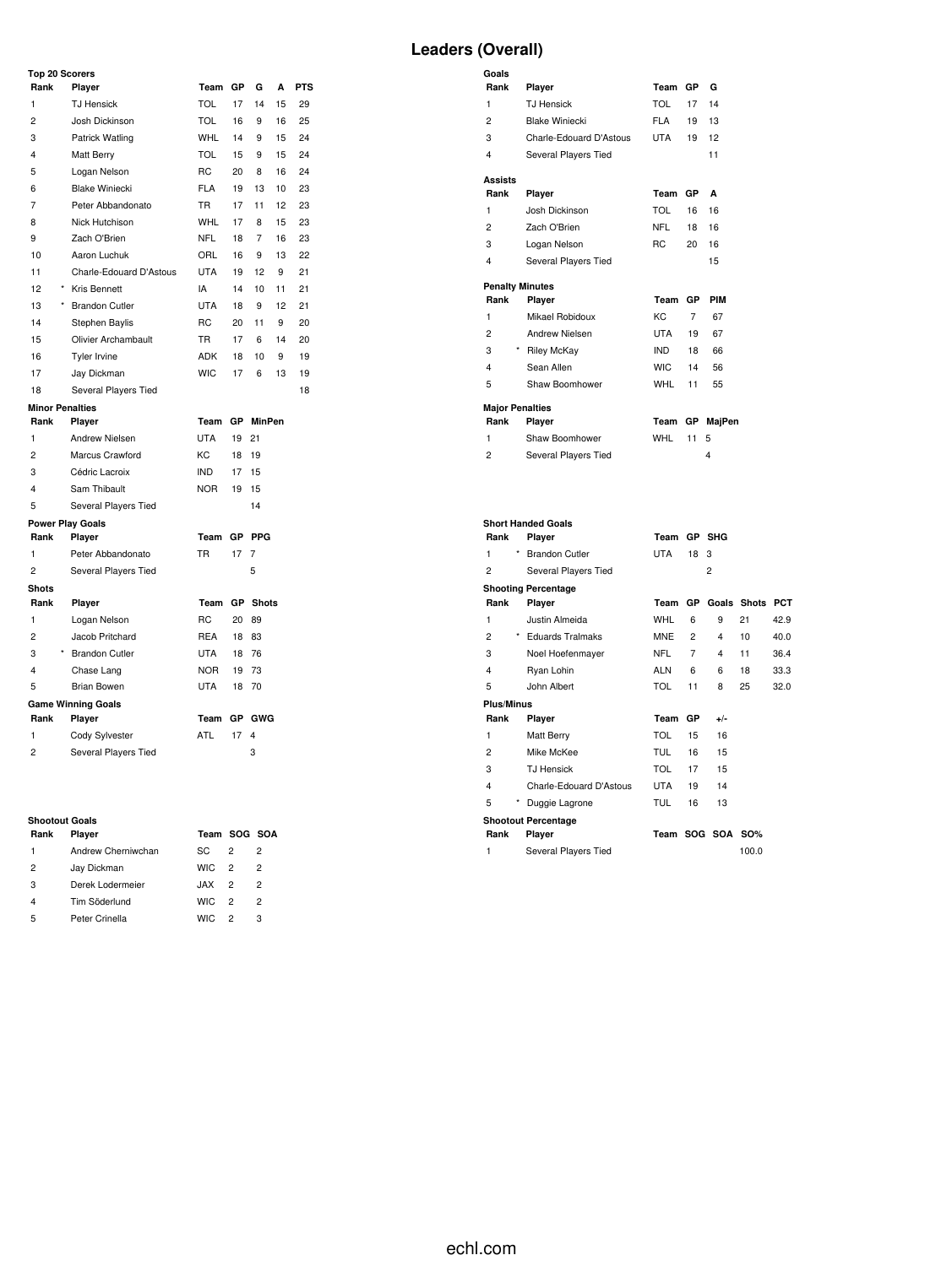#### **Top 20 Scorers**

| Rank                   | Player                    | Team           | GP        | G            | A  | <b>PTS</b> |
|------------------------|---------------------------|----------------|-----------|--------------|----|------------|
| 1                      | <b>TJ Hensick</b>         | <b>TOL</b>     | 17        | 14           | 15 | 29         |
| $\overline{2}$         | Josh Dickinson            | <b>TOL</b>     | 16        | 9            | 16 | 25         |
| 3                      | Patrick Watling           | <b>WHL</b>     | 14        | 9            | 15 | 24         |
| 4                      | Matt Berry                | <b>TOL</b>     | 15        | 9            | 15 | 24         |
| 5                      | Logan Nelson              | R <sub>C</sub> | 20        | 8            | 16 | 24         |
| 6                      | <b>Blake Winiecki</b>     | <b>FLA</b>     | 19        | 13           | 10 | 23         |
| $\overline{7}$         | Peter Abbandonato         | <b>TR</b>      | 17        | 11           | 12 | 23         |
| 8                      | Nick Hutchison            | <b>WHL</b>     | 17        | 8            | 15 | 23         |
| 9                      | Zach O'Brien              | <b>NFL</b>     | 18        | 7            | 16 | 23         |
| 10                     | Aaron Luchuk              | ORL            | 16        | 9            | 13 | 22         |
| 11                     | Charle-Edouard D'Astous   | <b>UTA</b>     | 19        | 12           | 9  | 21         |
| 12                     | <b>Kris Bennett</b>       | IA             | 14        | 10           | 11 | 21         |
| $\star$<br>13          | <b>Brandon Cutler</b>     | <b>UTA</b>     | 18        | 9            | 12 | 21         |
| 14                     | Stephen Baylis            | <b>RC</b>      | 20        | 11           | 9  | 20         |
| 15                     | Olivier Archambault       | <b>TR</b>      | 17        | 6            | 14 | 20         |
| 16                     | <b>Tyler Irvine</b>       | <b>ADK</b>     | 18        | 10           | 9  | 19         |
| 17                     | Jay Dickman               | <b>WIC</b>     | 17        | 6            | 13 | 19         |
| 18                     | Several Players Tied      |                |           |              |    | 18         |
| <b>Minor Penalties</b> |                           |                |           |              |    |            |
| Rank                   | Player                    | Team           | GP        | MinPen       |    |            |
| 1                      | Andrew Nielsen            | <b>UTA</b>     | 19        | 21           |    |            |
| $\overline{c}$         | Marcus Crawford           | KC             | 18        | 19           |    |            |
| 3                      | Cédric Lacroix            | <b>IND</b>     | 17        | 15           |    |            |
| 4                      | Sam Thibault              | <b>NOR</b>     | 19        | 15           |    |            |
| 5                      | Several Players Tied      |                |           | 14           |    |            |
|                        | <b>Power Play Goals</b>   |                |           |              |    |            |
| Rank                   | Player                    | Team           |           | GP PPG       |    |            |
| $\mathbf{1}$           | Peter Abbandonato         | <b>TR</b>      | 17        | 7            |    |            |
| $\overline{c}$         | Several Players Tied      |                |           | 5            |    |            |
| <b>Shots</b>           |                           |                |           |              |    |            |
| Rank                   | Player                    | Team           | <b>GP</b> | <b>Shots</b> |    |            |
| 1                      | Logan Nelson              | <b>RC</b>      | 20        | 89           |    |            |
| 2                      | Jacob Pritchard           | <b>REA</b>     | 18        | 83           |    |            |
| 3                      | <b>Brandon Cutler</b>     | <b>UTA</b>     | 18        | 76           |    |            |
| 4                      | Chase Lang                | <b>NOR</b>     | 19        | 73           |    |            |
| 5                      | <b>Brian Bowen</b>        | <b>UTA</b>     | 18        | 70           |    |            |
|                        | <b>Game Winning Goals</b> |                |           |              |    |            |
| Rank                   | Player                    | Team           | GP        | <b>GWG</b>   |    |            |
| $\mathbf{1}$           | Cody Sylvester            | <b>ATL</b>     | 17        | 4            |    |            |
| $\overline{c}$         | Several Players Tied      |                |           | 3            |    |            |

# **Shootout Goals**

| энооюн соав |                    |              |                |   |  |  |  |  |  |  |  |
|-------------|--------------------|--------------|----------------|---|--|--|--|--|--|--|--|
| Rank        | Player             | Team SOG SOA |                |   |  |  |  |  |  |  |  |
| 1           | Andrew Cherniwchan | SC.          | 2              | 2 |  |  |  |  |  |  |  |
| 2           | Jay Dickman        | <b>WIC</b>   | $\mathcal{P}$  | 2 |  |  |  |  |  |  |  |
| 3           | Derek Lodermeier   | .IAX         | $\mathcal{P}$  | 2 |  |  |  |  |  |  |  |
| 4           | Tim Söderlund      | <b>WIC</b>   | $\overline{2}$ | 2 |  |  |  |  |  |  |  |
| 5           | Peter Crinella     | <b>WIC</b>   | $\mathcal{P}$  | 3 |  |  |  |  |  |  |  |

### **Leaders (Overall)**

| Goals                  |                         |            |           |            |
|------------------------|-------------------------|------------|-----------|------------|
| Rank                   | Player                  | Team       | GP.       | G          |
| 1                      | <b>TJ Hensick</b>       | TOL        | 17        | 14         |
| 2                      | <b>Blake Winiecki</b>   | <b>FLA</b> | 19        | 13         |
| 3                      | Charle-Edouard D'Astous | UTA        | 19        | 12         |
| $\overline{4}$         | Several Players Tied    |            |           | 11         |
| <b>Assists</b>         |                         |            |           |            |
| Rank                   | Player                  | Team       | GP.       | A          |
| 1                      | Josh Dickinson          | <b>TOL</b> | 16        | 16         |
| 2                      | Zach O'Brien            | <b>NFL</b> | 18        | 16         |
| 3                      | Logan Nelson            | RC.        | 20        | 16         |
| 4                      | Several Players Tied    |            |           | 15         |
| <b>Penalty Minutes</b> |                         |            |           |            |
| Rank                   | Player                  | Team       | <b>GP</b> | <b>PIM</b> |
| 1                      | Mikael Robidoux         | KC.        | 7         | 67         |
| 2                      | Andrew Nielsen          | UTA        | 19        | 67         |
| 3                      | * Riley McKay           | <b>IND</b> | 18        | 66         |
| 4                      | Sean Allen              | <b>WIC</b> | 14        | 56         |
| 5                      | Shaw Boomhower          | WHL        | 11        | 55         |
| <b>Major Penalties</b> |                         |            |           |            |
| Rank                   | Player                  | Team       | <b>GP</b> | MajPen     |
| 1                      | Shaw Boomhower          | <b>WHL</b> | 11        | 5          |
| 2                      | Several Players Tied    |            |           | 4          |
|                        |                         |            |           |            |
|                        |                         |            |           |            |

| <b>Short Handed Goals</b>  |                            |            |           |                  |             |            |  |  |  |  |  |  |
|----------------------------|----------------------------|------------|-----------|------------------|-------------|------------|--|--|--|--|--|--|
| Rank                       | Player                     | Team       |           | GP SHG           |             |            |  |  |  |  |  |  |
| $\star$<br>1               | <b>Brandon Cutler</b>      | <b>UTA</b> | 18        | 3                |             |            |  |  |  |  |  |  |
| 2                          | Several Players Tied       |            |           | $\overline{c}$   |             |            |  |  |  |  |  |  |
| <b>Shooting Percentage</b> |                            |            |           |                  |             |            |  |  |  |  |  |  |
| Rank                       | Player                     | Team       | GP        |                  | Goals Shots | <b>PCT</b> |  |  |  |  |  |  |
| 1                          | Justin Almeida             | WHL        | 6         | 9                | 21          | 42.9       |  |  |  |  |  |  |
| 2                          | * Eduards Tralmaks         | <b>MNE</b> | 2         | 4                | 10          | 40.0       |  |  |  |  |  |  |
| 3                          | Noel Hoefenmayer           | NFL        | 7         | 4                | 11          | 36.4       |  |  |  |  |  |  |
| 4                          | Ryan Lohin                 | <b>ALN</b> | 6         | 6                | 18          | 33.3       |  |  |  |  |  |  |
| 5                          | John Albert                | <b>TOL</b> | 11        | 8                | 25          | 32.0       |  |  |  |  |  |  |
| Plus/Minus                 |                            |            |           |                  |             |            |  |  |  |  |  |  |
| Rank                       | Player                     | Team       | <b>GP</b> | $+/-$            |             |            |  |  |  |  |  |  |
| 1                          | Matt Berry                 | TOL        | 15        | 16               |             |            |  |  |  |  |  |  |
| $\overline{c}$             | Mike McKee                 | <b>TUL</b> | 16        | 15               |             |            |  |  |  |  |  |  |
| 3                          | <b>TJ Hensick</b>          | <b>TOL</b> | 17        | 15               |             |            |  |  |  |  |  |  |
| $\overline{4}$             | Charle-Edouard D'Astous    | <b>UTA</b> | 19        | 14               |             |            |  |  |  |  |  |  |
| 5<br>$^{\star}$            | Duggie Lagrone             | <b>TUL</b> | 16        | 13               |             |            |  |  |  |  |  |  |
|                            | <b>Shootout Percentage</b> |            |           |                  |             |            |  |  |  |  |  |  |
| Rank                       | Player                     |            |           | Team SOG SOA SO% |             |            |  |  |  |  |  |  |
| 1                          | Several Players Tied       |            |           |                  | 100.0       |            |  |  |  |  |  |  |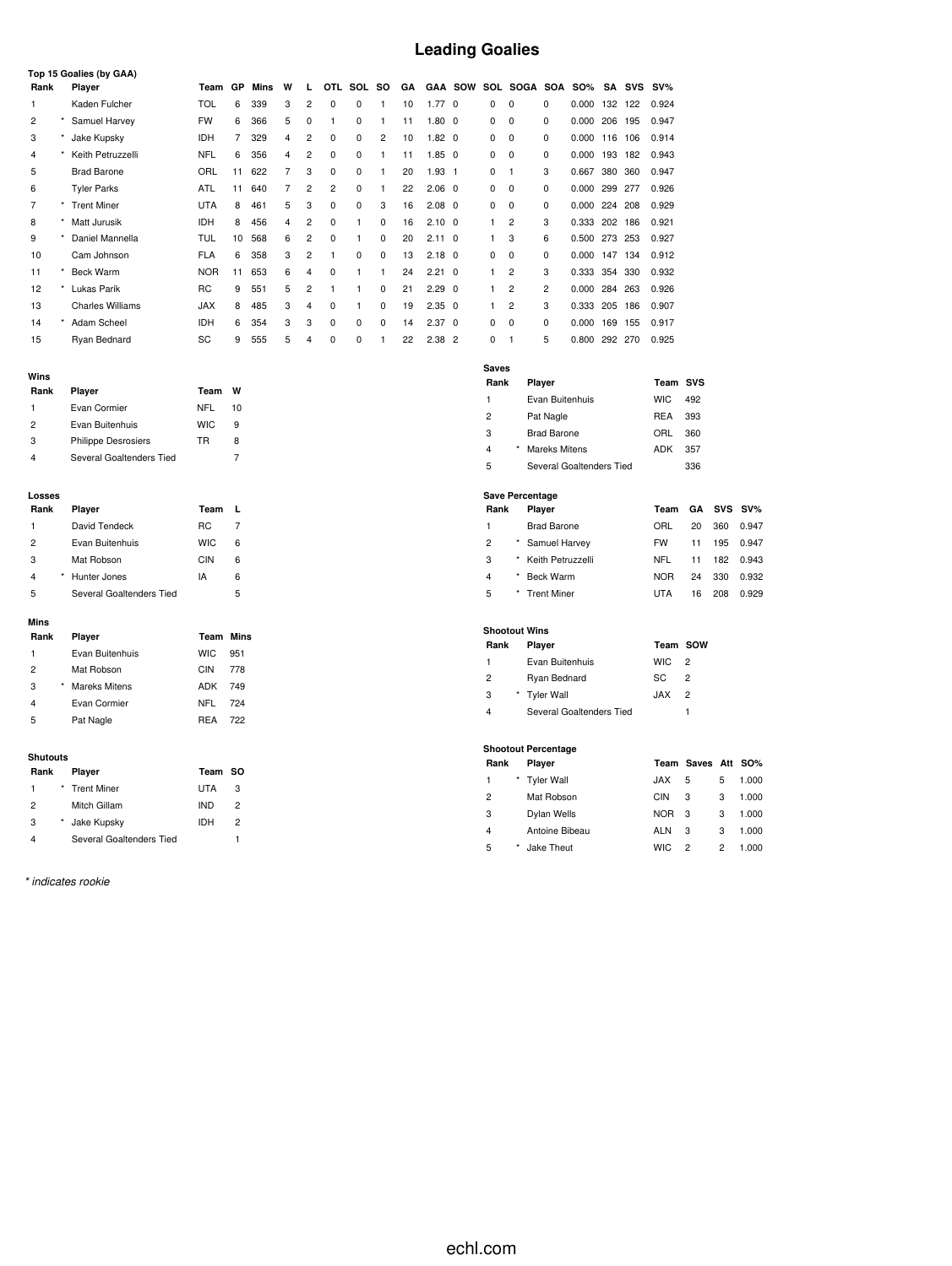## **Leading Goalies**

|      | Top 15 Goalies (by GAA)       |            |    |      |   |                |            |            |           |    |                |                |          |                |     |            |         |            |        |
|------|-------------------------------|------------|----|------|---|----------------|------------|------------|-----------|----|----------------|----------------|----------|----------------|-----|------------|---------|------------|--------|
| Rank | Player                        | Team       | GP | Mins | W | л.             | <b>OTL</b> | <b>SOL</b> | <b>SO</b> | GA |                | <b>GAA SOW</b> |          | SOL SOGA       | SOA | <b>SO%</b> | SA      | <b>SVS</b> | $SV\%$ |
|      | Kaden Fulcher                 | TOL        | 6  | 339  | 3 | 2              | $\Omega$   | 0          |           | 10 | 1.77           | $\Omega$       | 0        | 0              | 0   | 0.000      | 132     | 122        | 0.924  |
| 2    | Samuel Harvey                 | <b>FW</b>  | 6  | 366  | 5 | 0              |            | 0          |           | 11 | $1.80 \quad 0$ |                | 0        | 0              | 0   | 0.000      | 206     | 195        | 0.947  |
| 3    | Jake Kupsky                   | <b>IDH</b> | 7  | 329  | 4 | 2              | 0          | 0          | 2         | 10 | $1.82 \quad 0$ |                | 0        | 0              | 0   | 0.000      | 116     | 106        | 0.914  |
| 4    | Keith Petruzzelli             | <b>NFL</b> | 6  | 356  | 4 | $\overline{2}$ | 0          | 0          |           | 11 | $1.85 \quad 0$ |                | 0        | 0              | 0   | 0.000      | 193     | 182        | 0.943  |
| 5    | <b>Brad Barone</b>            | ORL        | 11 | 622  | 7 | 3              | 0          | 0          |           | 20 | $1.93 \quad 1$ |                | 0        |                | 3   | 0.667      | 380     | 360        | 0.947  |
| 6    | <b>Tyler Parks</b>            | ATL        | 11 | 640  | 7 | 2              | 2          | 0          |           | 22 | $2.06 \quad 0$ |                | 0        | 0              | 0   | 0.000      | 299     | 277        | 0.926  |
|      | <b>Trent Miner</b><br>$\star$ | <b>UTA</b> | 8  | 461  | 5 | 3              | 0          | 0          | 3         | 16 | $2.08 \quad 0$ |                | 0        | 0              | 0   | 0.000      | 224     | 208        | 0.929  |
| 8    | Matt Jurusik                  | <b>IDH</b> | 8  | 456  | 4 | $\overline{2}$ | $\Omega$   | 1          | $\Omega$  | 16 | $2.10 \quad 0$ |                |          | $\overline{2}$ | 3   | 0.333      | 202     | 186        | 0.921  |
| 9    | Daniel Mannella               | TUL        | 10 | 568  | 6 | $\overline{2}$ | $\Omega$   |            | $\Omega$  | 20 | $2.11 \quad 0$ |                |          | 3              | 6   | 0.500      | 273     | 253        | 0.927  |
| 10   | Cam Johnson                   | <b>FLA</b> | 6  | 358  | 3 | $\overline{2}$ |            | $\Omega$   | $\Omega$  | 13 | $2.18 \quad 0$ |                | $\Omega$ | 0              | 0   | 0.000      | 147     | 134        | 0.912  |
| 11   | <b>Beck Warm</b>              | <b>NOR</b> | 11 | 653  | 6 | 4              | $\Omega$   |            |           | 24 | $2.21 \quad 0$ |                |          | 2              | 3   | 0.333      | 354     | 330        | 0.932  |
| 12   | Lukas Parik<br>*              | RC         | 9  | 551  | 5 | $\overline{2}$ |            |            | 0         | 21 | $2.29 \quad 0$ |                |          | 2              | 2   | 0.000      | 284     | 263        | 0.926  |
| 13   | <b>Charles Williams</b>       | <b>JAX</b> | 8  | 485  | 3 | 4              | $\Omega$   |            | $\Omega$  | 19 | $2.35 \quad 0$ |                |          | $\overline{c}$ | 3   | 0.333      | 205     | 186        | 0.907  |
| 14   | Adam Scheel<br>$\star$        | <b>IDH</b> | 6  | 354  | 3 | 3              | $\Omega$   | 0          | $\Omega$  | 14 | $2.37 \quad 0$ |                | 0        | 0              | 0   | 0.000      | 169     | 155        | 0.917  |
| 15   | Ryan Bednard                  | SC         | 9  | 555  | 5 | 4              | 0          | 0          |           | 22 | $2.38$ 2       |                | $\Omega$ |                | 5   | 0.800      | 292 270 |            | 0.925  |

|  |  | ٠ |  |
|--|--|---|--|
|  |  |   |  |

| Rank           | Player                     | Team       | w  |
|----------------|----------------------------|------------|----|
| 1              | Evan Cormier               | NFL        | 10 |
| $\overline{2}$ | Evan Buitenhuis            | <b>WIC</b> | 9  |
| 3              | <b>Philippe Desrosiers</b> | TR         | 8  |
|                | Several Goaltenders Tied   |            |    |

#### **Losses**

| Rank           | Player                   | Team       |   |
|----------------|--------------------------|------------|---|
| 1              | David Tendeck            | RC.        |   |
| $\overline{2}$ | Evan Buitenhuis          | <b>WIC</b> | 6 |
| 3              | Mat Robson               | CIN        | 6 |
| 4              | Hunter Jones             | IA         | 6 |
| 5              | Several Goaltenders Tied |            | 5 |

#### **Mins**

| MILIS |   |                      |                  |     |
|-------|---|----------------------|------------------|-----|
| Rank  |   | Player               | <b>Team Mins</b> |     |
| 1     |   | Evan Buitenhuis      | <b>WIC</b>       | 951 |
| 2     |   | Mat Robson           | CIN              | 778 |
| 3     | * | <b>Mareks Mitens</b> | ADK              | 749 |
| 4     |   | Evan Cormier         | NFL              | 724 |
| 5     |   | Pat Nagle            | <b>RFA</b>       | 722 |
|       |   |                      |                  |     |

#### **Shutouts**

| Rank          | Player                   | Team SO |   |
|---------------|--------------------------|---------|---|
| 1             | * Trent Miner            | UTA     | 3 |
| $\mathcal{P}$ | Mitch Gillam             | IND     | 2 |
| 3             | Jake Kupsky              | IDH     | 2 |
|               | Several Goaltenders Tied |         |   |

*\* indicates rookie*

| Saves          |            |                          |            |     |  |
|----------------|------------|--------------------------|------------|-----|--|
| Rank           |            | Player                   | Team SVS   |     |  |
| $\mathbf{1}$   |            | Evan Buitenhuis          | <b>WIC</b> | 492 |  |
| $\overline{2}$ |            | Pat Nagle                | <b>REA</b> | 393 |  |
| 3              |            | <b>Brad Barone</b>       | ORL        | 360 |  |
| $\overline{4}$ | $^{\star}$ | Mareks Mitens            | ADK        | 357 |  |
| 5              |            | Several Goaltenders Tied |            | 336 |  |

#### **Save Percentage**

| Rank |         | Player             | Team       |    | GA SVS SV% |       |
|------|---------|--------------------|------------|----|------------|-------|
| 1    |         | <b>Brad Barone</b> | ORL        | 20 | 360        | 0.947 |
| 2    |         | Samuel Harvey      | <b>FW</b>  | 11 | 195        | 0.947 |
| 3    |         | Keith Petruzzelli  | NFL        | 11 | 182        | 0.943 |
| 4    | $\star$ | Beck Warm          | <b>NOR</b> | 24 | 330        | 0.932 |
| 5    |         | <b>Trent Miner</b> | UTA        | 16 | 208        | 0.929 |
|      |         |                    |            |    |            |       |

#### **Shootout Wins**

| Rank | Player                   | Team SOW   |                |
|------|--------------------------|------------|----------------|
| 1    | Evan Buitenhuis          | WIC.       | $\overline{2}$ |
| 2    | Ryan Bednard             | SC.        | 2              |
| 3    | * Tyler Wall             | <b>JAX</b> | 2              |
| 4    | Several Goaltenders Tied |            |                |

#### **Shootout Percentage**

| Rank           |            | Player         |            | Team Saves Att SO% |   |       |
|----------------|------------|----------------|------------|--------------------|---|-------|
| 1              |            | * Tyler Wall   | <b>JAX</b> | 5                  | 5 | 1.000 |
| $\overline{2}$ |            | Mat Robson     | CIN        | 3                  | 3 | 1.000 |
| 3              |            | Dylan Wells    | <b>NOR</b> | -3                 | 3 | 1.000 |
| 4              |            | Antoine Bibeau | <b>ALN</b> | 3                  | 3 | 1.000 |
| 5              | $^{\star}$ | Jake Theut     | <b>WIC</b> | 2                  | 2 | 1.000 |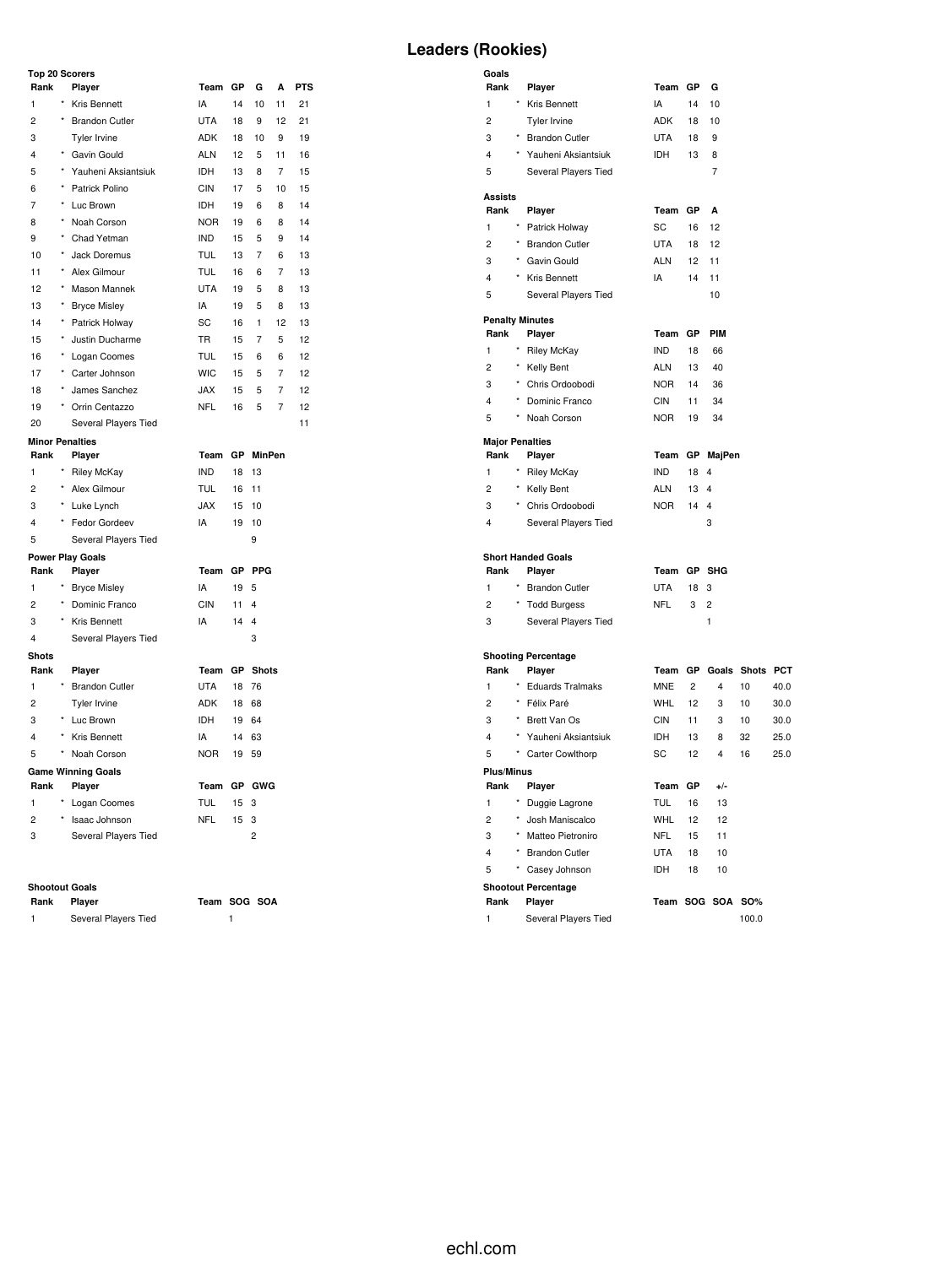### **Top 20 Scorers**

| TOD ZU SCORETS          |            |                           |            |           |                         |                |            |
|-------------------------|------------|---------------------------|------------|-----------|-------------------------|----------------|------------|
| Rank                    |            | Player                    | Team       | GР        | G                       | A              | <b>PTS</b> |
| 1                       |            | Kris Bennett              | IA         | 14        | 10                      | 11             | 21         |
| $\overline{c}$          | $\star$    | <b>Brandon Cutler</b>     | <b>UTA</b> | 18        | 9                       | 12             | 21         |
| 3                       |            | Tyler Irvine              | <b>ADK</b> | 18        | 10                      | 9              | 19         |
| 4                       |            | * Gavin Gould             | <b>ALN</b> | 12        | 5                       | 11             | 16         |
| 5                       | $\star$    | Yauheni Aksiantsiuk       | IDH        | 13        | 8                       | 7              | 15         |
| 6                       | $^\star$   | Patrick Polino            | <b>CIN</b> | 17        | 5                       | 10             | 15         |
| $\overline{7}$          | $\star$    | Luc Brown                 | <b>IDH</b> | 19        | 6                       | 8              | 14         |
| 8                       | $\star$    | Noah Corson               | <b>NOR</b> | 19        | 6                       | 8              | 14         |
| 9                       |            | Chad Yetman               | <b>IND</b> | 15        | 5                       | 9              | 14         |
| 10                      | $\star$    | Jack Doremus              | <b>TUL</b> | 13        | $\overline{7}$          | 6              | 13         |
| 11                      | $\star$    | Alex Gilmour              | <b>TUL</b> | 16        | 6                       | $\overline{7}$ | 13         |
| 12                      | $^{\star}$ | Mason Mannek              | <b>UTA</b> | 19        | 5                       | 8              | 13         |
| 13                      | $^{\star}$ | <b>Bryce Misley</b>       | IA         | 19        | 5                       | 8              | 13         |
| 14                      | $\star$    | Patrick Holway            | SC         | 16        | 1                       | 12             | 13         |
| 15                      | $\star$    | Justin Ducharme           | <b>TR</b>  | 15        | $\overline{7}$          | 5              | 12         |
| 16                      | $^{\star}$ | Logan Coomes              | <b>TUL</b> | 15        | 6                       | 6              | 12         |
| 17                      |            | Carter Johnson            | <b>WIC</b> | 15        | 5                       | 7              | 12         |
| 18                      |            | James Sanchez             | <b>JAX</b> | 15        | 5                       | 7              | 12         |
| 19                      | $\star$    | Orrin Centazzo            | <b>NFL</b> | 16        | 5                       | 7              | 12         |
| 20                      |            | Several Players Tied      |            |           |                         |                | 11         |
| <b>Minor Penalties</b>  |            |                           |            |           |                         |                |            |
| Rank                    |            | Player                    | Team       | <b>GP</b> | <b>MinPen</b>           |                |            |
| $\mathbf{1}$            |            | <b>Riley McKay</b>        | <b>IND</b> | 18        | 13                      |                |            |
| $\overline{c}$          | $\star$    | Alex Gilmour              | TUL        | 16        | 11                      |                |            |
| 3                       |            | Luke Lynch                | <b>JAX</b> | 15        | 10                      |                |            |
| $\overline{4}$          | $\star$    | Fedor Gordeev             | IA         | 19        | 10                      |                |            |
| 5                       |            | Several Players Tied      |            |           | 9                       |                |            |
|                         |            | <b>Power Play Goals</b>   |            |           |                         |                |            |
| Rank                    |            | Player                    | Team       | <b>GP</b> | PPG                     |                |            |
| 1                       |            | <b>Bryce Misley</b>       | IA         | 19        | 5                       |                |            |
| $\overline{2}$          | $\star$    | Dominic Franco            | <b>CIN</b> | 11        | $\overline{\mathbf{4}}$ |                |            |
| 3                       | $\star$    | Kris Bennett              | IA         | 14        | 4                       |                |            |
| $\overline{\mathbf{4}}$ |            | Several Players Tied      |            |           | 3                       |                |            |
| <b>Shots</b>            |            |                           |            |           |                         |                |            |
| Rank                    |            | Player                    | Team       | GP        | <b>Shots</b>            |                |            |
| 1                       |            | <b>Brandon Cutler</b>     | <b>UTA</b> | 18        | 76                      |                |            |
| $\overline{c}$          |            | Tyler Irvine              | ADK        | 18        | 68                      |                |            |
| 3                       |            | Luc Brown                 | <b>IDH</b> | 19        | 64                      |                |            |
| $\overline{4}$          | $^\star$   | <b>Kris Bennett</b>       | IA         | 14        | 63                      |                |            |
| 5                       |            | Noah Corson               | <b>NOR</b> | 19        | 59                      |                |            |
|                         |            | <b>Game Winning Goals</b> |            |           |                         |                |            |
| Rank                    |            | Player                    | Team       | GР        | <b>GWG</b>              |                |            |
| 1                       |            | Logan Coomes              | <b>TUL</b> | 15        | 3                       |                |            |
| $\overline{c}$          | ×          | Isaac Johnson             | <b>NFL</b> | 15        | 3                       |                |            |
| 3                       |            | Several Players Tied      |            |           | $\overline{c}$          |                |            |

#### **Shootout Goals**

| Rank | Player               | Team SOG SOA |  |
|------|----------------------|--------------|--|
|      | Several Players Tied |              |  |

## **Leaders (Rookies)**

| Goals<br>Rank                  |            | Player                           | Team GP    |                 | G              |                 |      |
|--------------------------------|------------|----------------------------------|------------|-----------------|----------------|-----------------|------|
| 1                              |            | * Kris Bennett                   | IA         | 14              | 10             |                 |      |
| 2                              |            | Tyler Irvine                     | ADK        | 18              | 10             |                 |      |
| 3                              |            | * Brandon Cutler                 | <b>UTA</b> | 18              | 9              |                 |      |
| 4                              | $\star$    | Yauheni Aksiantsiuk              | <b>IDH</b> | 13              | 8              |                 |      |
| 5                              |            | Several Players Tied             |            |                 | 7              |                 |      |
| Assists                        |            |                                  |            |                 |                |                 |      |
| Rank                           |            | Player                           | Team       | GP              | А              |                 |      |
| 1                              |            | * Patrick Holway                 | SC         | 16              | 12             |                 |      |
| $\overline{c}$                 |            | * Brandon Cutler                 | <b>UTA</b> | 18              | 12             |                 |      |
| 3                              |            | * Gavin Gould                    | <b>ALN</b> | 12 <sup>2</sup> | 11             |                 |      |
| 4                              |            | * Kris Bennett                   | IA         | 14              | 11             |                 |      |
| 5                              |            | Several Players Tied             |            |                 | 10             |                 |      |
| Rank                           |            | <b>Penalty Minutes</b><br>Player | Team       | GР              | <b>PIM</b>     |                 |      |
| 1                              |            | Riley McKay                      | IND.       | 18              | 66             |                 |      |
| 2                              |            | * Kelly Bent                     | ALN        | 13              | 40             |                 |      |
| 3                              |            | * Chris Ordoobodi                | NOR.       | 14              | 36             |                 |      |
| 4                              |            | * Dominic Franco                 | CIN        | 11              | 34             |                 |      |
| 5                              | $^{\star}$ | Noah Corson                      | <b>NOR</b> | 19              | 34             |                 |      |
|                                |            |                                  |            |                 |                |                 |      |
| <b>Major Penalties</b><br>Rank |            | Player                           | Team       |                 | GP MajPen      |                 |      |
| 1                              |            | * Riley McKay                    | <b>IND</b> | 18              | 4              |                 |      |
| 2                              |            | * Kelly Bent                     | ALN        | 13              | 4              |                 |      |
| 3                              |            | * Chris Ordoobodi                | <b>NOR</b> | 14              | $\overline{4}$ |                 |      |
| 4                              |            | Several Players Tied             |            |                 | 3              |                 |      |
|                                |            | <b>Short Handed Goals</b>        |            |                 |                |                 |      |
| Rank                           |            | Player                           | Team       |                 | GP SHG         |                 |      |
| 1                              |            | * Brandon Cutler                 | <b>UTA</b> | 18              | 3              |                 |      |
| 2                              |            | * Todd Burgess                   | <b>NFL</b> | 3               | 2              |                 |      |
| 3                              |            | Several Players Tied             |            |                 | 1              |                 |      |
|                                |            | <b>Shooting Percentage</b>       |            |                 |                |                 |      |
| Rank                           |            | Player                           | Team       | <b>GP</b>       |                | Goals Shots PCT |      |
| 1                              |            | * Eduards Tralmaks               | <b>MNE</b> | $\overline{2}$  | 4              | 10              | 40.0 |
| $\overline{2}$                 |            | * Félix Paré                     | <b>WHL</b> | 12              | 3              | 10              | 30.0 |
| 3                              |            | * Brett Van Os                   | CIN        | 11              | 3              | 10              | 30.0 |
| 4                              | *          | Yauheni Aksiantsiuk              | IDH        | 13              | 8              | 32              | 25.0 |
| 5                              | *          | Carter Cowlthorp                 | SC         | 12              | 4              | 16              | 25.0 |
| Plus/Minus                     |            |                                  |            |                 |                |                 |      |
| Rank                           |            | Player                           | Team       | GP              | $+/-$          |                 |      |
| 1                              |            | Duggie Lagrone                   | TUL        | 16              | 13             |                 |      |
| 2                              | $\star$    | Josh Maniscalco                  | <b>WHL</b> | 12              | 12             |                 |      |
| 3                              |            | * Matteo Pietroniro              | <b>NFL</b> | 15              | 11             |                 |      |
| 4                              |            | * Brandon Cutler                 | <b>UTA</b> | 18              | 10             |                 |      |
| 5                              | $\star$    | Casey Johnson                    | IDH        | 18              | 10             |                 |      |
|                                |            | <b>Shootout Percentage</b>       |            |                 |                |                 |      |
| Rank                           |            | Player                           |            |                 | Team SOG SOA   | SO%             |      |
| 1                              |            | Several Players Tied             |            |                 |                | 100.0           |      |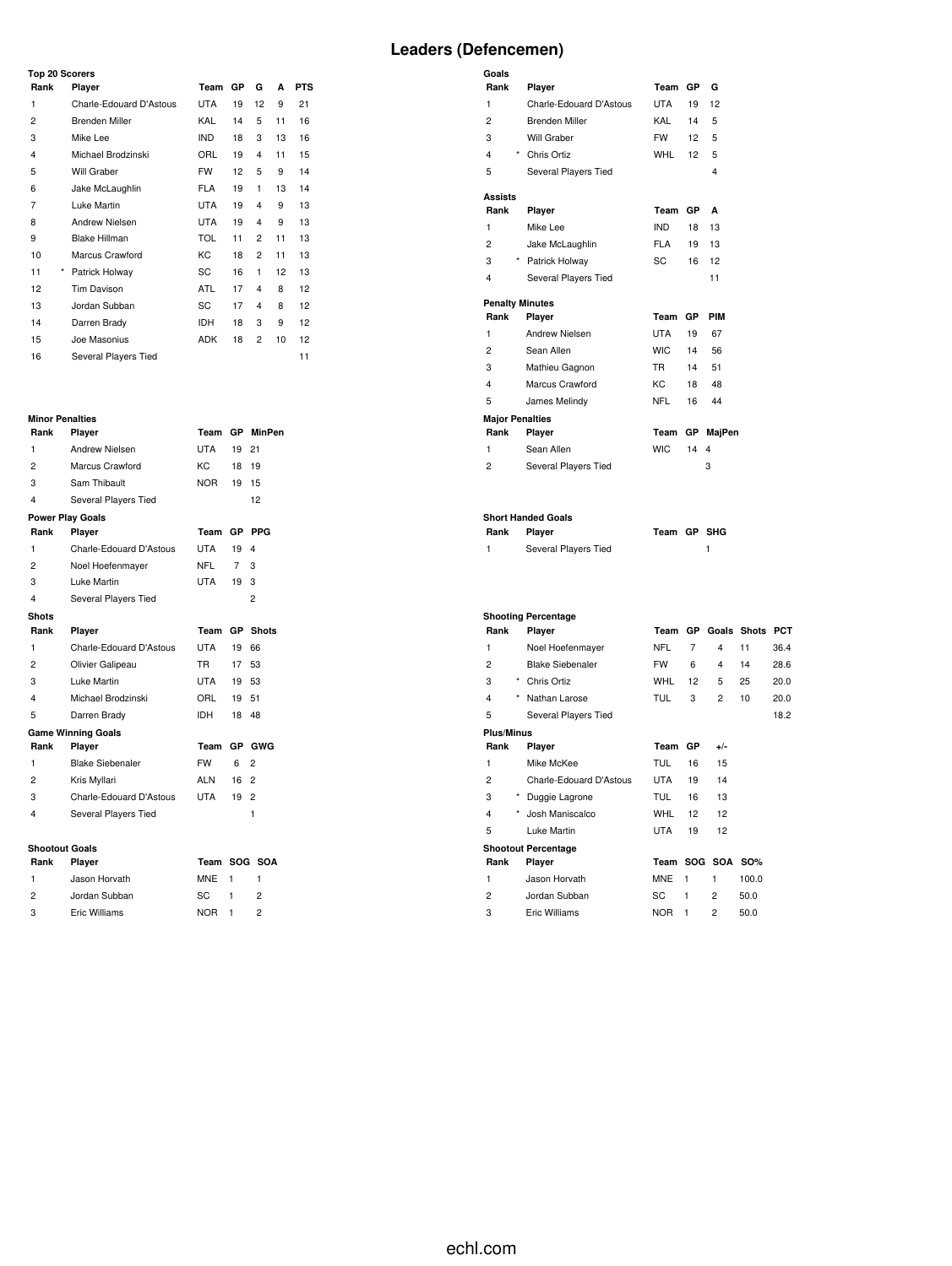### **Top 20 Scorers**

| Rank           | Player                  | Team       | GP | G              | A  | <b>PTS</b> |  |
|----------------|-------------------------|------------|----|----------------|----|------------|--|
| 1              | Charle-Edouard D'Astous | <b>UTA</b> | 19 | 12             | 9  | 21         |  |
| $\overline{c}$ | <b>Brenden Miller</b>   | KAL        | 14 | 5              | 11 | 16         |  |
| 3              | Mike Lee                | <b>IND</b> | 18 | 3              | 13 | 16         |  |
| 4              | Michael Brodzinski      | ORL        | 19 | 4              | 11 | 15         |  |
| 5              | Will Graber             | <b>FW</b>  | 12 | 5              | 9  | 14         |  |
| 6              | Jake McLaughlin         | <b>FLA</b> | 19 | 1              | 13 | 14         |  |
| 7              | Luke Martin             | <b>UTA</b> | 19 | 4              | 9  | 13         |  |
| 8              | <b>Andrew Nielsen</b>   | <b>UTA</b> | 19 | 4              | 9  | 13         |  |
| 9              | <b>Blake Hillman</b>    | <b>TOL</b> | 11 | $\overline{2}$ | 11 | 13         |  |
| 10             | Marcus Crawford         | КC         | 18 | 2              | 11 | 13         |  |
| 11<br>*        | Patrick Holway          | SC         | 16 | 1              | 12 | 13         |  |
| 12             | Tim Davison             | <b>ATL</b> | 17 | 4              | 8  | 12         |  |
| 13             | Jordan Subban           | SC         | 17 | 4              | 8  | 12         |  |
| 14             | Darren Brady            | <b>IDH</b> | 18 | 3              | 9  | 12         |  |
| 15             | Joe Masonius            | <b>ADK</b> | 18 | 2              | 10 | 12         |  |
| 16             | Several Players Tied    |            |    |                |    | 11         |  |

# **Minor Penalties**

| Rank                    | Player                    | Team       | <b>GP</b>       | <b>MinPen</b>  |
|-------------------------|---------------------------|------------|-----------------|----------------|
| 1                       | <b>Andrew Nielsen</b>     | <b>UTA</b> | 19              | 21             |
| 2                       | Marcus Crawford           | KC.        | 18              | 19             |
| 3                       | Sam Thibault              | <b>NOR</b> | 19              | 15             |
| $\overline{\mathbf{4}}$ | Several Players Tied      |            |                 | 12             |
|                         | <b>Power Play Goals</b>   |            |                 |                |
| Rank                    | Player                    | Team       | GP              | <b>PPG</b>     |
| 1                       | Charle-Edouard D'Astous   | <b>UTA</b> | 19              | 4              |
| $\overline{2}$          | Noel Hoefenmayer          | <b>NFL</b> | 7               | 3              |
| 3                       | Luke Martin               | UTA        | 19              | 3              |
| $\overline{\mathbf{4}}$ | Several Players Tied      |            |                 | 2              |
| <b>Shots</b>            |                           |            |                 |                |
| Rank                    | Player                    | Team       | <b>GP</b>       | <b>Shots</b>   |
| 1                       | Charle-Edouard D'Astous   | <b>UTA</b> | 19              | 66             |
| 2                       | Olivier Galipeau          | <b>TR</b>  | 17 <sup>7</sup> | 53             |
| 3                       | Luke Martin               | UTA        | 19              | 53             |
| 4                       | Michael Brodzinski        | ORL        | 19              | 51             |
| 5                       | Darren Brady              | <b>IDH</b> | 18              | 48             |
|                         | <b>Game Winning Goals</b> |            |                 |                |
| Rank                    | Player                    | Team       | GP              | <b>GWG</b>     |
| 1                       | <b>Blake Siebenaler</b>   | <b>FW</b>  | 6               | 2              |
| 2                       | Kris Myllari              | ALN        | 16              | $\overline{2}$ |
| 3                       | Charle-Edouard D'Astous   | UTA        | 19              | $\overline{c}$ |
| 4                       | Several Players Tied      |            |                 | 1              |
|                         |                           |            |                 |                |
| <b>Shootout Goals</b>   |                           |            |                 |                |
|                         |                           |            |                 |                |

| Rank          | Player        | Team SOG SOA |   |
|---------------|---------------|--------------|---|
| $\mathbf{1}$  | Jason Horvath | MNE 1        |   |
| $\mathcal{P}$ | Jordan Subban | SC.          | 2 |
| 3             | Eric Williams | NOR 1        | 2 |

| Goals                  |                            |             |                |                         |    |      |
|------------------------|----------------------------|-------------|----------------|-------------------------|----|------|
| Rank                   | Player                     |             | Team GP        | G                       |    |      |
| 1                      | Charle-Edouard D'Astous    | <b>UTA</b>  | 19             | 12                      |    |      |
| $\overline{c}$         | <b>Brenden Miller</b>      | KAL         | 14             | 5                       |    |      |
| 3                      | Will Graber                | <b>FW</b>   | 12             | 5                       |    |      |
| 4                      | * Chris Ortiz              | <b>WHL</b>  | 12             | 5                       |    |      |
| 5                      | Several Players Tied       |             |                | $\overline{\mathbf{4}}$ |    |      |
| Assists                |                            |             |                |                         |    |      |
| Rank                   | Player                     | Team GP     |                | A                       |    |      |
| 1                      | Mike Lee                   | <b>IND</b>  | 18             | 13                      |    |      |
| $\overline{c}$         | Jake McLaughlin            | <b>FLA</b>  | 19             | 13                      |    |      |
| 3                      | * Patrick Holway           | <b>SC</b>   | 16             | 12                      |    |      |
| 4                      | Several Players Tied       |             |                | 11                      |    |      |
|                        | <b>Penalty Minutes</b>     |             |                |                         |    |      |
| Rank                   | Player                     | Team        | GP             | <b>PIM</b>              |    |      |
| 1                      | Andrew Nielsen             | <b>UTA</b>  | 19             | 67                      |    |      |
| 2                      | Sean Allen                 | <b>WIC</b>  | 14             | 56                      |    |      |
| 3                      | Mathieu Gagnon             | <b>TR</b>   | 14             | 51                      |    |      |
| 4                      | Marcus Crawford            | <b>KC</b>   | 18             | 48                      |    |      |
| 5                      | James Melindy              | <b>NFL</b>  | 16             | 44                      |    |      |
| <b>Major Penalties</b> |                            |             |                |                         |    |      |
| Rank                   | Player                     | Team        |                | GP MajPen               |    |      |
| 1                      | Sean Allen                 | <b>WIC</b>  | 14             | 4                       |    |      |
| $\overline{c}$         | Several Players Tied       |             |                | 3                       |    |      |
|                        | <b>Short Handed Goals</b>  |             |                |                         |    |      |
| Rank                   | Player                     | Team GP SHG |                |                         |    |      |
| 1                      | Several Players Tied       |             |                | 1                       |    |      |
|                        | <b>Shooting Percentage</b> |             |                |                         |    |      |
| Rank                   | Player                     |             |                | Team GP Goals Shots PCT |    |      |
| 1                      | Noel Hoefenmayer           | <b>NFL</b>  | $\overline{7}$ | $\overline{4}$          | 11 | 36.4 |
| $\overline{c}$         | <b>Blake Siebenaler</b>    | <b>FW</b>   | 6              | $\overline{\mathbf{4}}$ | 14 | 28.6 |
| 3                      | * Chris Ortiz              | WHL         | 12             | 5                       | 25 | 20.0 |
| 4                      | * Nathan Larose            | <b>TUL</b>  | 3              | $\overline{c}$          | 10 | 20.0 |
| 5                      | Several Players Tied       |             |                |                         |    | 18.2 |
| Plus/Minus             |                            |             |                |                         |    |      |

**Rank Player Team GP +/-** Mike McKee TUL 16 15 Charle-Edouard D'Astous UTA 19 14 \* Duggie Lagrone TUL 16 13 \* Josh Maniscalco WHL 12 12 Luke Martin UTA 19 12

 Jason Horvath MNE 1 1 100.0 Jordan Subban SC 1 2 50.0 Eric Williams NOR 1 2 50.0

**Rank Player Team SOG SOA SO%**

**Shootout Percentage**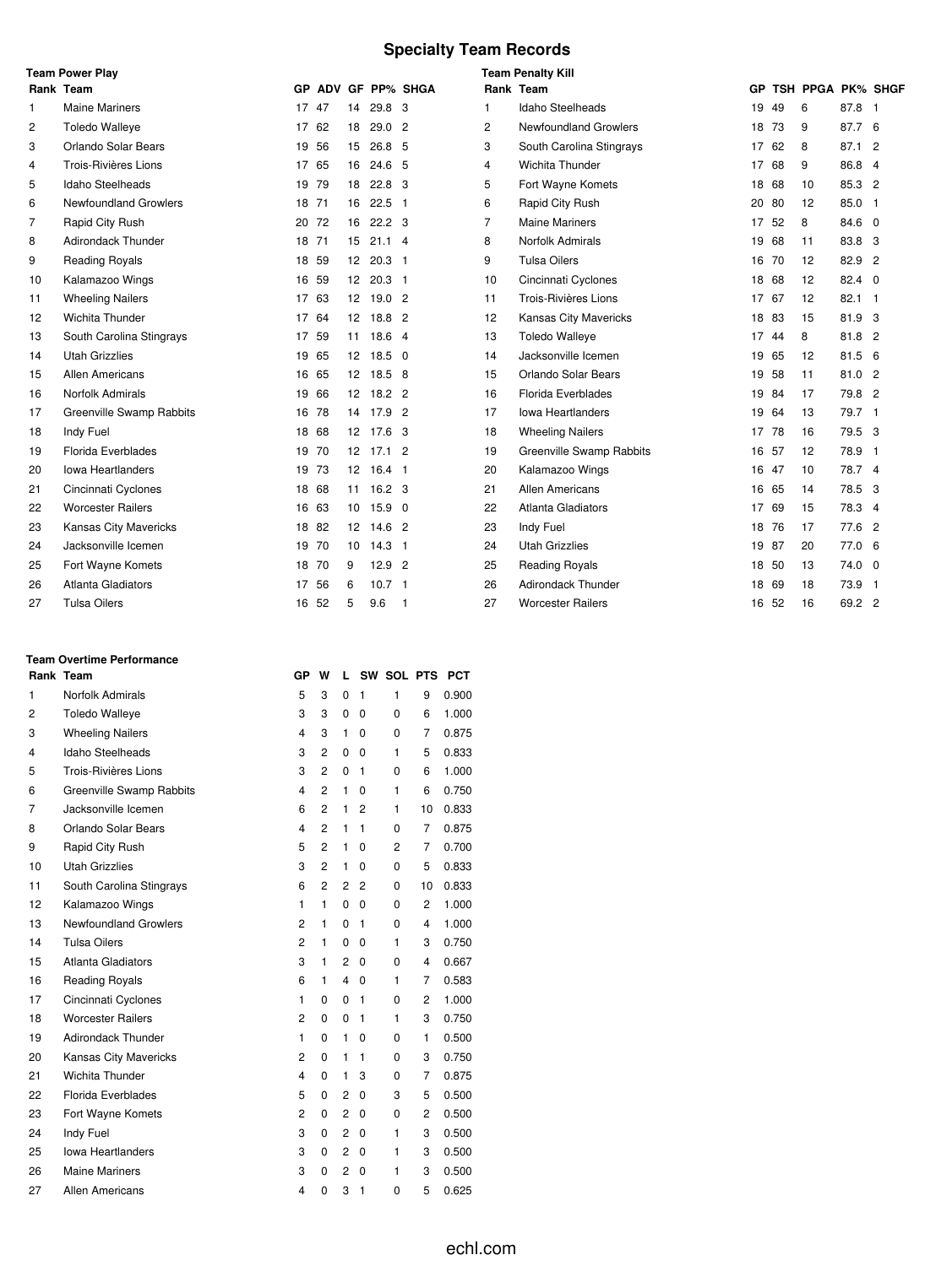## **Specialty Team Records**

|                | <b>Team Power Play</b>    |       |       |                 |                   |                    |                | <b>Team Penalty Kill</b>     |       |    |                   |             |  |
|----------------|---------------------------|-------|-------|-----------------|-------------------|--------------------|----------------|------------------------------|-------|----|-------------------|-------------|--|
|                | Rank Team                 |       |       |                 |                   | GP ADV GF PP% SHGA |                | Rank Team                    | GP.   |    | TSH PPGA PK% SHGF |             |  |
| 1              | <b>Maine Mariners</b>     | 17    | 47    | 14              | 29.8 3            |                    | 1              | <b>Idaho Steelheads</b>      | 19    | 49 | 6                 | 87.8 1      |  |
| 2              | <b>Toledo Walleye</b>     |       | 17 62 | 18              | 29.0              | $\overline{2}$     | 2              | <b>Newfoundland Growlers</b> | 18    | 73 | 9                 | 87.7 6      |  |
| 3              | Orlando Solar Bears       | 19 56 |       | 15              | 26.8 5            |                    | 3              | South Carolina Stingrays     | 17    | 62 | 8                 | 87.1 2      |  |
| 4              | Trois-Rivières Lions      | 17    | 65    | 16              | 24.6              | - 5                | 4              | Wichita Thunder              | 17    | 68 | 9                 | 86.8 4      |  |
| 5              | Idaho Steelheads          | 19 79 |       | 18              | 22.8 <sup>3</sup> |                    | 5              | Fort Wayne Komets            | 18    | 68 | 10                | 85.3 2      |  |
| 6              | Newfoundland Growlers     | 18 71 |       | 16              | $22.5$ 1          |                    | 6              | Rapid City Rush              | 20 80 |    | 12                | 85.0 1      |  |
| $\overline{7}$ | Rapid City Rush           |       | 20 72 | 16              | $22.2 \quad 3$    |                    | $\overline{7}$ | <b>Maine Mariners</b>        | 17    | 52 | 8                 | 84.6 0      |  |
| 8              | Adirondack Thunder        |       | 18 71 | 15              | $21.1$ 4          |                    | 8              | Norfolk Admirals             | 19    | 68 | 11                | 83.8 3      |  |
| 9              | <b>Reading Royals</b>     |       | 18 59 | 12              | 20.3 <sub>1</sub> |                    | 9              | <b>Tulsa Oilers</b>          | 16 70 |    | 12                | 82.9 2      |  |
| 10             | Kalamazoo Wings           | 16 59 |       |                 | 12 20.3 1         |                    | 10             | Cincinnati Cyclones          | 18 68 |    | 12                | 82.4 0      |  |
| 11             | <b>Wheeling Nailers</b>   | 17 63 |       | 12              | 19.02             |                    | 11             | Trois-Rivières Lions         | 17 67 |    | 12                | $82.1$ 1    |  |
| 12             | Wichita Thunder           |       | 17 64 | 12              | $18.8$ 2          |                    | 12             | Kansas City Mavericks        | 18    | 83 | 15                | 81.9 3      |  |
| 13             | South Carolina Stingrays  | 17 59 |       |                 | 11 18.6 4         |                    | 13             | <b>Toledo Walleye</b>        | 17 44 |    | 8                 | 81.8 2      |  |
| 14             | <b>Utah Grizzlies</b>     | 19 65 |       | 12              | $18.5 \quad 0$    |                    | 14             | Jacksonville Icemen          | 19    | 65 | 12                | 81.5 6      |  |
| 15             | Allen Americans           | 16 65 |       |                 | 12 18.5 8         |                    | 15             | Orlando Solar Bears          | 19 58 |    | 11                | 81.0 2      |  |
| 16             | <b>Norfolk Admirals</b>   | 19 66 |       |                 | 12 18.2 2         |                    | 16             | Florida Everblades           | 19 84 |    | 17                | 79.8 2      |  |
| 17             | Greenville Swamp Rabbits  |       | 16 78 | 14              | $17.9$ 2          |                    | 17             | <b>Iowa Heartlanders</b>     | 19 64 |    | 13                | 79.7 1      |  |
| 18             | Indy Fuel                 |       | 18 68 |                 | 12 17.6 3         |                    | 18             | <b>Wheeling Nailers</b>      | 17 78 |    | 16                | 79.5 3      |  |
| 19             | Florida Everblades        |       | 19 70 |                 | 12 17.1 2         |                    | 19             | Greenville Swamp Rabbits     | 16 57 |    | 12                | 78.9 1      |  |
| 20             | <b>Iowa Heartlanders</b>  | 19 73 |       |                 | 12 16.4 1         |                    | 20             | Kalamazoo Wings              | 16 47 |    | 10                | 78.7 4      |  |
| 21             | Cincinnati Cyclones       |       | 18 68 |                 | 11 16.2 3         |                    | 21             | <b>Allen Americans</b>       | 16 65 |    | 14                | 78.5 3      |  |
| 22             | <b>Worcester Railers</b>  |       | 16 63 | 10 <sup>°</sup> | $15.9$ 0          |                    | 22             | <b>Atlanta Gladiators</b>    | 17    | 69 | 15                | 78.3 4      |  |
| 23             | Kansas City Mavericks     |       | 18 82 |                 | 12 14.6 2         |                    | 23             | Indy Fuel                    | 18 76 |    | 17                | 77.6 2      |  |
| 24             | Jacksonville Icemen       |       | 19 70 | 10              | $14.3$ 1          |                    | 24             | <b>Utah Grizzlies</b>        | 19 87 |    | 20                | 77.0 6      |  |
| 25             | Fort Wayne Komets         |       | 18 70 | 9               | $12.9$ 2          |                    | 25             | Reading Royals               | 18 50 |    | 13                | $74.0\quad$ |  |
| 26             | <b>Atlanta Gladiators</b> | 17 56 |       | 6               | 10.7 <sub>1</sub> |                    | 26             | <b>Adirondack Thunder</b>    | 18 69 |    | 18                | 73.9 1      |  |
| 27             | <b>Tulsa Oilers</b>       |       | 16 52 | 5               | 9.6               | -1                 | 27             | <b>Worcester Railers</b>     | 16 52 |    | 16                | 69.2 2      |  |

#### **Team Overtime Performance**

|    | Rank Team                | GР                      | w              | L              | <b>SW</b>      | <b>SOL PTS</b> |    | <b>PCT</b> |
|----|--------------------------|-------------------------|----------------|----------------|----------------|----------------|----|------------|
| 1  | Norfolk Admirals         | 5                       | 3              | 0              | 1              | 1              | 9  | 0.900      |
| 2  | <b>Toledo Walleye</b>    | 3                       | 3              | 0              | 0              | 0              | 6  | 1.000      |
| 3  | <b>Wheeling Nailers</b>  | 4                       | 3              | 1              | 0              | 0              | 7  | 0.875      |
| 4  | Idaho Steelheads         | 3                       | $\overline{2}$ | 0              | 0              | 1              | 5  | 0.833      |
| 5  | Trois-Rivières Lions     | 3                       | $\overline{2}$ | 0              | 1              | 0              | 6  | 1.000      |
| 6  | Greenville Swamp Rabbits | $\overline{\mathbf{4}}$ | $\overline{2}$ | 1              | 0              | 1              | 6  | 0.750      |
| 7  | Jacksonville Icemen      | 6                       | $\overline{2}$ | 1              | $\overline{2}$ | 1              | 10 | 0.833      |
| 8  | Orlando Solar Bears      | $\overline{4}$          | $\overline{2}$ | 1              | 1              | 0              | 7  | 0.875      |
| 9  | Rapid City Rush          | 5                       | 2              | 1              | 0              | 2              | 7  | 0.700      |
| 10 | <b>Utah Grizzlies</b>    | 3                       | 2              | 1              | 0              | 0              | 5  | 0.833      |
| 11 | South Carolina Stingrays | 6                       | $\overline{2}$ | 2              | 2              | 0              | 10 | 0.833      |
| 12 | Kalamazoo Wings          | 1                       | 1              | 0              | 0              | 0              | 2  | 1.000      |
| 13 | Newfoundland Growlers    | $\overline{2}$          | $\mathbf{1}$   | 0              | 1              | 0              | 4  | 1.000      |
| 14 | <b>Tulsa Oilers</b>      | $\overline{c}$          | 1              | 0              | 0              | 1              | 3  | 0.750      |
| 15 | Atlanta Gladiators       | 3                       | 1              | 2              | 0              | 0              | 4  | 0.667      |
| 16 | <b>Reading Royals</b>    | 6                       | 1              | 4              | 0              | 1              | 7  | 0.583      |
| 17 | Cincinnati Cyclones      | 1                       | 0              | 0              | 1              | 0              | 2  | 1.000      |
| 18 | <b>Worcester Railers</b> | $\overline{c}$          | 0              | 0              | 1              | 1              | 3  | 0.750      |
| 19 | Adirondack Thunder       | 1                       | 0              | 1              | 0              | 0              | 1  | 0.500      |
| 20 | Kansas City Mavericks    | 2                       | 0              | 1              | 1              | 0              | 3  | 0.750      |
| 21 | Wichita Thunder          | $\overline{4}$          | 0              | 1              | 3              | 0              | 7  | 0.875      |
| 22 | Florida Everblades       | 5                       | 0              | 2              | 0              | 3              | 5  | 0.500      |
| 23 | Fort Wayne Komets        | 2                       | 0              | 2              | 0              | 0              | 2  | 0.500      |
| 24 | Indy Fuel                | 3                       | 0              | $\overline{2}$ | 0              | 1              | 3  | 0.500      |
| 25 | <b>Iowa Heartlanders</b> | 3                       | 0              | 2              | 0              | 1              | 3  | 0.500      |
| 26 | <b>Maine Mariners</b>    | 3                       | 0              | $\overline{2}$ | 0              | 1              | 3  | 0.500      |
| 27 | Allen Americans          | 4                       | 0              | 3              | 1              | 0              | 5  | 0.625      |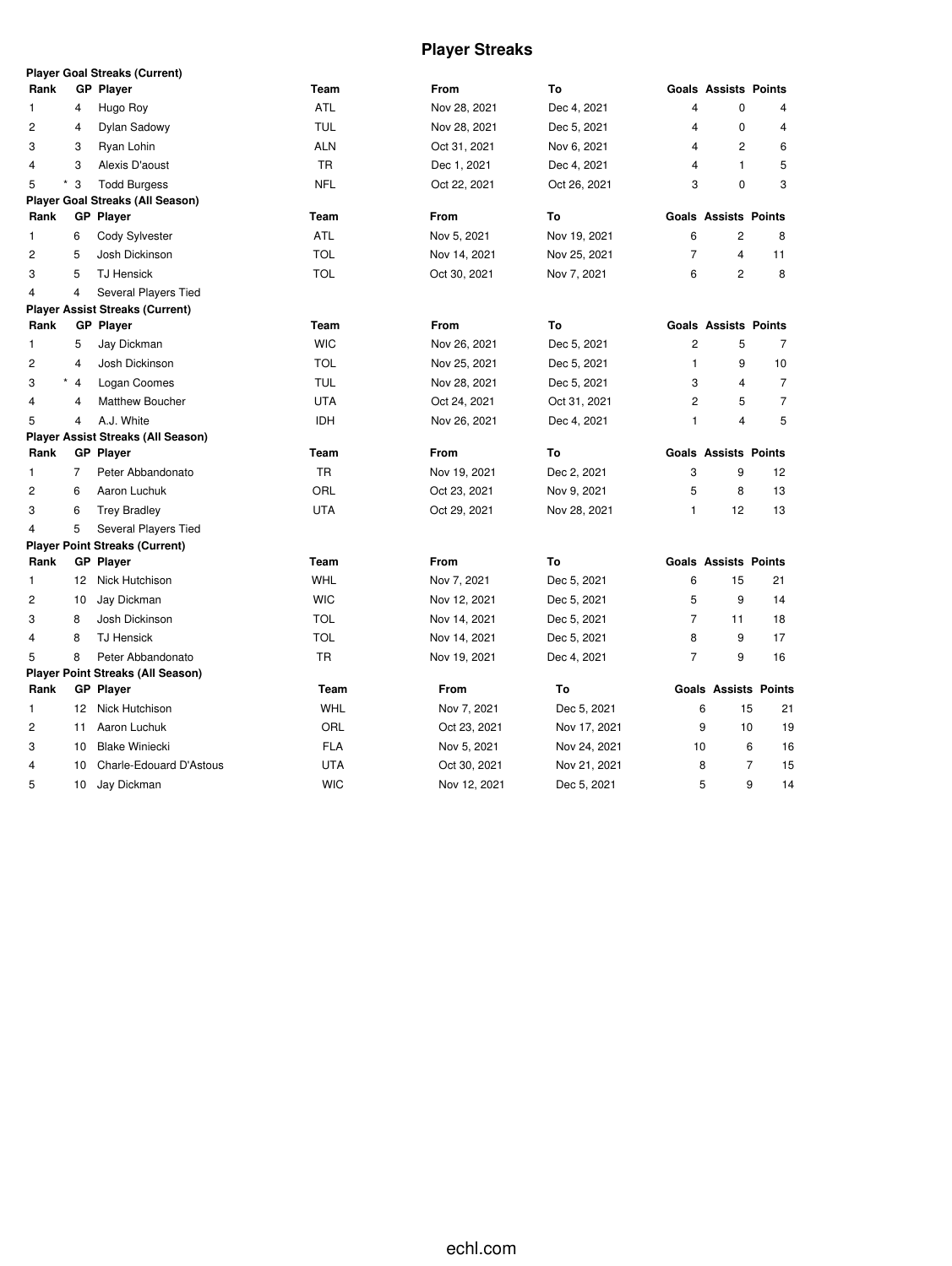## **Player Streaks**

|                |                | <b>Player Goal Streaks (Current)</b>      |            |              |              |                |                             |                             |
|----------------|----------------|-------------------------------------------|------------|--------------|--------------|----------------|-----------------------------|-----------------------------|
| Rank           |                | <b>GP Player</b>                          | Team       | From         | To           |                | <b>Goals Assists Points</b> |                             |
| 1              | 4              | Hugo Roy                                  | <b>ATL</b> | Nov 28, 2021 | Dec 4, 2021  | 4              | $\mathbf{0}$                | $\overline{4}$              |
| 2              | 4              | Dylan Sadowy                              | <b>TUL</b> | Nov 28, 2021 | Dec 5, 2021  | 4              | $\mathbf 0$                 | $\overline{4}$              |
| 3              | 3              | Ryan Lohin                                | <b>ALN</b> | Oct 31, 2021 | Nov 6, 2021  | 4              | $\overline{c}$              | 6                           |
| 4              | 3              | Alexis D'aoust                            | TR         | Dec 1, 2021  | Dec 4, 2021  | 4              | 1                           | 5                           |
| 5              | $*3$           | <b>Todd Burgess</b>                       | <b>NFL</b> | Oct 22, 2021 | Oct 26, 2021 | 3              | $\mathbf 0$                 | 3                           |
|                |                | <b>Player Goal Streaks (All Season)</b>   |            |              |              |                |                             |                             |
| Rank           |                | <b>GP</b> Player                          | Team       | <b>From</b>  | To           |                | <b>Goals Assists Points</b> |                             |
| 1              | 6              | Cody Sylvester                            | <b>ATL</b> | Nov 5, 2021  | Nov 19, 2021 | 6              | 2                           | 8                           |
| 2              | 5              | Josh Dickinson                            | <b>TOL</b> | Nov 14, 2021 | Nov 25, 2021 | $\overline{7}$ | 4                           | 11                          |
| 3              | 5              | <b>TJ Hensick</b>                         | <b>TOL</b> | Oct 30, 2021 | Nov 7, 2021  | 6              | 2                           | 8                           |
| 4              | 4              | Several Players Tied                      |            |              |              |                |                             |                             |
|                |                | <b>Player Assist Streaks (Current)</b>    |            |              |              |                |                             |                             |
| Rank           |                | <b>GP</b> Player                          | Team       | <b>From</b>  | To           |                | <b>Goals Assists Points</b> |                             |
| 1              | 5              | Jay Dickman                               | <b>WIC</b> | Nov 26, 2021 | Dec 5, 2021  | $\overline{c}$ | 5                           | $\overline{7}$              |
| 2              | 4              | Josh Dickinson                            | <b>TOL</b> | Nov 25, 2021 | Dec 5, 2021  | $\mathbf{1}$   | 9                           | 10                          |
| 3              | $*$ 4          | Logan Coomes                              | <b>TUL</b> | Nov 28, 2021 | Dec 5, 2021  | 3              | 4                           | $\overline{7}$              |
| 4              | $\overline{4}$ | Matthew Boucher                           | <b>UTA</b> | Oct 24, 2021 | Oct 31, 2021 | $\overline{2}$ | 5                           | $\overline{7}$              |
| 5              | 4              | A.J. White                                | <b>IDH</b> | Nov 26, 2021 | Dec 4, 2021  | $\mathbf{1}$   | $\overline{4}$              | 5                           |
|                |                | <b>Player Assist Streaks (All Season)</b> |            |              |              |                |                             |                             |
| Rank           |                | <b>GP</b> Player                          | Team       | From         | To           |                | <b>Goals Assists Points</b> |                             |
| 1              | $\overline{7}$ | Peter Abbandonato                         | TR         | Nov 19, 2021 | Dec 2, 2021  | 3              | 9                           | 12                          |
| 2              | 6              | Aaron Luchuk                              | ORL        | Oct 23, 2021 | Nov 9, 2021  | 5              | 8                           | 13                          |
| 3              | 6              | <b>Trey Bradley</b>                       | <b>UTA</b> | Oct 29, 2021 | Nov 28, 2021 | $\mathbf{1}$   | 12                          | 13                          |
| 4              | 5              | Several Players Tied                      |            |              |              |                |                             |                             |
|                |                | <b>Player Point Streaks (Current)</b>     |            |              |              |                |                             |                             |
| Rank           |                | <b>GP</b> Player                          | Team       | <b>From</b>  | To           |                | <b>Goals Assists Points</b> |                             |
| 1              | 12             | Nick Hutchison                            | <b>WHL</b> | Nov 7, 2021  | Dec 5, 2021  | 6              | 15                          | 21                          |
| 2              | 10             | Jay Dickman                               | <b>WIC</b> | Nov 12, 2021 | Dec 5, 2021  | 5              | 9                           | 14                          |
| 3              | 8              | Josh Dickinson                            | <b>TOL</b> | Nov 14, 2021 | Dec 5, 2021  | $\overline{7}$ | 11                          | 18                          |
| 4              | 8              | <b>TJ Hensick</b>                         | <b>TOL</b> | Nov 14, 2021 | Dec 5, 2021  | 8              | 9                           | 17                          |
| 5              | 8              | Peter Abbandonato                         | <b>TR</b>  | Nov 19, 2021 | Dec 4, 2021  | $\overline{7}$ | 9                           | 16                          |
|                |                | <b>Player Point Streaks (All Season)</b>  |            |              |              |                |                             |                             |
| Rank           |                | <b>GP</b> Player                          | Team       | From         | To           |                |                             | <b>Goals Assists Points</b> |
| $\mathbf{1}$   | 12             | Nick Hutchison                            | <b>WHL</b> | Nov 7, 2021  | Dec 5, 2021  | 6              | 15                          | 21                          |
| $\overline{c}$ | 11             | Aaron Luchuk                              | ORL        | Oct 23, 2021 | Nov 17, 2021 | 9              | 10                          | 19                          |
| 3              | 10             | <b>Blake Winiecki</b>                     | FLA        | Nov 5, 2021  | Nov 24, 2021 | 10             |                             | 6<br>16                     |
| 4              | 10             | Charle-Edouard D'Astous                   | <b>UTA</b> | Oct 30, 2021 | Nov 21, 2021 | 8              |                             | $\overline{7}$<br>15        |
| 5              | 10             | Jay Dickman                               | <b>WIC</b> | Nov 12, 2021 | Dec 5, 2021  | 5              |                             | 9<br>14                     |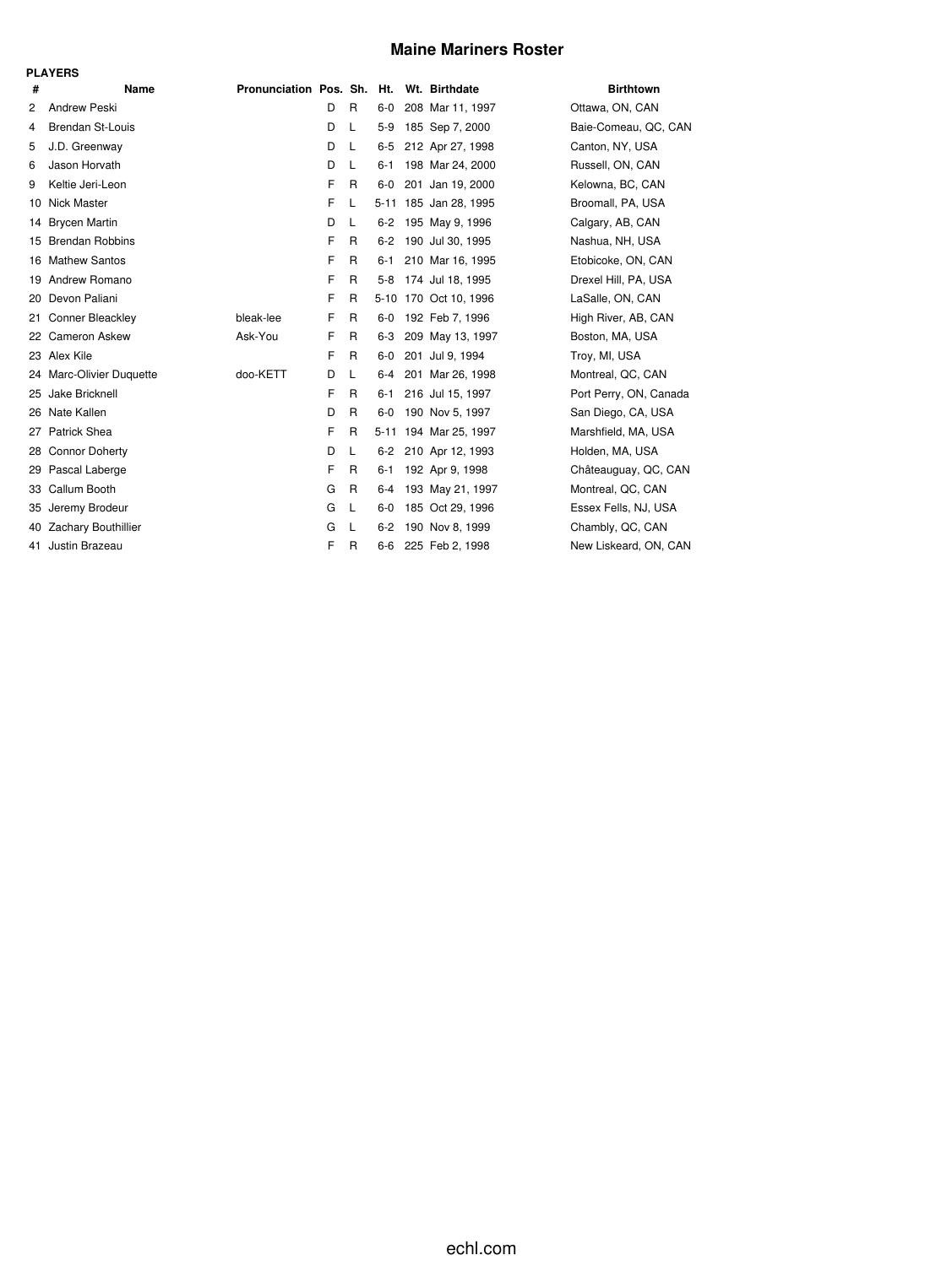### **Maine Mariners Roster**

| Ξ<br>×<br>۰, |  |
|--------------|--|
|--------------|--|

| #              | Name                     | Pronunciation Pos. Sh. Ht. Wt. Birthdate |   |              |         |                       | <b>Birthtown</b>       |
|----------------|--------------------------|------------------------------------------|---|--------------|---------|-----------------------|------------------------|
| $\overline{2}$ | <b>Andrew Peski</b>      |                                          | D | $\mathsf{R}$ | $6-0$   | 208 Mar 11, 1997      | Ottawa, ON, CAN        |
| 4              | <b>Brendan St-Louis</b>  |                                          | D | L            | $5-9$   | 185 Sep 7, 2000       | Baie-Comeau, QC, CAN   |
| 5              | J.D. Greenway            |                                          | D | L            | $6 - 5$ | 212 Apr 27, 1998      | Canton, NY, USA        |
| 6              | Jason Horvath            |                                          | D | L            | $6 - 1$ | 198 Mar 24, 2000      | Russell, ON, CAN       |
| 9              | Keltie Jeri-Leon         |                                          | F | $\mathsf{R}$ | 6-0     | 201 Jan 19, 2000      | Kelowna, BC, CAN       |
| 10             | <b>Nick Master</b>       |                                          | F | L            |         | 5-11 185 Jan 28, 1995 | Broomall, PA, USA      |
| 14             | <b>Brycen Martin</b>     |                                          | D | L            | $6-2$   | 195 May 9, 1996       | Calgary, AB, CAN       |
|                | 15 Brendan Robbins       |                                          | F | R            | $6-2$   | 190 Jul 30, 1995      | Nashua, NH, USA        |
|                | 16 Mathew Santos         |                                          | F | R            | 6-1     | 210 Mar 16, 1995      | Etobicoke, ON, CAN     |
|                | 19 Andrew Romano         |                                          | F | R            | 5-8     | 174 Jul 18, 1995      | Drexel Hill, PA, USA   |
| 20             | Devon Paliani            |                                          | F | R            |         | 5-10 170 Oct 10, 1996 | LaSalle, ON, CAN       |
| 21             | Conner Bleackley         | bleak-lee                                | F | $\mathsf{R}$ | $6-0$   | 192 Feb 7, 1996       | High River, AB, CAN    |
|                | 22 Cameron Askew         | Ask-You                                  | F | R            | 6-3     | 209 May 13, 1997      | Boston, MA, USA        |
|                | 23 Alex Kile             |                                          | F | R            | $6-0$   | 201 Jul 9, 1994       | Troy, MI, USA          |
|                | 24 Marc-Olivier Duquette | doo-KETT                                 | D | L            | 6-4     | 201 Mar 26, 1998      | Montreal, QC, CAN      |
| 25             | Jake Bricknell           |                                          | F | R            | 6-1     | 216 Jul 15, 1997      | Port Perry, ON, Canada |
| 26             | Nate Kallen              |                                          | D | R            | $6-0$   | 190 Nov 5, 1997       | San Diego, CA, USA     |
| 27             | <b>Patrick Shea</b>      |                                          | F | R            |         | 5-11 194 Mar 25, 1997 | Marshfield, MA, USA    |
| 28             | <b>Connor Doherty</b>    |                                          | D | L            |         | 6-2 210 Apr 12, 1993  | Holden, MA, USA        |
|                | 29 Pascal Laberge        |                                          | F | R            | 6-1     | 192 Apr 9, 1998       | Châteauguay, QC, CAN   |
| 33             | Callum Booth             |                                          | G | R            | 6-4     | 193 May 21, 1997      | Montreal, QC, CAN      |
|                | 35 Jeremy Brodeur        |                                          | G | L            | 6-0     | 185 Oct 29, 1996      | Essex Fells, NJ, USA   |
| 40             | Zachary Bouthillier      |                                          | G | L            | $6-2$   | 190 Nov 8, 1999       | Chambly, QC, CAN       |
|                | 41 Justin Brazeau        |                                          | F | R            | 6-6     | 225 Feb 2, 1998       | New Liskeard, ON, CAN  |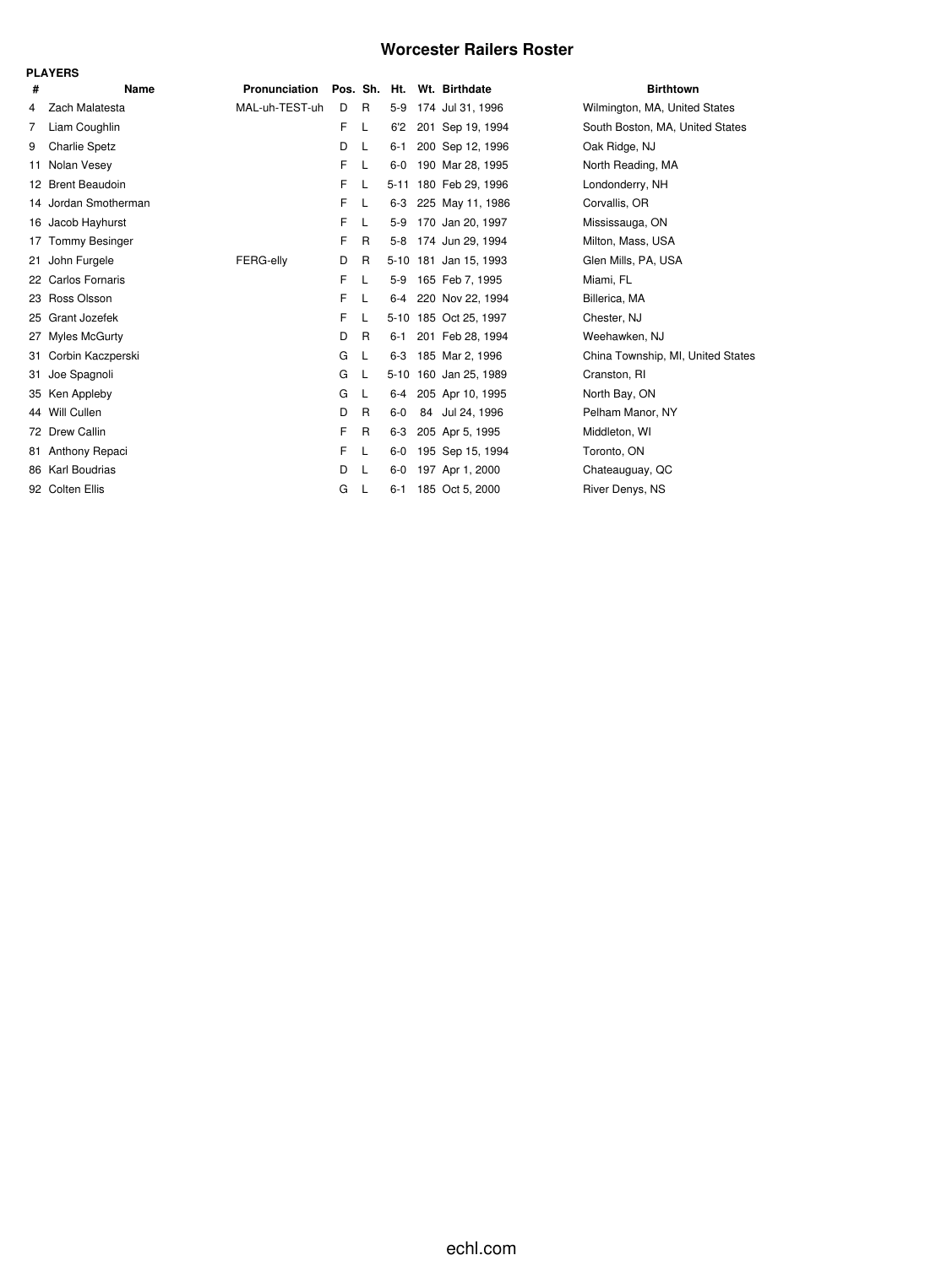### **Worcester Railers Roster**

|    | <b>PLAYERS</b>        |                |    |              |         |  |                            |                                   |  |  |  |  |  |
|----|-----------------------|----------------|----|--------------|---------|--|----------------------------|-----------------------------------|--|--|--|--|--|
| #  | Name                  | Pronunciation  |    |              |         |  | Pos. Sh. Ht. Wt. Birthdate | <b>Birthtown</b>                  |  |  |  |  |  |
| 4  | Zach Malatesta        | MAL-uh-TEST-uh | D  | R            | $5-9$   |  | 174 Jul 31, 1996           | Wilmington, MA, United States     |  |  |  |  |  |
| 7  | Liam Coughlin         |                | F. | L            | 6'2     |  | 201 Sep 19, 1994           | South Boston, MA, United States   |  |  |  |  |  |
| 9  | <b>Charlie Spetz</b>  |                | D  |              | $6 - 1$ |  | 200 Sep 12, 1996           | Oak Ridge, NJ                     |  |  |  |  |  |
| 11 | Nolan Vesev           |                | F  | L            | $6-0$   |  | 190 Mar 28, 1995           | North Reading, MA                 |  |  |  |  |  |
|    | 12 Brent Beaudoin     |                | F  | L            |         |  | 5-11 180 Feb 29, 1996      | Londonderry, NH                   |  |  |  |  |  |
|    | 14 Jordan Smotherman  |                | F  | L            |         |  | 6-3 225 May 11, 1986       | Corvallis, OR                     |  |  |  |  |  |
|    | 16 Jacob Hayhurst     |                | F. | L            | 5-9     |  | 170 Jan 20, 1997           | Mississauga, ON                   |  |  |  |  |  |
| 17 | <b>Tommy Besinger</b> |                | F  | $\mathsf{R}$ |         |  | 5-8 174 Jun 29, 1994       | Milton, Mass, USA                 |  |  |  |  |  |
| 21 | John Furgele          | FERG-elly      | D  | R            |         |  | 5-10 181 Jan 15, 1993      | Glen Mills, PA, USA               |  |  |  |  |  |
|    | 22 Carlos Fornaris    |                | F  | L            | 5-9     |  | 165 Feb 7, 1995            | Miami, FL                         |  |  |  |  |  |
| 23 | Ross Olsson           |                | F. | L            | 6-4     |  | 220 Nov 22, 1994           | Billerica, MA                     |  |  |  |  |  |
| 25 | Grant Jozefek         |                | F  | L            |         |  | 5-10 185 Oct 25, 1997      | Chester, NJ                       |  |  |  |  |  |
| 27 | <b>Myles McGurty</b>  |                | D  | R            | $6 - 1$ |  | 201 Feb 28, 1994           | Weehawken, NJ                     |  |  |  |  |  |
| 31 | Corbin Kaczperski     |                | G  | L            | $6 - 3$ |  | 185 Mar 2, 1996            | China Township, MI, United States |  |  |  |  |  |
| 31 | Joe Spagnoli          |                | G  | L            |         |  | 5-10 160 Jan 25, 1989      | Cranston, RI                      |  |  |  |  |  |
|    | 35 Ken Appleby        |                | G  | L            | 6-4     |  | 205 Apr 10, 1995           | North Bay, ON                     |  |  |  |  |  |
|    | 44 Will Cullen        |                | D  | $\mathsf{R}$ | 6-0     |  | 84 Jul 24, 1996            | Pelham Manor, NY                  |  |  |  |  |  |
|    | 72 Drew Callin        |                | F  | R            | $6-3$   |  | 205 Apr 5, 1995            | Middleton, WI                     |  |  |  |  |  |
| 81 | Anthony Repaci        |                | F  | L            | $6-0$   |  | 195 Sep 15, 1994           | Toronto, ON                       |  |  |  |  |  |
|    | 86 Karl Boudrias      |                | D  | L            | $6-0$   |  | 197 Apr 1, 2000            | Chateauguay, QC                   |  |  |  |  |  |
|    | 92 Colten Ellis       |                | G  |              | $6 - 1$ |  | 185 Oct 5, 2000            | River Denys, NS                   |  |  |  |  |  |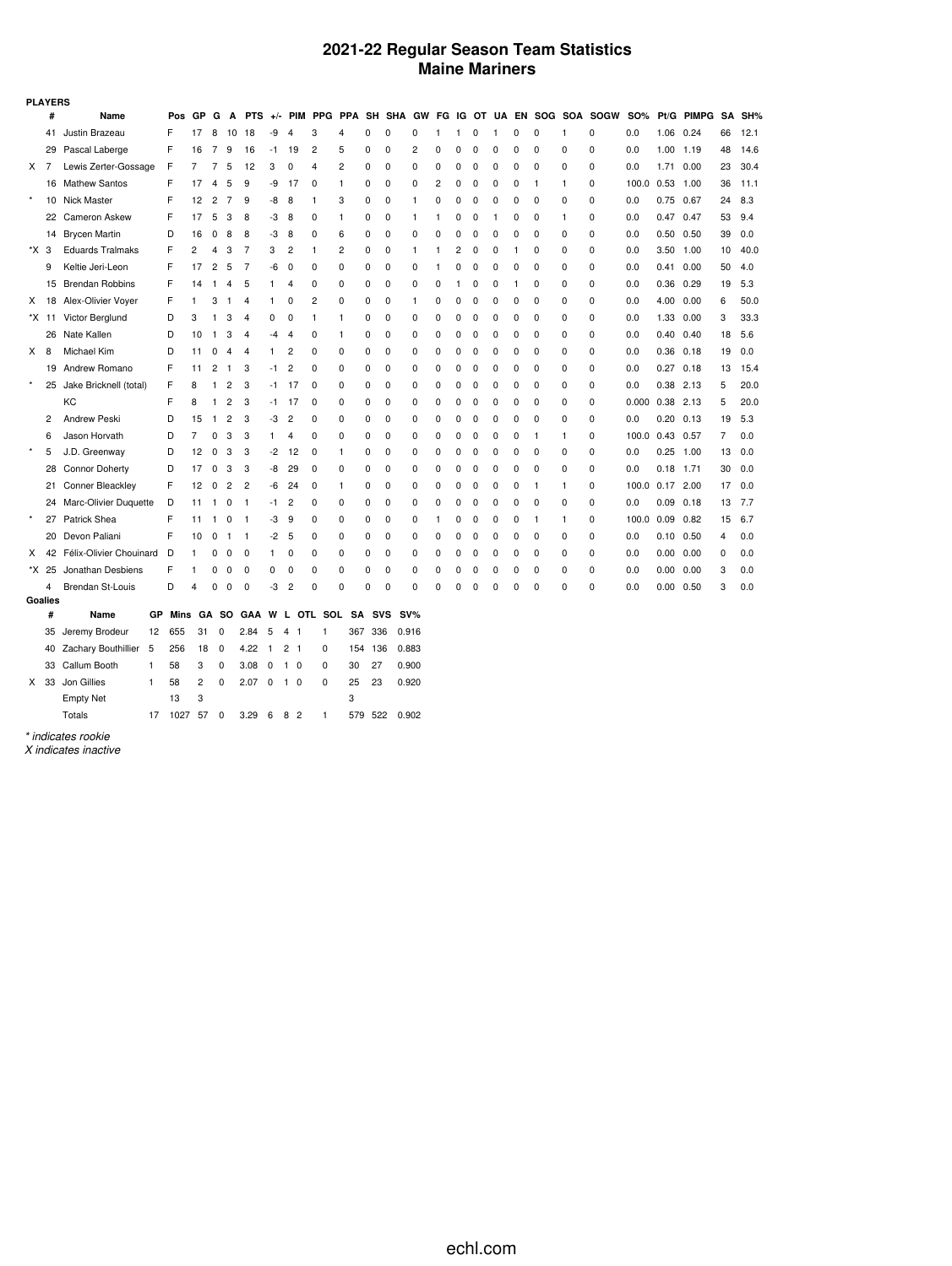### **2021-22 Regular Season Team Statistics Maine Mariners**

|          | <b>PLAYERS</b> |                             |      |                |                |                |                |              |                 |            |     |            |           |              |             |              |             |              |          |              |                |                          |                 |             |              |    |        |
|----------|----------------|-----------------------------|------|----------------|----------------|----------------|----------------|--------------|-----------------|------------|-----|------------|-----------|--------------|-------------|--------------|-------------|--------------|----------|--------------|----------------|--------------------------|-----------------|-------------|--------------|----|--------|
|          | #              | Name                        | Pos  | GP             | G              | A              | <b>PTS</b>     | $+/-$        | PIM             | <b>PPG</b> | PPA |            | SH SHA GW |              | FG          |              |             |              |          |              |                | IG OT UA EN SOG SOA SOGW | SO%             | Pt/G        | <b>PIMPG</b> |    | SA SH% |
|          | 41             | Justin Brazeau              | F    | 17             | 8              | 10             | 18             | -9           | 4               | 3          | 4   | 0          | 0         | 0            | 1           | $\mathbf{1}$ | 0           | $\mathbf{1}$ | 0        | 0            | 1              | 0                        | 0.0             | 1.06        | 0.24         | 66 | 12.1   |
|          | 29             | Pascal Laberge              | F    | 16             | 7              | 9              | 16             | -1           | 19              | 2          | 5   | $\Omega$   | 0         | 2            | 0           | 0            | 0           | 0            | 0        | $\Omega$     | 0              | $\Omega$                 | 0.0             | 1.00        | 1.19         | 48 | 14.6   |
| X.       | -7             | Lewis Zerter-Gossage        | F    | 7              | 7              | 5              | 12             | 3            | 0               | 4          | 2   | 0          | 0         | 0            | 0           | 0            | 0           | 0            | 0        | 0            | 0              | 0                        | 0.0             | 1.71        | 0.00         | 23 | 30.4   |
|          | 16             | <b>Mathew Santos</b>        | F    | 17             | 4              | 5              | 9              | -9           | 17              | 0          | 1   | 0          | 0         | 0            | 2           | 0            | 0           | 0            | 0        | 1            | $\mathbf{1}$   | 0                        | 100.0           | 0.53        | 1.00         | 36 | 11.1   |
| $\star$  | 10             | <b>Nick Master</b>          | F    | 12             | $\overline{2}$ | 7              | 9              | -8           | 8               | 1          | 3   | 0          | 0         | 1            | 0           | 0            | O           | 0            | 0        | 0            | 0              | 0                        | 0.0             | 0.75 0.67   |              | 24 | 8.3    |
|          | 22             | <b>Cameron Askew</b>        | F    | 17             | 5              | 3              | 8              | -3           | 8               | 0          | 1   | 0          | 0         | 1            | 1           | 0            | $\mathbf 0$ | -1           | 0        | 0            | $\mathbf{1}$   | 0                        | 0.0             | 0.47        | 0.47         | 53 | 9.4    |
|          | 14             | <b>Brycen Martin</b>        | D    | 16             | $\Omega$       | 8              | 8              | -3           | 8               | $\Omega$   | 6   | $\Omega$   | 0         | 0            | $\Omega$    | 0            | 0           | 0            | $\Omega$ | 0            | 0              | 0                        | 0.0             | 0.50        | 0.50         | 39 | 0.0    |
| *X 3     |                | <b>Eduards Tralmaks</b>     | F    | $\overline{2}$ | 4              | 3              | 7              | 3            | 2               | 1          | 2   | 0          | 0         | $\mathbf{1}$ | 1           | 2            | C           | 0            | 1        | 0            | 0              | 0                        | 0.0             | 3.50        | 1.00         | 10 | 40.0   |
|          | 9              | Keltie Jeri-Leon            | F    | 17             | 2              | 5              | 7              | -6           | $\mathbf 0$     | $\Omega$   | 0   | 0          | 0         | 0            | 1           | 0            | 0           | 0            | 0        | $\Omega$     | 0              | $\Omega$                 | 0.0             | 0.41        | 0.00         | 50 | 4.0    |
|          | 15             | <b>Brendan Robbins</b>      | F    | 14             | 1              | 4              | 5              | 1            | 4               | 0          | 0   | 0          | 0         | 0            | 0           | 1            | C           | 0            | 1        | 0            | 0              | 0                        | 0.0             | 0.36        | 0.29         | 19 | 5.3    |
| X        | 18             | Alex-Olivier Voyer          | F    | $\mathbf{1}$   | 3              | $\mathbf{1}$   | 4              | 1            | 0               | 2          | 0   | 0          | 0         | 1            | 0           | 0            | C           | 0            | 0        | 0            | 0              | 0                        | 0.0             | 4.00        | 0.00         | 6  | 50.0   |
|          | *X 11          | Victor Berglund             | D    | 3              | 1              | 3              | 4              | 0            | 0               | 1          | 1   | 0          | 0         | 0            | 0           | 0            | 0           | 0            | 0        | 0            | 0              | 0                        | 0.0             | 1.33        | 0.00         | 3  | 33.3   |
|          | 26             | Nate Kallen                 | D    | 10             | $\mathbf{1}$   | 3              | 4              | -4           | 4               | 0          | 1   | 0          | 0         | 0            | 0           | 0            | 0           | 0            | 0        | 0            | 0              | 0                        | 0.0             | 0.40        | 0.40         | 18 | 5.6    |
| X.       | 8              | Michael Kim                 | D    | 11             | 0              | $\overline{4}$ | 4              | 1            | 2               | 0          | 0   | 0          | 0         | 0            | 0           | 0            | 0           | 0            | 0        | 0            | 0              | 0                        | 0.0             | $0.36$ 0.18 |              | 19 | 0.0    |
|          | 19             | Andrew Romano               | F    | 11             | 2              | $\mathbf{1}$   | 3              | $-1$         | $\overline{c}$  | 0          | 0   | 0          | 0         | 0            | $\mathbf 0$ | 0            | C           | 0            | 0        | 0            | 0              | 0                        | 0.0             | 0.27        | 0.18         | 13 | 15.4   |
| $\star$  | 25             | Jake Bricknell (total)      | F    | 8              | 1              | $\overline{2}$ | 3              | -1           | 17              | $\Omega$   | 0   | 0          | 0         | 0            | $\Omega$    | 0            | 0           | 0            | 0        | $\Omega$     | 0              | 0                        | 0.0             | 0.38        | 2.13         | 5  | 20.0   |
|          |                | КC                          | F    | 8              | 1              | $\overline{2}$ | 3              | -1           | 17              | 0          | 0   | 0          | 0         | 0            | 0           | 0            | 0           | 0            | 0        | 0            | 0              | 0                        | 0.000           | 0.38        | 2.13         | 5  | 20.0   |
|          | $\overline{c}$ | <b>Andrew Peski</b>         | D    | 15             | $\mathbf{1}$   | $\overline{2}$ | 3              | -3           | $\overline{c}$  | $\Omega$   | 0   | 0          | 0         | 0            | 0           | 0            | 0           | 0            | 0        | 0            | 0              | 0                        | 0.0             | 0.20        | 0.13         | 19 | 5.3    |
|          | 6              | Jason Horvath               | D    | 7              | 0              | 3              | 3              | 1.           | 4               | 0          | 0   | 0          | 0         | 0            | 0           | 0            | C           | 0            | 0        | $\mathbf{1}$ | $\overline{1}$ | 0                        | 100.0           | 0.43        | 0.57         | 7  | 0.0    |
| $\star$  | 5              | J.D. Greenway               | D    | 12             | $\Omega$       | 3              | 3              | $-2$         | 12              | 0          | 1   | 0          | 0         | 0            | 0           | 0            | C           | 0            | 0        | 0            | 0              | 0                        | 0.0             | 0.25        | 1.00         | 13 | 0.0    |
|          | 28             | <b>Connor Doherty</b>       | D    | 17             | 0              | 3              | 3              | -8           | 29              | 0          | 0   | 0          | 0         | 0            | 0           | 0            | 0           | 0            | 0        | 0            | 0              | 0                        | 0.0             | 0.18        | 1.71         | 30 | 0.0    |
|          | 21             | Conner Bleackley            | F    | 12             | 0              | $\overline{c}$ | $\overline{c}$ | -6           | 24              | 0          | 1   | $\Omega$   | 0         | 0            | 0           | 0            | 0           | 0            | 0        | 1            | $\mathbf{1}$   | 0                        | 100.0 0.17 2.00 |             |              | 17 | 0.0    |
|          |                | 24 Marc-Olivier Duquette    | D    | 11             | 1              | 0              | -1             | -1           | 2               | 0          | 0   | 0          | 0         | 0            | 0           | 0            | 0           | 0            | U        | 0            | $\mathbf 0$    | 0                        | 0.0             | $0.09$ 0.18 |              | 13 | 7.7    |
| $^\star$ | 27             | Patrick Shea                | F    | 11             | 1              | 0              | $\mathbf{1}$   | -3           | 9               | 0          | 0   | 0          | 0         | 0            | 1           | 0            | C           | 0            | 0        | -1           | $\mathbf{1}$   | 0                        | 100.0           | 0.09        | 0.82         | 15 | 6.7    |
|          | 20             | Devon Paliani               | F    | 10             | 0              | -1             | -1             | -2           | 5               | 0          | 0   | 0          | 0         | 0            | 0           | 0            | 0           | 0            | 0        | 0            | $\mathbf 0$    | 0                        | 0.0             | 0.10        | 0.50         | 4  | 0.0    |
| X        | 42             | Félix-Olivier Chouinard     | D    | 1              | 0              | 0              | 0              | 1            | 0               | 0          | 0   | 0          | 0         | 0            | 0           | 0            | 0           | 0            | 0        | 0            | 0              | 0                        | 0.0             | 0.00        | 0.00         | 0  | 0.0    |
|          | *X 25          | Jonathan Desbiens           | F    |                | 0              | 0              | $\mathbf 0$    | 0            | 0               | 0          | 0   | 0          | 0         | 0            | $\Omega$    | 0            | 0           | $\Omega$     | U        | 0            | 0              | 0                        | 0.0             | $0.00\,$    | 0.00         | 3  | 0.0    |
|          | $\overline{4}$ | <b>Brendan St-Louis</b>     | D    | 4              | 0              | $\mathbf 0$    | 0              | -3           | 2               | 0          | 0   | 0          | 0         | 0            | 0           | 0            | 0           | 0            | 0        | 0            | 0              | 0                        | 0.0             | 0.00        | 0.50         | 3  | 0.0    |
| Goalies  |                |                             |      |                |                |                |                |              |                 |            |     |            |           |              |             |              |             |              |          |              |                |                          |                 |             |              |    |        |
|          | #              | GP<br>Name                  | Mins | GA             |                | <b>SO</b>      | GAA            | W            | <b>OTL</b><br>L | SOL        |     | SA         | SVS       | $SV\%$       |             |              |             |              |          |              |                |                          |                 |             |              |    |        |
|          | 35             | Jeremy Brodeur<br>12        | 655  | 31             | 0              |                | 2.84           | 5            | 4<br>L.         | 1          | 367 |            | 336       | 0.916        |             |              |             |              |          |              |                |                          |                 |             |              |    |        |
|          |                | 40 Zachary Bouthillier<br>5 | 256  | 18             | 0              |                | 4.22           | $\mathbf{1}$ | 2 <sub>1</sub>  | 0          |     | 136<br>154 |           | 0.883        |             |              |             |              |          |              |                |                          |                 |             |              |    |        |

|  | 40 Zachary Bouthiller 5 256 18 0 4.22 1 2 1 0 |    |              |   |          |                                |  |          |       | 154 136 0.883   |
|--|-----------------------------------------------|----|--------------|---|----------|--------------------------------|--|----------|-------|-----------------|
|  | 33 Callum Booth                               | 1. | 58           |   |          | 3 0 3.08 0 1 0                 |  | $\Omega$ | 30 27 | 0.900           |
|  | X 33 Jon Gillies                              |    | 58           | 2 | $\Omega$ | 2.07 0 1 0                     |  | $\Omega$ | 25 23 | 0.920           |
|  | <b>Empty Net</b>                              |    | $13 \quad 3$ |   |          |                                |  |          |       |                 |
|  | Totals                                        |    | $1027$ 57 0  |   |          | $3.29 \quad 6 \quad 8 \quad 2$ |  |          |       | 1 579 522 0.902 |

*\* indicates rookie*

*X indicates inactive*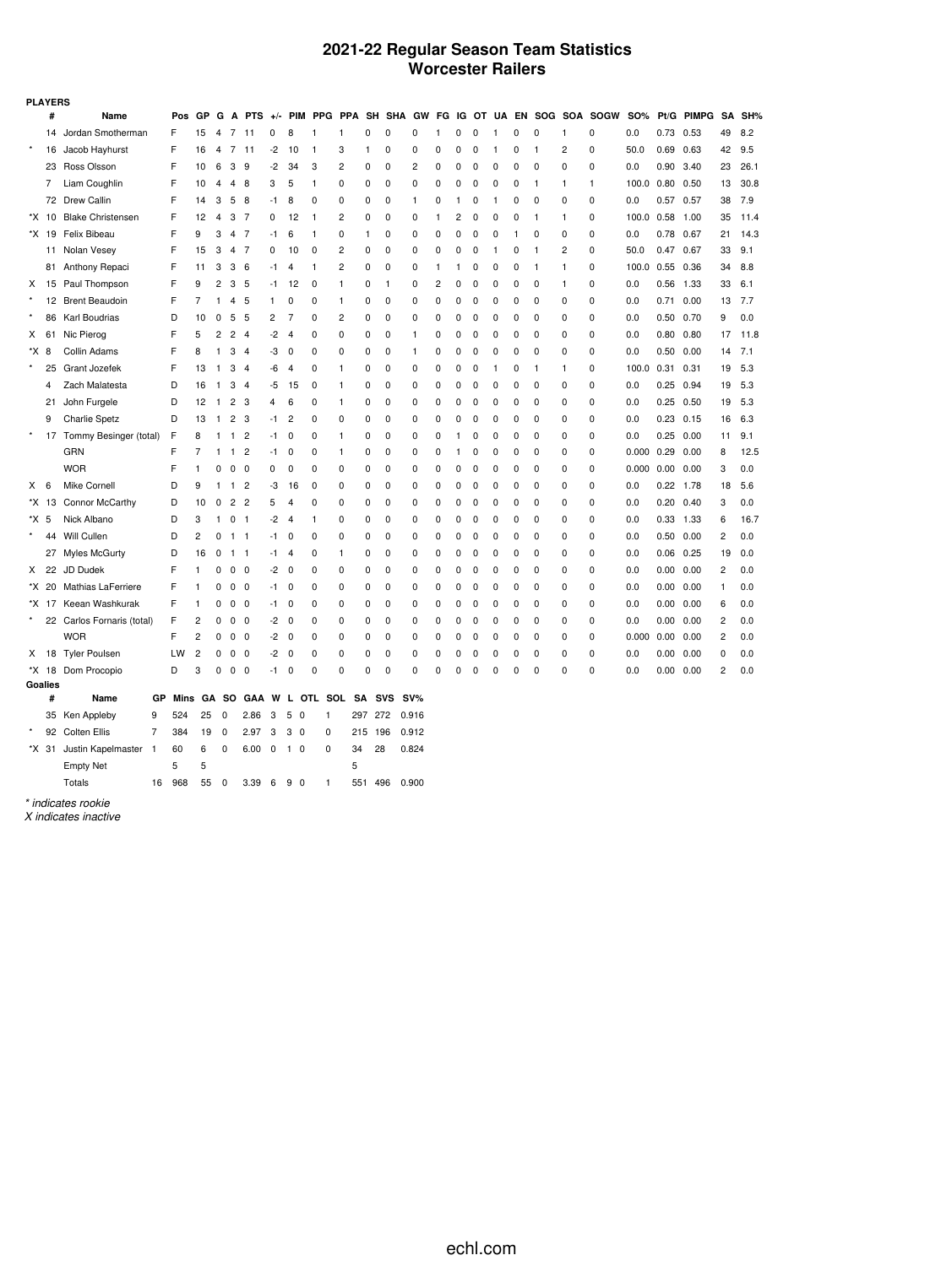### **2021-22 Regular Season Team Statistics Worcester Railers**

|          | <b>PLAYERS</b> |                                |      |                |                |              |                |             |                   |            |            |           |            |       |              |    |             |             |              |              |              |             |                    |      |              |    |      |
|----------|----------------|--------------------------------|------|----------------|----------------|--------------|----------------|-------------|-------------------|------------|------------|-----------|------------|-------|--------------|----|-------------|-------------|--------------|--------------|--------------|-------------|--------------------|------|--------------|----|------|
|          | #              | Name                           | Pos  | GP             | G              | Δ            | <b>PTS</b>     | $+/-$       | <b>PIM</b>        | <b>PPG</b> | <b>PPA</b> | SH        | <b>SHA</b> | GW    | FG           | IG | ΟТ          | UA          |              | EN SOG SOA   |              | <b>SOGW</b> | <b>SO%</b>         | Pt/G | <b>PIMPG</b> | SA | SH%  |
|          | 14             | Jordan Smotherman              | F    | 15             | 4              | 7            | 11             | 0           | 8                 | 1          | 1          | 0         | 0          | 0     | $\mathbf{1}$ | 0  | 0           | -1          | 0            | 0            | $\mathbf{1}$ | 0           | 0.0                | 0.73 | 0.53         | 49 | 8.2  |
| $\star$  | 16             | Jacob Hayhurst                 | F    | 16             | 4              | 7            | 11             | -2          | 10                | 1          | 3          | 1         | 0          | 0     | 0            | 0  | 0           | 1           | 0            | $\mathbf{1}$ | 2            | 0           | 50.0               | 0.69 | 0.63         | 42 | 9.5  |
|          | 23             | Ross Olsson                    | F    | 10             | 6              | 3            | 9              | -2          | 34                | 3          | 2          | 0         | 0          | 2     | 0            | 0  | 0           | 0           | 0            | 0            | $\mathbf 0$  | 0           | 0.0                | 0.90 | 3.40         | 23 | 26.1 |
|          | 7              | Liam Coughlin                  | F    | 10             | 4              | 4            | 8              | 3           | 5                 | 1          | 0          | 0         | 0          | 0     | 0            | 0  | 0           | 0           | 0            | -1           | $\mathbf{1}$ | 1           | 100.0 0.80         |      | 0.50         | 13 | 30.8 |
|          | 72             | <b>Drew Callin</b>             | F    | 14             | 3              | 5            | 8              | -1          | 8                 | 0          | 0          | 0         | 0          | 1     | 0            | 1  | 0           | -1          | 0            | 0            | $\mathbf 0$  | 0           | 0.0                | 0.57 | 0.57         | 38 | 7.9  |
|          | *X 10          | <b>Blake Christensen</b>       | F    | 12             | $\overline{4}$ | 3            | 7              | 0           | 12                | 1          | 2          | 0         | 0          | 0     | 1            | 2  | 0           | 0           | 0            | 1            | $\mathbf{1}$ | 0           | 100.0              | 0.58 | 1.00         | 35 | 11.4 |
|          | *X 19          | Felix Bibeau                   | F    | 9              | 3              | 4            | -7             | -1          | 6                 | 1          | 0          | 1         | 0          | 0     | 0            | 0  | 0           | 0           | $\mathbf{1}$ | 0            | 0            | 0           | 0.0                | 0.78 | 0.67         | 21 | 14.3 |
|          | 11             | Nolan Vesey                    | F    | 15             | 3              | 4            | -7             | 0           | 10                | 0          | 2          | 0         | 0          | 0     | 0            | 0  | 0           | -1          | 0            | -1           | 2            | 0           | 50.0               | 0.47 | 0.67         | 33 | 9.1  |
|          |                | 81 Anthony Repaci              | F    | 11             | 3              | 3            | - 6            | -1          | 4                 | 1          | 2          | 0         | 0          | 0     | -1           | 1  | 0           | 0           | 0            | $\mathbf{1}$ | $\mathbf{1}$ | 0           | 100.0 0.55 0.36    |      |              | 34 | 8.8  |
| X        |                | 15 Paul Thompson               | F    | 9              | 2              | 3            | 5              | -1          | 12                | 0          | 1          | 0         | 1          | 0     | 2            | 0  | 0           | 0           | 0            | 0            | $\mathbf{1}$ | 0           | 0.0                | 0.56 | 1.33         | 33 | 6.1  |
|          | 12             | <b>Brent Beaudoin</b>          | F    | 7              | 1              | 4            | 5              | 1           | 0                 | 0          | 1          | 0         | 0          | 0     | 0            | 0  | 0           | 0           | 0            | 0            | 0            | 0           | 0.0                | 0.71 | 0.00         | 13 | 7.7  |
|          | 86             | Karl Boudrias                  | D    | 10             | 0              | 5            | 5              | 2           | 7                 | $\Omega$   | 2          | 0         | 0          | 0     | 0            | 0  | 0           | 0           | 0            | 0            | 0            | 0           | 0.0                | 0.50 | 0.70         | 9  | 0.0  |
| X        | 61             | Nic Pierog                     | F    | 5              | 2              | 2            | $\overline{4}$ | $-2$        | $\overline{4}$    | 0          | 0          | 0         | 0          | 1     | 0            | 0  | 0           | 0           | 0            | 0            | 0            | 0           | 0.0                | 0.80 | 0.80         | 17 | 11.8 |
| *X 8     |                | Collin Adams                   | F    | 8              | 1              | 3            | $\overline{4}$ | -3          | 0                 | 0          | 0          | 0         | 0          | 1     | 0            | 0  | 0           | 0           | 0            | 0            | 0            | 0           | 0.0                | 0.50 | 0.00         | 14 | 7.1  |
|          | 25             | Grant Jozefek                  | F    | 13             | $\mathbf{1}$   | 3            | $\overline{4}$ | -6          | $\overline{4}$    | 0          | 1          | 0         | 0          | 0     | 0            | 0  | 0           | -1          | 0            | $\mathbf{1}$ | $\mathbf{1}$ | 0           | 100.0              | 0.31 | 0.31         | 19 | 5.3  |
|          | 4              | Zach Malatesta                 | D    | 16             | -1             | 3            | $\overline{4}$ | -5          | 15                | 0          | 1          | 0         | 0          | 0     | 0            | 0  | 0           | 0           | 0            | 0            | $\mathbf 0$  | 0           | 0.0                | 0.25 | 0.94         | 19 | 5.3  |
|          | 21             | John Furgele                   | D    | 12             | 1              | 2            | 3              | 4           | 6                 | 0          | 1          | 0         | 0          | 0     | 0            | 0  | 0           | 0           | 0            | 0            | 0            | 0           | 0.0                | 0.25 | 0.50         | 19 | 5.3  |
|          | 9              | <b>Charlie Spetz</b>           | D    | 13             | -1             | 2            | 3              | $-1$        | $\overline{2}$    | $\Omega$   | 0          | 0         | 0          | 0     | 0            | 0  | 0           | $\mathbf 0$ | 0            | 0            | $\mathbf 0$  | 0           | 0.0                | 0.23 | 0.15         | 16 | 6.3  |
|          |                | 17 Tommy Besinger (total)      | F    | 8              | 1              | 1            | $\overline{c}$ | -1          | 0                 | 0          | 1          | 0         | 0          | 0     | 0            | 1  | 0           | 0           | 0            | 0            | 0            | 0           | 0.0                | 0.25 | 0.00         | 11 | 9.1  |
|          |                | <b>GRN</b>                     | F    | 7              | 1              | $\mathbf{1}$ | $\overline{c}$ | -1          | 0                 | $\Omega$   | 1          | 0         | 0          | 0     | 0            | 1  | 0           | 0           | 0            | 0            | 0            | 0           | 0.000              | 0.29 | 0.00         | 8  | 12.5 |
|          |                | <b>WOR</b>                     | F    | 1              | 0              | 0            | 0              | 0           | 0                 | 0          | 0          | 0         | 0          | 0     | 0            | 0  | 0           | 0           | 0            | 0            | 0            | 0           | $0.000 \quad 0.00$ |      | 0.00         | 3  | 0.0  |
| X.       | 6              | Mike Cornell                   | D    | 9              | 1              | $\mathbf{1}$ | $\overline{2}$ | -3          | 16                | 0          | 0          | 0         | 0          | 0     | 0            | 0  | 0           | 0           | 0            | 0            | 0            | 0           | 0.0                | 0.22 | 1.78         | 18 | 5.6  |
|          | *X 13          | Connor McCarthy                | D    | 10             | 0              | 2            | $\overline{c}$ | 5           | 4                 | 0          | 0          | 0         | 0          | 0     | 0            | 0  | 0           | 0           | 0            | 0            | 0            | 0           | 0.0                | 0.20 | 0.40         | 3  | 0.0  |
| *X 5     |                | Nick Albano                    | D    | 3              | 1              | 0            | -1             | $-2$        | $\overline{4}$    | 1          | 0          | 0         | 0          | 0     | 0            | 0  | $\mathbf 0$ | $\mathbf 0$ | 0            | 0            | $\mathbf 0$  | 0           | 0.0                | 0.33 | 1.33         | 6  | 16.7 |
|          | 44             | Will Cullen                    | D    | 2              | 0              | -1           | $\overline{1}$ | -1          | 0                 | 0          | 0          | 0         | 0          | 0     | 0            | 0  | 0           | 0           | 0            | 0            | 0            | 0           | 0.0                | 0.50 | 0.00         | 2  | 0.0  |
|          |                | 27 Myles McGurty               | D    | 16             | 0              | 1            | $\overline{1}$ | -1          | $\overline{4}$    | 0          | 1          | 0         | 0          | 0     | 0            | 0  | 0           | 0           | 0            | 0            | 0            | 0           | 0.0                | 0.06 | 0.25         | 19 | 0.0  |
| X        | 22             | JD Dudek                       | F    | 1              | 0              | 0            | 0              | -2          | 0                 | 0          | 0          | 0         | 0          | 0     | 0            | 0  | 0           | 0           | 0            | 0            | 0            | 0           | 0.0                | 0.00 | 0.00         | 2  | 0.0  |
|          |                | *X 20 Mathias LaFerriere       | F    | 1              | 0              | 0            | 0              | -1          | 0                 | 0          | 0          | 0         | 0          | 0     | 0            | 0  | 0           | 0           | 0            | 0            | 0            | 0           | 0.0                | 0.00 | 0.00         | 1  | 0.0  |
|          |                | *X 17 Keean Washkurak          | F    | 1              | 0              | 0            | 0              | -1          | 0                 | 0          | 0          | 0         | 0          | 0     | 0            | 0  | 0           | 0           | 0            | 0            | 0            | 0           | 0.0                | 0.00 | 0.00         | 6  | 0.0  |
|          |                | 22 Carlos Fornaris (total)     | F    | 2              | 0              | 0            | 0              | -2          | 0                 | 0          | 0          | 0         | 0          | 0     | 0            | 0  | 0           | 0           | 0            | 0            | 0            | 0           | 0.0                | 0.00 | 0.00         | 2  | 0.0  |
|          |                | <b>WOR</b>                     | F    | 2              | 0              | 0            | $\mathbf 0$    | -2          | 0                 | 0          | 0          | 0         | 0          | 0     | 0            | 0  | 0           | 0           | 0            | 0            | 0            | 0           | 0.000              | 0.00 | 0.00         | 2  | 0.0  |
| X        | 18             | <b>Tyler Poulsen</b>           | LW   | $\overline{c}$ | 0              | 0            | 0              | -2          | 0                 | 0          | 0          | 0         | 0          | 0     | 0            | 0  | 0           | 0           | 0            | 0            | 0            | 0           | 0.0                | 0.00 | 0.00         | 0  | 0.0  |
|          | *X 18          | Dom Procopio                   | D    | 3              | 0              | 0            | 0              | -1          | 0                 | 0          | 0          | 0         | 0          | 0     | 0            | 0  | C           | 0           | 0            | 0            | 0            | 0           | 0.0                | 0.00 | 0.00         | 2  | 0.0  |
|          | Goalies        |                                |      |                |                |              |                |             |                   |            |            |           |            |       |              |    |             |             |              |              |              |             |                    |      |              |    |      |
|          | #              | Name<br>GP                     | Mins | GА             |                | so           | GAA            | W           | L.                | OTL        | SOL        | <b>SA</b> | <b>SVS</b> | SV%   |              |    |             |             |              |              |              |             |                    |      |              |    |      |
| $^\star$ | 35             | 9<br>Ken Appleby               | 524  | 25             |                | 0            | 2.86           | 3           | 5<br>0            | 1          |            | 297       | 272        | 0.916 |              |    |             |             |              |              |              |             |                    |      |              |    |      |
|          |                | 92 Colten Ellis<br>7           | 384  | 19             |                | 0            | 2.97           | 3           | 3<br>0            | 0          |            | 215       | 196        | 0.912 |              |    |             |             |              |              |              |             |                    |      |              |    |      |
|          |                | *X 31 Justin Kapelmaster<br>-1 | 60   | 6              |                | 0            | 6.00           | $\mathbf 0$ | $\mathbf{1}$<br>0 | 0          |            | 34        | 28         | 0.824 |              |    |             |             |              |              |              |             |                    |      |              |    |      |
|          |                | <b>Empty Net</b>               | 5    | 5              |                |              |                |             |                   |            | 5          |           |            |       |              |    |             |             |              |              |              |             |                    |      |              |    |      |

*\* indicates rookie*

*X indicates inactive*

Totals 16 968 55 0 3.39 6 9 0 1 551 496 0.900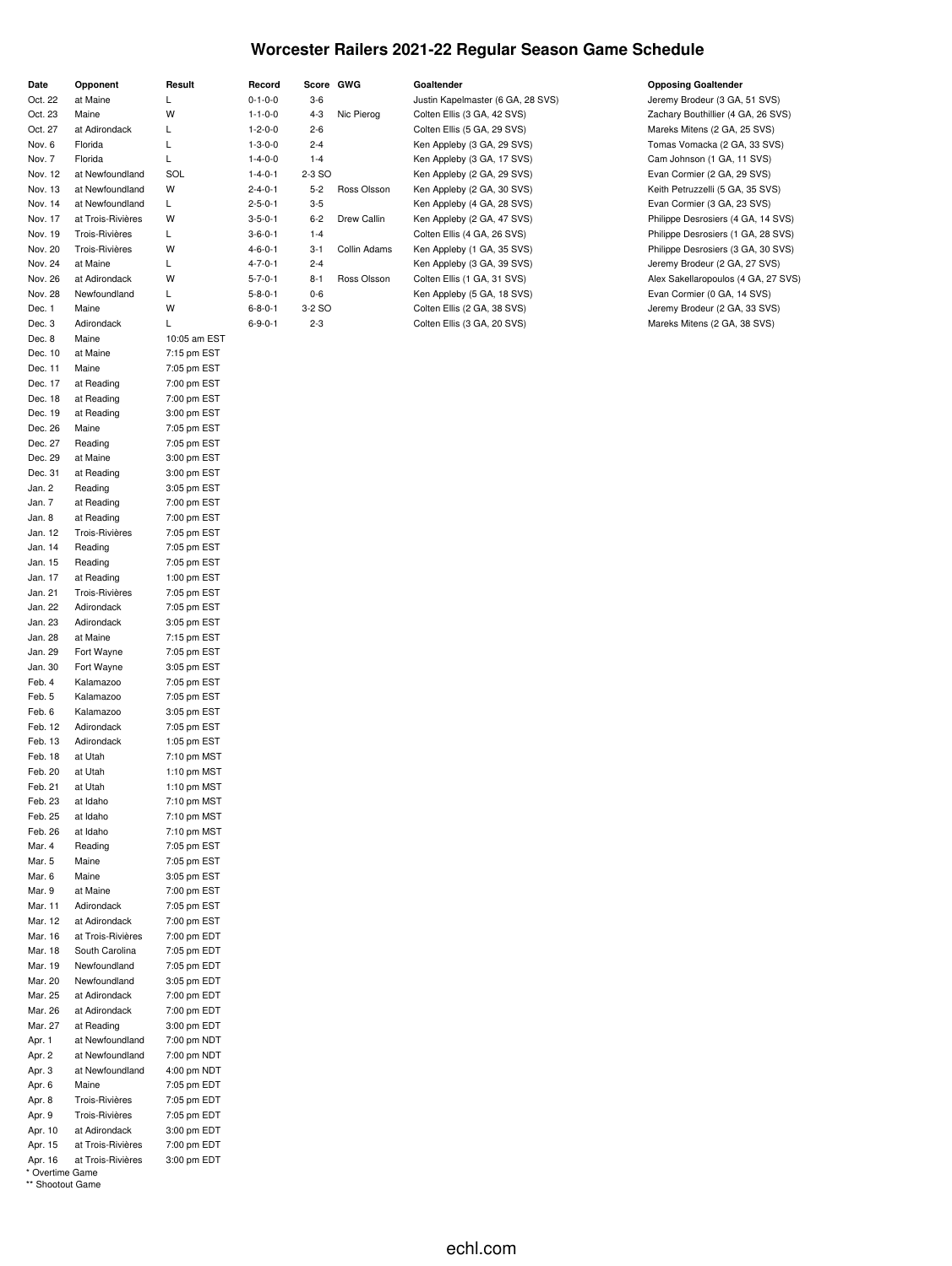### **Worcester Railers 2021-22 Regular Season Game Schedule**

| Date    | Opponent          | Result       | Record          |         | Score GWG    | Goaltender                        | <b>Opposing Goaltender</b>          |
|---------|-------------------|--------------|-----------------|---------|--------------|-----------------------------------|-------------------------------------|
| Oct. 22 | at Maine          | L            | $0 - 1 - 0 - 0$ | $3-6$   |              | Justin Kapelmaster (6 GA, 28 SVS) | Jeremy Brodeur (3 GA, 51 SVS)       |
| Oct. 23 | Maine             | W            | $1 - 1 - 0 - 0$ | $4 - 3$ | Nic Pierog   | Colten Ellis (3 GA, 42 SVS)       | Zachary Bouthillier (4 GA, 26 SVS)  |
| Oct. 27 | at Adirondack     | L            | $1 - 2 - 0 - 0$ | $2 - 6$ |              | Colten Ellis (5 GA, 29 SVS)       | Mareks Mitens (2 GA, 25 SVS)        |
| Nov. 6  | Florida           | Г            | $1 - 3 - 0 - 0$ | $2 - 4$ |              | Ken Appleby (3 GA, 29 SVS)        | Tomas Vomacka (2 GA, 33 SVS)        |
| Nov. 7  | Florida           | Г            | $1 - 4 - 0 - 0$ | $1 - 4$ |              | Ken Appleby (3 GA, 17 SVS)        | Cam Johnson (1 GA, 11 SVS)          |
| Nov. 12 | at Newfoundland   | SOL          | $1 - 4 - 0 - 1$ | 2-3 SO  |              | Ken Appleby (2 GA, 29 SVS)        | Evan Cormier (2 GA, 29 SVS)         |
| Nov. 13 | at Newfoundland   | W            | $2 - 4 - 0 - 1$ | $5-2$   | Ross Olsson  | Ken Appleby (2 GA, 30 SVS)        | Keith Petruzzelli (5 GA, 35 SVS)    |
| Nov. 14 | at Newfoundland   | Г            | $2 - 5 - 0 - 1$ | $3 - 5$ |              | Ken Appleby (4 GA, 28 SVS)        | Evan Cormier (3 GA, 23 SVS)         |
| Nov. 17 | at Trois-Rivières | W            | $3 - 5 - 0 - 1$ | $6 - 2$ | Drew Callin  | Ken Appleby (2 GA, 47 SVS)        | Philippe Desrosiers (4 GA, 14 SVS)  |
| Nov. 19 | Trois-Rivières    | Г            | $3 - 6 - 0 - 1$ | $1 - 4$ |              | Colten Ellis (4 GA, 26 SVS)       | Philippe Desrosiers (1 GA, 28 SVS)  |
|         |                   |              |                 |         |              |                                   | Philippe Desrosiers (3 GA, 30 SVS)  |
| Nov. 20 | Trois-Rivières    | W            | $4 - 6 - 0 - 1$ | $3 - 1$ | Collin Adams | Ken Appleby (1 GA, 35 SVS)        |                                     |
| Nov. 24 | at Maine          | L            | $4 - 7 - 0 - 1$ | $2 - 4$ |              | Ken Appleby (3 GA, 39 SVS)        | Jeremy Brodeur (2 GA, 27 SVS)       |
| Nov. 26 | at Adirondack     | W            | $5 - 7 - 0 - 1$ | $8 - 1$ | Ross Olsson  | Colten Ellis (1 GA, 31 SVS)       | Alex Sakellaropoulos (4 GA, 27 SVS) |
| Nov. 28 | Newfoundland      | L            | $5 - 8 - 0 - 1$ | $0 - 6$ |              | Ken Appleby (5 GA, 18 SVS)        | Evan Cormier (0 GA, 14 SVS)         |
| Dec. 1  | Maine             | W            | $6 - 8 - 0 - 1$ | 3-2 SO  |              | Colten Ellis (2 GA, 38 SVS)       | Jeremy Brodeur (2 GA, 33 SVS)       |
| Dec. 3  | Adirondack        | L            | $6 - 9 - 0 - 1$ | $2 - 3$ |              | Colten Ellis (3 GA, 20 SVS)       | Mareks Mitens (2 GA, 38 SVS)        |
| Dec. 8  | Maine             | 10:05 am EST |                 |         |              |                                   |                                     |
| Dec. 10 | at Maine          | 7:15 pm EST  |                 |         |              |                                   |                                     |
| Dec. 11 | Maine             | 7:05 pm EST  |                 |         |              |                                   |                                     |
| Dec. 17 | at Reading        | 7:00 pm EST  |                 |         |              |                                   |                                     |
| Dec. 18 | at Reading        | 7:00 pm EST  |                 |         |              |                                   |                                     |
|         |                   |              |                 |         |              |                                   |                                     |
| Dec. 19 | at Reading        | 3:00 pm EST  |                 |         |              |                                   |                                     |
| Dec. 26 | Maine             | 7:05 pm EST  |                 |         |              |                                   |                                     |
| Dec. 27 | Reading           | 7:05 pm EST  |                 |         |              |                                   |                                     |
| Dec. 29 | at Maine          | 3:00 pm EST  |                 |         |              |                                   |                                     |
| Dec. 31 | at Reading        | 3:00 pm EST  |                 |         |              |                                   |                                     |
| Jan. 2  | Reading           | 3:05 pm EST  |                 |         |              |                                   |                                     |
| Jan. 7  | at Reading        | 7:00 pm EST  |                 |         |              |                                   |                                     |
| Jan. 8  | at Reading        | 7:00 pm EST  |                 |         |              |                                   |                                     |
| Jan. 12 | Trois-Rivières    | 7:05 pm EST  |                 |         |              |                                   |                                     |
| Jan. 14 | Reading           | 7:05 pm EST  |                 |         |              |                                   |                                     |
| Jan. 15 | Reading           | 7:05 pm EST  |                 |         |              |                                   |                                     |
| Jan. 17 | at Reading        | 1:00 pm EST  |                 |         |              |                                   |                                     |
|         |                   |              |                 |         |              |                                   |                                     |
| Jan. 21 | Trois-Rivières    | 7:05 pm EST  |                 |         |              |                                   |                                     |
| Jan. 22 | Adirondack        | 7:05 pm EST  |                 |         |              |                                   |                                     |
| Jan. 23 | Adirondack        | 3:05 pm EST  |                 |         |              |                                   |                                     |
| Jan. 28 | at Maine          | 7:15 pm EST  |                 |         |              |                                   |                                     |
| Jan. 29 | Fort Wayne        | 7:05 pm EST  |                 |         |              |                                   |                                     |
| Jan. 30 | Fort Wayne        | 3:05 pm EST  |                 |         |              |                                   |                                     |
| Feb. 4  | Kalamazoo         | 7:05 pm EST  |                 |         |              |                                   |                                     |
| Feb. 5  | Kalamazoo         | 7:05 pm EST  |                 |         |              |                                   |                                     |
| Feb. 6  | Kalamazoo         | 3:05 pm EST  |                 |         |              |                                   |                                     |
| Feb. 12 | Adirondack        | 7:05 pm EST  |                 |         |              |                                   |                                     |
| Feb. 13 | Adirondack        | 1:05 pm EST  |                 |         |              |                                   |                                     |
| Feb. 18 | at Utah           |              |                 |         |              |                                   |                                     |
|         |                   | 7:10 pm MST  |                 |         |              |                                   |                                     |
| Feb. 20 | at Utah           | 1:10 pm MST  |                 |         |              |                                   |                                     |
| Feb. 21 | at Utah           | 1:10 pm MST  |                 |         |              |                                   |                                     |
| Feb. 23 | at Idaho          | 7:10 pm MST  |                 |         |              |                                   |                                     |
| Feb. 25 | at Idaho          | 7:10 pm MST  |                 |         |              |                                   |                                     |
| Feb. 26 | at Idaho          | 7:10 pm MST  |                 |         |              |                                   |                                     |
| Mar. 4  | Reading           | 7:05 pm EST  |                 |         |              |                                   |                                     |
| Mar. 5  | Maine             | 7:05 pm EST  |                 |         |              |                                   |                                     |
| Mar. 6  | Maine             | 3:05 pm EST  |                 |         |              |                                   |                                     |
| Mar. 9  | at Maine          | 7:00 pm EST  |                 |         |              |                                   |                                     |
| Mar. 11 | Adirondack        | 7:05 pm EST  |                 |         |              |                                   |                                     |
| Mar. 12 | at Adirondack     | 7:00 pm EST  |                 |         |              |                                   |                                     |
|         |                   |              |                 |         |              |                                   |                                     |
| Mar. 16 | at Trois-Rivières | 7:00 pm EDT  |                 |         |              |                                   |                                     |
| Mar. 18 | South Carolina    | 7:05 pm EDT  |                 |         |              |                                   |                                     |
| Mar. 19 | Newfoundland      | 7:05 pm EDT  |                 |         |              |                                   |                                     |
| Mar. 20 | Newfoundland      | 3:05 pm EDT  |                 |         |              |                                   |                                     |
| Mar. 25 | at Adirondack     | 7:00 pm EDT  |                 |         |              |                                   |                                     |
| Mar. 26 | at Adirondack     | 7:00 pm EDT  |                 |         |              |                                   |                                     |
| Mar. 27 | at Reading        | 3:00 pm EDT  |                 |         |              |                                   |                                     |
| Apr. 1  | at Newfoundland   | 7:00 pm NDT  |                 |         |              |                                   |                                     |
| Apr. 2  | at Newfoundland   | 7:00 pm NDT  |                 |         |              |                                   |                                     |
| Apr. 3  | at Newfoundland   | 4:00 pm NDT  |                 |         |              |                                   |                                     |
| Apr. 6  | Maine             | 7:05 pm EDT  |                 |         |              |                                   |                                     |
|         |                   |              |                 |         |              |                                   |                                     |
| Apr. 8  | Trois-Rivières    | 7:05 pm EDT  |                 |         |              |                                   |                                     |
| Apr. 9  | Trois-Rivières    | 7:05 pm EDT  |                 |         |              |                                   |                                     |
| Apr. 10 | at Adirondack     | 3:00 pm EDT  |                 |         |              |                                   |                                     |
| Apr. 15 | at Trois-Rivières | 7:00 pm EDT  |                 |         |              |                                   |                                     |
| Apr. 16 | at Trois-Rivières | 3:00 pm EDT  |                 |         |              |                                   |                                     |

<sup>\*</sup> Overtime Game \*\* Shootout Game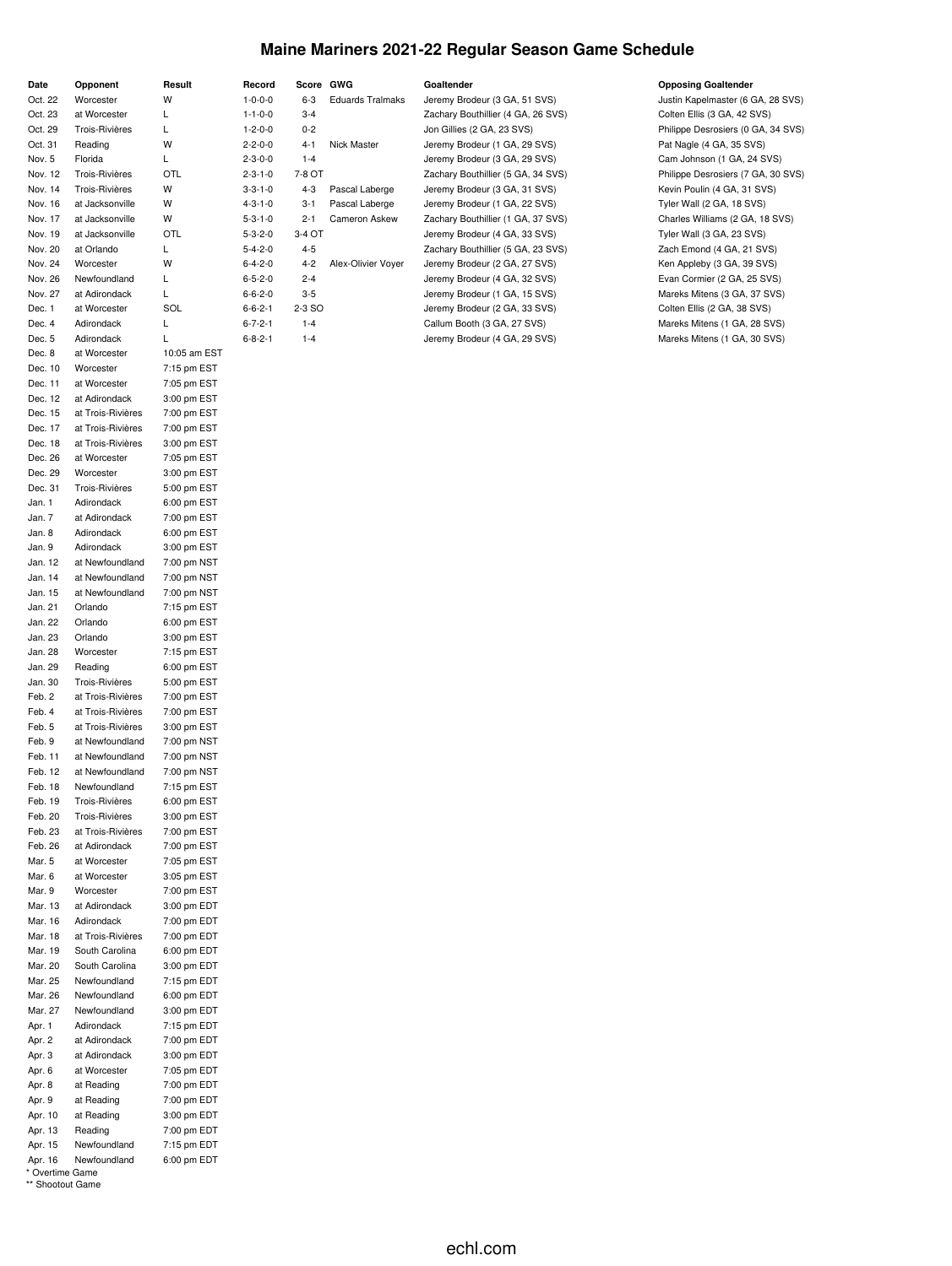## **Maine Mariners 2021-22 Regular Season Game Schedule**

| Date    | Opponent          | Result       | Record          | Score GWG |                         | Goaltender                         | <b>Opposing Goaltender</b>         |
|---------|-------------------|--------------|-----------------|-----------|-------------------------|------------------------------------|------------------------------------|
| Oct. 22 | Worcester         | W            | $1 - 0 - 0 - 0$ | 6-3       | <b>Eduards Tralmaks</b> | Jeremy Brodeur (3 GA, 51 SVS)      | Justin Kapelmaster (6 GA, 28 SVS)  |
| Oct. 23 | at Worcester      | L            | $1 - 1 - 0 - 0$ | $3 - 4$   |                         | Zachary Bouthillier (4 GA, 26 SVS) | Colten Ellis (3 GA, 42 SVS)        |
| Oct. 29 | Trois-Rivières    | L            | $1 - 2 - 0 - 0$ | $0 - 2$   |                         | Jon Gillies (2 GA, 23 SVS)         | Philippe Desrosiers (0 GA, 34 SVS) |
| Oct. 31 | Reading           | W            | $2 - 2 - 0 - 0$ | 4-1       | Nick Master             | Jeremy Brodeur (1 GA, 29 SVS)      | Pat Nagle (4 GA, 35 SVS)           |
| Nov. 5  | Florida           | Г            | $2 - 3 - 0 - 0$ | $1 - 4$   |                         | Jeremy Brodeur (3 GA, 29 SVS)      | Cam Johnson (1 GA, 24 SVS)         |
| Nov. 12 | Trois-Rivières    | OTL          | $2 - 3 - 1 - 0$ | 7-8 OT    |                         | Zachary Bouthillier (5 GA, 34 SVS) | Philippe Desrosiers (7 GA, 30 SVS) |
| Nov. 14 | Trois-Rivières    | W            | $3 - 3 - 1 - 0$ | 4-3       | Pascal Laberge          | Jeremy Brodeur (3 GA, 31 SVS)      | Kevin Poulin (4 GA, 31 SVS)        |
| Nov. 16 | at Jacksonville   | W            | $4 - 3 - 1 - 0$ | 3-1       | Pascal Laberge          | Jeremy Brodeur (1 GA, 22 SVS)      | Tyler Wall (2 GA, 18 SVS)          |
| Nov. 17 | at Jacksonville   | W            | $5 - 3 - 1 - 0$ | $2 - 1$   | Cameron Askew           | Zachary Bouthillier (1 GA, 37 SVS) | Charles Williams (2 GA, 18 SVS)    |
| Nov. 19 | at Jacksonville   | OTL          | $5 - 3 - 2 - 0$ | 3-4 OT    |                         | Jeremy Brodeur (4 GA, 33 SVS)      | Tyler Wall (3 GA, 23 SVS)          |
| Nov. 20 | at Orlando        | L            | $5 - 4 - 2 - 0$ | $4 - 5$   |                         | Zachary Bouthillier (5 GA, 23 SVS) | Zach Emond (4 GA, 21 SVS)          |
| Nov. 24 | Worcester         | W            | $6 - 4 - 2 - 0$ | $4 - 2$   | Alex-Olivier Voyer      | Jeremy Brodeur (2 GA, 27 SVS)      | Ken Appleby (3 GA, 39 SVS)         |
| Nov. 26 | Newfoundland      | L            | $6 - 5 - 2 - 0$ | $2 - 4$   |                         | Jeremy Brodeur (4 GA, 32 SVS)      | Evan Cormier (2 GA, 25 SVS)        |
| Nov. 27 | at Adirondack     | Г            | $6 - 6 - 2 - 0$ | $3 - 5$   |                         | Jeremy Brodeur (1 GA, 15 SVS)      | Mareks Mitens (3 GA, 37 SVS)       |
| Dec. 1  | at Worcester      | SOL          | $6 - 6 - 2 - 1$ | 2-3 SO    |                         | Jeremy Brodeur (2 GA, 33 SVS)      | Colten Ellis (2 GA, 38 SVS)        |
| Dec. 4  | Adirondack        | L            | $6 - 7 - 2 - 1$ | $1 - 4$   |                         | Callum Booth (3 GA, 27 SVS)        | Mareks Mitens (1 GA, 28 SVS)       |
| Dec. 5  | Adirondack        | L            | $6 - 8 - 2 - 1$ | $1 - 4$   |                         | Jeremy Brodeur (4 GA, 29 SVS)      | Mareks Mitens (1 GA, 30 SVS)       |
| Dec. 8  | at Worcester      | 10:05 am EST |                 |           |                         |                                    |                                    |
| Dec. 10 | Worcester         | 7:15 pm EST  |                 |           |                         |                                    |                                    |
| Dec. 11 | at Worcester      | 7:05 pm EST  |                 |           |                         |                                    |                                    |
| Dec. 12 | at Adirondack     | 3:00 pm EST  |                 |           |                         |                                    |                                    |
| Dec. 15 | at Trois-Rivières | 7:00 pm EST  |                 |           |                         |                                    |                                    |
| Dec. 17 | at Trois-Rivières | 7:00 pm EST  |                 |           |                         |                                    |                                    |
| Dec. 18 | at Trois-Rivières | 3:00 pm EST  |                 |           |                         |                                    |                                    |
| Dec. 26 | at Worcester      | 7:05 pm EST  |                 |           |                         |                                    |                                    |
| Dec. 29 | Worcester         | 3:00 pm EST  |                 |           |                         |                                    |                                    |
| Dec. 31 | Trois-Rivières    | 5:00 pm EST  |                 |           |                         |                                    |                                    |
| Jan. 1  | Adirondack        | 6:00 pm EST  |                 |           |                         |                                    |                                    |
| Jan. 7  | at Adirondack     | 7:00 pm EST  |                 |           |                         |                                    |                                    |
| Jan. 8  | Adirondack        | 6:00 pm EST  |                 |           |                         |                                    |                                    |
| Jan. 9  | Adirondack        | 3:00 pm EST  |                 |           |                         |                                    |                                    |
| Jan. 12 | at Newfoundland   | 7:00 pm NST  |                 |           |                         |                                    |                                    |
| Jan. 14 | at Newfoundland   | 7:00 pm NST  |                 |           |                         |                                    |                                    |
| Jan. 15 | at Newfoundland   | 7:00 pm NST  |                 |           |                         |                                    |                                    |
| Jan. 21 | Orlando           | 7:15 pm EST  |                 |           |                         |                                    |                                    |
| Jan. 22 | Orlando           | 6:00 pm EST  |                 |           |                         |                                    |                                    |
| Jan. 23 | Orlando           | 3:00 pm EST  |                 |           |                         |                                    |                                    |
| Jan. 28 | Worcester         | 7:15 pm EST  |                 |           |                         |                                    |                                    |
| Jan. 29 | Reading           | 6:00 pm EST  |                 |           |                         |                                    |                                    |
| Jan. 30 | Trois-Rivières    | 5:00 pm EST  |                 |           |                         |                                    |                                    |
| Feb. 2  | at Trois-Rivières | 7:00 pm EST  |                 |           |                         |                                    |                                    |
| Feb. 4  | at Trois-Rivières | 7:00 pm EST  |                 |           |                         |                                    |                                    |
| Feb. 5  | at Trois-Rivières | 3:00 pm EST  |                 |           |                         |                                    |                                    |
| Feb. 9  | at Newfoundland   | 7:00 pm NST  |                 |           |                         |                                    |                                    |
| Feb. 11 | at Newfoundland   | 7:00 pm NST  |                 |           |                         |                                    |                                    |
| Feb. 12 | at Newfoundland   | 7:00 pm NST  |                 |           |                         |                                    |                                    |
| Feb. 18 | Newfoundland      | 7:15 pm EST  |                 |           |                         |                                    |                                    |
| Feb. 19 | Trois-Rivières    | 6:00 pm EST  |                 |           |                         |                                    |                                    |
| Feb. 20 | Trois-Rivières    | 3:00 pm EST  |                 |           |                         |                                    |                                    |
| Feb. 23 | at Trois-Rivières | 7:00 pm EST  |                 |           |                         |                                    |                                    |
| Feb. 26 | at Adirondack     | 7:00 pm EST  |                 |           |                         |                                    |                                    |
| Mar. 5  | at Worcester      | 7:05 pm EST  |                 |           |                         |                                    |                                    |
| Mar. 6  | at Worcester      | 3:05 pm EST  |                 |           |                         |                                    |                                    |
| Mar. 9  | Worcester         | 7:00 pm EST  |                 |           |                         |                                    |                                    |
| Mar. 13 | at Adirondack     | 3:00 pm EDT  |                 |           |                         |                                    |                                    |
| Mar. 16 | Adirondack        | 7:00 pm EDT  |                 |           |                         |                                    |                                    |
| Mar. 18 | at Trois-Rivières | 7:00 pm EDT  |                 |           |                         |                                    |                                    |
| Mar. 19 | South Carolina    | 6:00 pm EDT  |                 |           |                         |                                    |                                    |
| Mar. 20 | South Carolina    | 3:00 pm EDT  |                 |           |                         |                                    |                                    |
| Mar. 25 | Newfoundland      | 7:15 pm EDT  |                 |           |                         |                                    |                                    |
| Mar. 26 | Newfoundland      | 6:00 pm EDT  |                 |           |                         |                                    |                                    |
| Mar. 27 | Newfoundland      | 3:00 pm EDT  |                 |           |                         |                                    |                                    |
| Apr. 1  | Adirondack        | 7:15 pm EDT  |                 |           |                         |                                    |                                    |
| Apr. 2  | at Adirondack     | 7:00 pm EDT  |                 |           |                         |                                    |                                    |
| Apr. 3  | at Adirondack     | 3:00 pm EDT  |                 |           |                         |                                    |                                    |
| Apr. 6  | at Worcester      | 7:05 pm EDT  |                 |           |                         |                                    |                                    |
| Apr. 8  | at Reading        | 7:00 pm EDT  |                 |           |                         |                                    |                                    |
| Apr. 9  | at Reading        | 7:00 pm EDT  |                 |           |                         |                                    |                                    |
| Apr. 10 | at Reading        | 3:00 pm EDT  |                 |           |                         |                                    |                                    |
| Apr. 13 | Reading           | 7:00 pm EDT  |                 |           |                         |                                    |                                    |
| Apr. 15 | Newfoundland      | 7:15 pm EDT  |                 |           |                         |                                    |                                    |
| Apr. 16 | Newfoundland      | 6:00 pm EDT  |                 |           |                         |                                    |                                    |

\* Overtime Game \*\* Shootout Game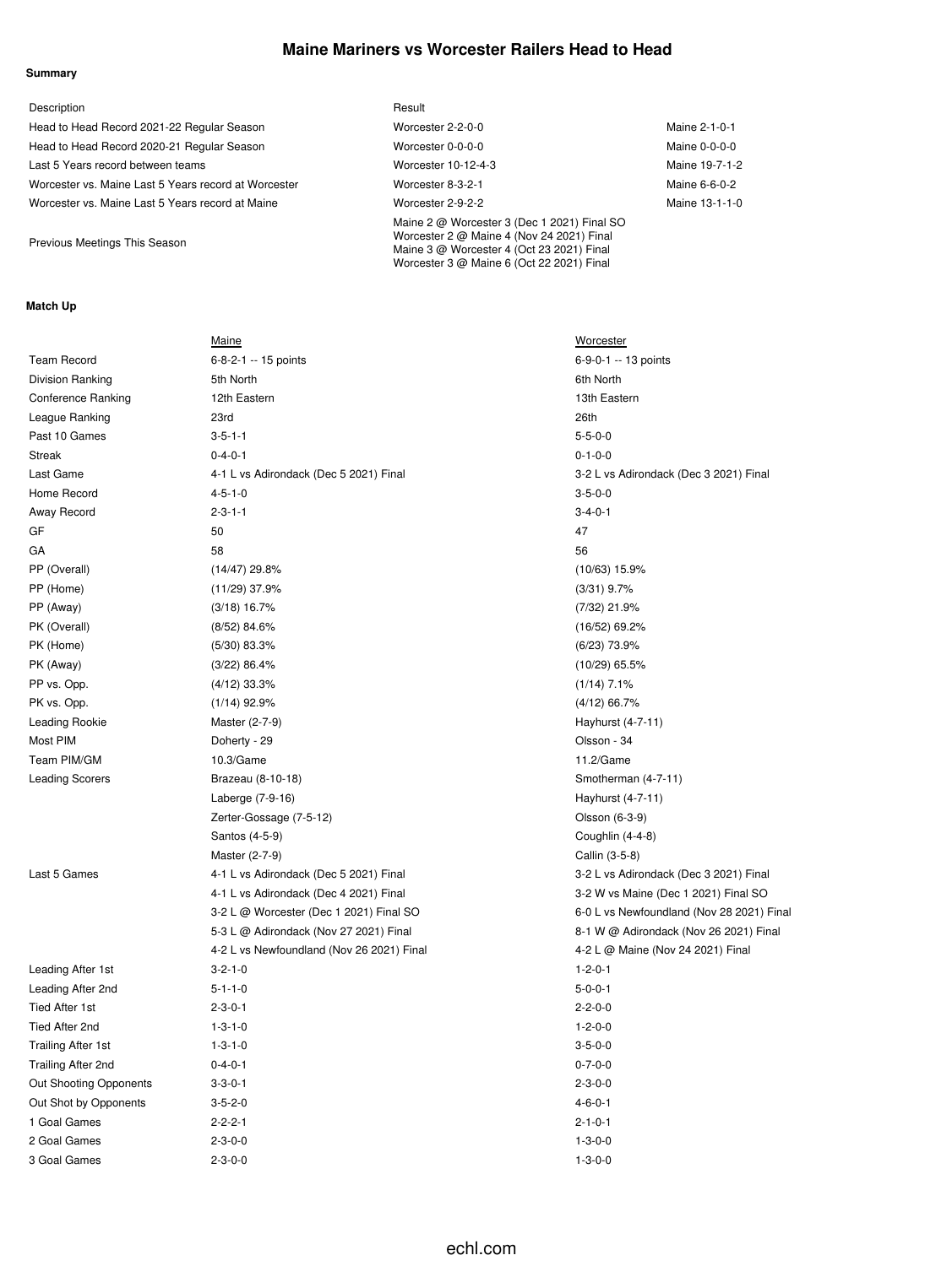### **Maine Mariners vs Worcester Railers Head to Head**

#### **Summary**

| Description                                          | Result                                                                                                                                                                             |                |
|------------------------------------------------------|------------------------------------------------------------------------------------------------------------------------------------------------------------------------------------|----------------|
| Head to Head Record 2021-22 Regular Season           | Worcester 2-2-0-0                                                                                                                                                                  | Maine 2-1-0-1  |
| Head to Head Record 2020-21 Regular Season           | Worcester 0-0-0-0                                                                                                                                                                  | Maine 0-0-0-0  |
| Last 5 Years record between teams                    | Worcester 10-12-4-3                                                                                                                                                                | Maine 19-7-1-2 |
| Worcester vs. Maine Last 5 Years record at Worcester | Worcester 8-3-2-1                                                                                                                                                                  | Maine 6-6-0-2  |
| Worcester vs. Maine Last 5 Years record at Maine     | Worcester 2-9-2-2                                                                                                                                                                  | Maine 13-1-1-0 |
| Previous Meetings This Season                        | Maine 2 @ Worcester 3 (Dec 1 2021) Final SO<br>Worcester 2 @ Maine 4 (Nov 24 2021) Final<br>Maine 3 @ Worcester 4 (Oct 23 2021) Final<br>Worcester 3 @ Maine 6 (Oct 22 2021) Final |                |

#### **Match Up**

|                               | Maine                                     | <b>Worcester</b>                          |
|-------------------------------|-------------------------------------------|-------------------------------------------|
| <b>Team Record</b>            | 6-8-2-1 -- 15 points                      | 6-9-0-1 -- 13 points                      |
| Division Ranking              | 5th North                                 | 6th North                                 |
| <b>Conference Ranking</b>     | 12th Eastern                              | 13th Eastern                              |
| League Ranking                | 23rd                                      | 26th                                      |
| Past 10 Games                 | $3 - 5 - 1 - 1$                           | $5 - 5 - 0 - 0$                           |
| Streak                        | $0 - 4 - 0 - 1$                           | $0 - 1 - 0 - 0$                           |
| Last Game                     | 4-1 L vs Adirondack (Dec 5 2021) Final    | 3-2 L vs Adirondack (Dec 3 2021) Final    |
| Home Record                   | $4 - 5 - 1 - 0$                           | $3 - 5 - 0 - 0$                           |
| Away Record                   | $2 - 3 - 1 - 1$                           | $3 - 4 - 0 - 1$                           |
| GF                            | 50                                        | 47                                        |
| GА                            | 58                                        | 56                                        |
| PP (Overall)                  | $(14/47)$ 29.8%                           | $(10/63)$ 15.9%                           |
| PP (Home)                     | $(11/29)$ 37.9%                           | $(3/31)$ 9.7%                             |
| PP (Away)                     | $(3/18)$ 16.7%                            | (7/32) 21.9%                              |
| PK (Overall)                  | $(8/52)$ 84.6%                            | $(16/52)$ 69.2%                           |
| PK (Home)                     | $(5/30)$ 83.3%                            | $(6/23)$ 73.9%                            |
| PK (Away)                     | (3/22) 86.4%                              | $(10/29)$ 65.5%                           |
| PP vs. Opp.                   | $(4/12)$ 33.3%                            | $(1/14)$ 7.1%                             |
| PK vs. Opp.                   | $(1/14)$ 92.9%                            | $(4/12)$ 66.7%                            |
| Leading Rookie                | Master (2-7-9)                            | Hayhurst (4-7-11)                         |
| Most PIM                      | Doherty - 29                              | Olsson - 34                               |
| Team PIM/GM                   | 10.3/Game                                 | 11.2/Game                                 |
| <b>Leading Scorers</b>        | Brazeau (8-10-18)                         | Smotherman (4-7-11)                       |
|                               | Laberge (7-9-16)                          | Hayhurst (4-7-11)                         |
|                               | Zerter-Gossage (7-5-12)                   | Olsson (6-3-9)                            |
|                               | Santos (4-5-9)                            | Coughlin (4-4-8)                          |
|                               | Master (2-7-9)                            | Callin (3-5-8)                            |
| Last 5 Games                  | 4-1 L vs Adirondack (Dec 5 2021) Final    | 3-2 L vs Adirondack (Dec 3 2021) Final    |
|                               | 4-1 L vs Adirondack (Dec 4 2021) Final    | 3-2 W vs Maine (Dec 1 2021) Final SO      |
|                               | 3-2 L @ Worcester (Dec 1 2021) Final SO   | 6-0 L vs Newfoundland (Nov 28 2021) Final |
|                               | 5-3 L @ Adirondack (Nov 27 2021) Final    | 8-1 W @ Adirondack (Nov 26 2021) Final    |
|                               | 4-2 L vs Newfoundland (Nov 26 2021) Final | 4-2 L @ Maine (Nov 24 2021) Final         |
| Leading After 1st             | $3 - 2 - 1 - 0$                           | $1 - 2 - 0 - 1$                           |
| Leading After 2nd             | $5 - 1 - 1 - 0$                           | $5 - 0 - 0 - 1$                           |
| Tied After 1st                | $2 - 3 - 0 - 1$                           | $2 - 2 - 0 - 0$                           |
| Tied After 2nd                | $1 - 3 - 1 - 0$                           | $1 - 2 - 0 - 0$                           |
| <b>Trailing After 1st</b>     | $1 - 3 - 1 - 0$                           | $3 - 5 - 0 - 0$                           |
| Trailing After 2nd            | $0 - 4 - 0 - 1$                           | $0 - 7 - 0 - 0$                           |
| <b>Out Shooting Opponents</b> | $3 - 3 - 0 - 1$                           | $2 - 3 - 0 - 0$                           |
| Out Shot by Opponents         | $3 - 5 - 2 - 0$                           | $4 - 6 - 0 - 1$                           |
| 1 Goal Games                  | $2 - 2 - 2 - 1$                           | $2 - 1 - 0 - 1$                           |
| 2 Goal Games                  | $2 - 3 - 0 - 0$                           | $1 - 3 - 0 - 0$                           |
| 3 Goal Games                  | $2 - 3 - 0 - 0$                           | $1 - 3 - 0 - 0$                           |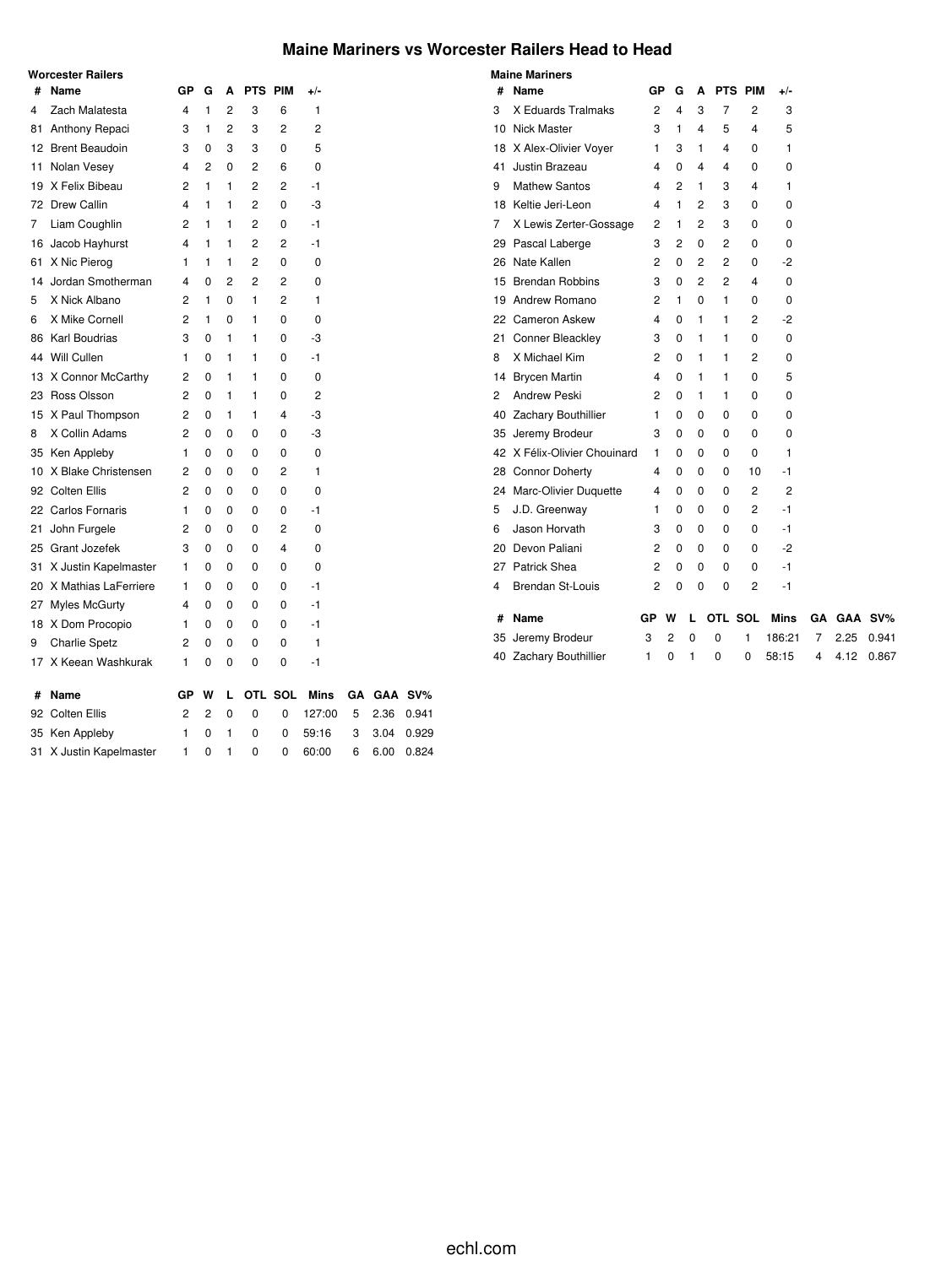### **Maine Mariners vs Worcester Railers Head to Head**

|    | <b>Worcester Railers</b> |                |                |   |                |         |             |    |      |         |
|----|--------------------------|----------------|----------------|---|----------------|---------|-------------|----|------|---------|
| #  | Name                     | GР             | G              | A | PTS PIM        |         | +/-         |    |      |         |
| 4  | Zach Malatesta           | 4              | 1              | 2 | 3              | 6       | 1           |    |      |         |
| 81 | Anthony Repaci           | 3              | 1              | 2 | 3              | 2       | 2           |    |      |         |
| 12 | <b>Brent Beaudoin</b>    | 3              | 0              | 3 | 3              | 0       | 5           |    |      |         |
| 11 | Nolan Vesey              | 4              | 2              | 0 | 2              | 6       | 0           |    |      |         |
| 19 | X Felix Bibeau           | 2              | 1              | 1 | 2              | 2       | -1          |    |      |         |
| 72 | <b>Drew Callin</b>       | 4              | 1              | 1 | $\overline{2}$ | 0       | -3          |    |      |         |
| 7  | Liam Coughlin            | 2              | 1              | 1 | 2              | 0       | -1          |    |      |         |
| 16 | Jacob Hayhurst           | 4              | 1              | 1 | 2              | 2       | -1          |    |      |         |
| 61 | X Nic Pierog             | 1              | 1              | 1 | 2              | 0       | 0           |    |      |         |
| 14 | Jordan Smotherman        | 4              | 0              | 2 | $\overline{2}$ | 2       | 0           |    |      |         |
| 5  | X Nick Albano            | 2              | 1              | 0 | 1              | 2       | 1           |    |      |         |
| 6  | X Mike Cornell           | 2              | 1              | 0 | 1              | 0       | 0           |    |      |         |
| 86 | <b>Karl Boudrias</b>     | 3              | 0              | 1 | 1              | 0       | -3          |    |      |         |
| 44 | Will Cullen              | 1              | $\Omega$       | 1 | 1              | 0       | -1          |    |      |         |
| 13 | X Connor McCarthy        | 2              | $\Omega$       | 1 | 1              | 0       | 0           |    |      |         |
| 23 | Ross Olsson              | 2              | 0              | 1 | 1              | 0       | 2           |    |      |         |
|    | 15 X Paul Thompson       | 2              | 0              | 1 | 1              | 4       | -3          |    |      |         |
| 8  | X Collin Adams           | 2              | 0              | 0 | 0              | 0       | -3          |    |      |         |
| 35 | Ken Appleby              | 1              | 0              | 0 | 0              | 0       | 0           |    |      |         |
| 10 | X Blake Christensen      | 2              | 0              | 0 | 0              | 2       | 1           |    |      |         |
|    | 92 Colten Ellis          | 2              | $\Omega$       | 0 | 0              | 0       | 0           |    |      |         |
|    | 22 Carlos Fornaris       | 1              | 0              | 0 | 0              | 0       | -1          |    |      |         |
| 21 | John Furgele             | 2              | 0              | 0 | 0              | 2       | 0           |    |      |         |
| 25 | Grant Jozefek            | 3              | 0              | 0 | 0              | 4       | 0           |    |      |         |
| 31 | X Justin Kapelmaster     | 1              | 0              | 0 | 0              | 0       | 0           |    |      |         |
| 20 | X Mathias LaFerriere     | 1              | 0              | 0 | 0              | 0       | -1          |    |      |         |
| 27 | Myles McGurty            | 4              | 0              | 0 | 0              | 0       | -1          |    |      |         |
|    | 18 X Dom Procopio        | 1              | 0              | 0 | 0              | 0       | -1          |    |      |         |
| 9  | <b>Charlie Spetz</b>     | 2              | 0              | 0 | 0              | 0       | 1           |    |      |         |
| 17 | X Keean Washkurak        | 1              | 0              | 0 | 0              | 0       | -1          |    |      |         |
| #  | Name                     | GP             | W              | L |                | OTL SOL | <b>Mins</b> | GΑ |      | GAA SV% |
| 92 | <b>Colten Ellis</b>      | $\overline{c}$ | $\overline{2}$ | 0 | 0              | 0       | 127:00      | 5  | 2.36 | 0.941   |
| 35 | Ken Appleby              | 1              | 0              | 1 | 0              | 0       | 59:16       | 3  | 3.04 | 0.929   |
| 31 | X Justin Kapelmaster     | 1              | 0              | 1 | 0              | 0       | 60:00       | 6  | 6.00 | 0.824   |

|    | <b>Maine Mariners</b>        |                |   |          |         |                |        |    |         |       |
|----|------------------------------|----------------|---|----------|---------|----------------|--------|----|---------|-------|
| #  | Name                         | GР             | G | Α        |         | PTS PIM        | $+/-$  |    |         |       |
| 3  | X Eduards Tralmaks           | $\overline{2}$ | 4 | 3        | 7       | $\overline{2}$ | 3      |    |         |       |
| 10 | Nick Master                  | 3              | 1 | 4        | 5       | 4              | 5      |    |         |       |
| 18 | X Alex-Olivier Voyer         | 1              | 3 | 1        | 4       | 0              | 1      |    |         |       |
| 41 | Justin Brazeau               | 4              | 0 | 4        | 4       | 0              | 0      |    |         |       |
| 9  | <b>Mathew Santos</b>         | 4              | 2 | 1        | 3       | 4              | 1      |    |         |       |
|    | 18 Keltie Jeri-Leon          | 4              | 1 | 2        | 3       | 0              | 0      |    |         |       |
| 7  | X Lewis Zerter-Gossage       | 2              | 1 | 2        | 3       | 0              | 0      |    |         |       |
| 29 | Pascal Laberge               | 3              | 2 | 0        | 2       | 0              | 0      |    |         |       |
|    | 26 Nate Kallen               | 2              | 0 | 2        | 2       | 0              | -2     |    |         |       |
|    | 15 Brendan Robbins           | 3              | 0 | 2        | 2       | 4              | 0      |    |         |       |
|    | 19 Andrew Romano             | 2              | 1 | 0        | 1       | 0              | 0      |    |         |       |
|    | 22 Cameron Askew             | 4              | 0 | 1        | 1       | 2              | -2     |    |         |       |
| 21 | <b>Conner Bleackley</b>      | 3              | 0 | 1        | 1       | 0              | 0      |    |         |       |
| 8  | X Michael Kim                | 2              | 0 | 1        | 1       | 2              | 0      |    |         |       |
|    | 14 Brycen Martin             | 4              | 0 | 1        | 1       | 0              | 5      |    |         |       |
| 2  | <b>Andrew Peski</b>          | 2              | 0 | 1        | 1       | 0              | 0      |    |         |       |
|    | 40 Zachary Bouthillier       | 1              | 0 | 0        | 0       | 0              | 0      |    |         |       |
|    | 35 Jeremy Brodeur            | 3              | 0 | 0        | 0       | 0              | 0      |    |         |       |
|    | 42 X Félix-Olivier Chouinard | 1              | 0 | 0        | 0       | 0              | 1      |    |         |       |
|    | 28 Connor Doherty            | 4              | 0 | 0        | 0       | 10             | $-1$   |    |         |       |
|    | 24 Marc-Olivier Duquette     | 4              | 0 | 0        | 0       | 2              | 2      |    |         |       |
| 5  | J.D. Greenway                | 1              | 0 | 0        | 0       | $\overline{c}$ | $-1$   |    |         |       |
| 6  | Jason Horvath                | 3              | 0 | 0        | 0       | 0              | -1     |    |         |       |
| 20 | Devon Paliani                | 2              | 0 | 0        | 0       | 0              | -2     |    |         |       |
|    | 27 Patrick Shea              | 2              | 0 | 0        | 0       | 0              | $-1$   |    |         |       |
| 4  | <b>Brendan St-Louis</b>      | 2              | 0 | 0        | 0       | 2              | -1     |    |         |       |
| #  | Name                         | GР             | w | L        | OTL SOL |                | Mins   | GΑ | GAA SV% |       |
|    | 35 Jeremy Brodeur            | 3              | 2 | $\Omega$ | 0       | 1              | 186:21 | 7  | 2.25    | 0.941 |
|    | 40 Zachary Bouthillier       | 1              | 0 | 1        | 0       | 0              | 58:15  | 4  | 4.12    | 0.867 |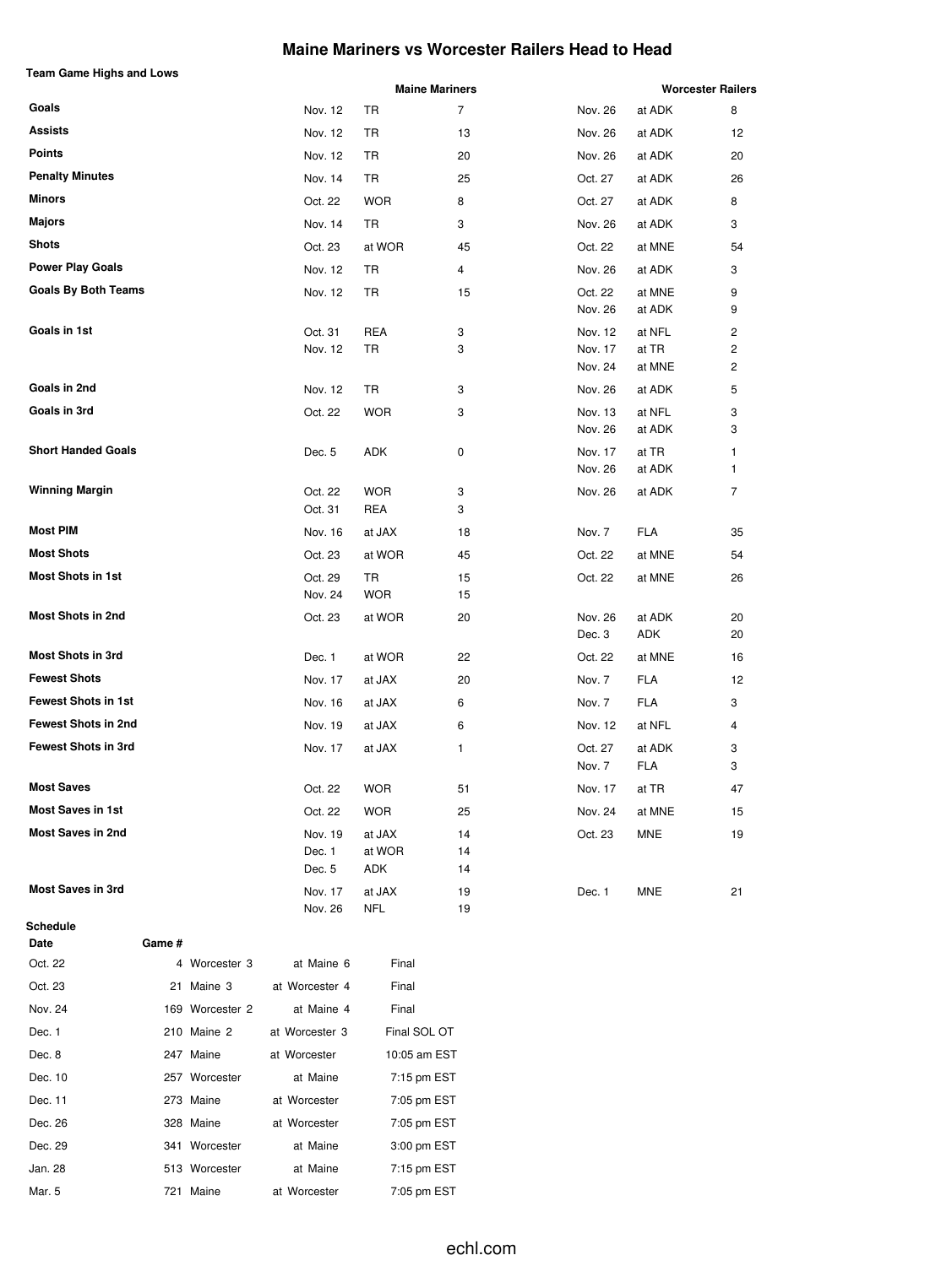### **Maine Mariners vs Worcester Railers Head to Head**

|                            |             |                             |                         | <b>Maine Mariners</b> |                               |                           | <b>Worcester Railers</b> |
|----------------------------|-------------|-----------------------------|-------------------------|-----------------------|-------------------------------|---------------------------|--------------------------|
| Goals                      |             | Nov. 12                     | TR                      | 7                     | Nov. 26                       | at ADK                    | 8                        |
| <b>Assists</b>             |             | Nov. 12                     | TR                      | 13                    | Nov. 26                       | at ADK                    | 12                       |
| <b>Points</b>              |             | Nov. 12                     | TR                      | 20                    | Nov. 26                       | at ADK                    | 20                       |
| <b>Penalty Minutes</b>     |             | Nov. 14                     | TR                      | 25                    | Oct. 27                       | at ADK                    | 26                       |
| Minors                     |             | Oct. 22                     | <b>WOR</b>              | 8                     | Oct. 27                       | at ADK                    | 8                        |
| Majors                     |             | Nov. 14                     | TR                      | 3                     | Nov. 26                       | at ADK                    | 3                        |
| Shots                      |             | Oct. 23                     | at WOR                  | 45                    | Oct. 22                       | at MNE                    | 54                       |
| <b>Power Play Goals</b>    |             | Nov. 12                     | TR                      | 4                     | Nov. 26                       | at ADK                    | 3                        |
| <b>Goals By Both Teams</b> |             | Nov. 12                     | TR                      | 15                    | Oct. 22<br>Nov. 26            | at MNE<br>at ADK          | 9<br>9                   |
| Goals in 1st               |             | Oct. 31<br>Nov. 12          | REA<br>TR               | 3<br>3                | Nov. 12<br>Nov. 17<br>Nov. 24 | at NFL<br>at TR<br>at MNE | 2<br>2<br>2              |
| Goals in 2nd               |             | Nov. 12                     | TR                      | 3                     | Nov. 26                       | at ADK                    | 5                        |
| Goals in 3rd               |             | Oct. 22                     | <b>WOR</b>              | 3                     | Nov. 13<br>Nov. 26            | at NFL<br>at ADK          | 3<br>3                   |
| <b>Short Handed Goals</b>  |             | Dec. 5                      | ADK                     | 0                     | Nov. 17<br>Nov. 26            | at TR<br>at ADK           | 1<br>1                   |
| <b>Winning Margin</b>      |             | Oct. 22<br>Oct. 31          | <b>WOR</b><br>REA       | 3<br>3                | Nov. 26                       | at ADK                    | 7                        |
| <b>Most PIM</b>            |             | Nov. 16                     | at JAX                  | 18                    | Nov. 7                        | FLA                       | 35                       |
| <b>Most Shots</b>          |             | Oct. 23                     | at WOR                  | 45                    | Oct. 22                       | at MNE                    | 54                       |
| <b>Most Shots in 1st</b>   |             | Oct. 29<br>Nov. 24          | TR<br><b>WOR</b>        | 15<br>15              | Oct. 22                       | at MNE                    | 26                       |
| <b>Most Shots in 2nd</b>   |             | Oct. 23                     | at WOR                  | 20                    | Nov. 26<br>Dec. 3             | at ADK<br>ADK             | 20<br>20                 |
| <b>Most Shots in 3rd</b>   |             | Dec. 1                      | at WOR                  | 22                    | Oct. 22                       | at MNE                    | 16                       |
| <b>Fewest Shots</b>        |             | Nov. 17                     | at JAX                  | 20                    | Nov. 7                        | <b>FLA</b>                | 12                       |
| <b>Fewest Shots in 1st</b> |             | Nov. 16                     | at JAX                  | 6                     | Nov. 7                        | FLA                       | 3                        |
| <b>Fewest Shots in 2nd</b> |             | Nov. 19                     | at JAX                  | 6                     | Nov. 12                       | at NFL                    | 4                        |
| <b>Fewest Shots in 3rd</b> |             | Nov. 17                     | at JAX                  | 1                     | Oct. 27<br>Nov. 7             | at ADK<br><b>FLA</b>      | 3<br>3                   |
| <b>Most Saves</b>          |             | Oct. 22                     | WOR                     | 51                    | Nov. 17                       | at TR                     | 47                       |
| <b>Most Saves in 1st</b>   |             | Oct. 22                     | <b>WOR</b>              | 25                    | Nov. 24                       | at MNE                    | 15                       |
| <b>Most Saves in 2nd</b>   |             | Nov. 19<br>Dec. 1<br>Dec. 5 | at JAX<br>at WOR<br>ADK | 14<br>14<br>14        | Oct. 23                       | <b>MNE</b>                | 19                       |
| <b>Most Saves in 3rd</b>   |             | Nov. 17<br>Nov. 26          | at JAX<br><b>NFL</b>    | 19<br>19              | Dec. 1                        | <b>MNE</b>                | 21                       |
| Schedule<br>Date           | Game #      |                             |                         |                       |                               |                           |                          |
| $00 + 20$                  | Marcootor 2 | Moino                       | Einel                   |                       |                               |                           |                          |

| Oct. 22 | 4 Worcester 3   | at Maine 6     | Final        |
|---------|-----------------|----------------|--------------|
| Oct. 23 | 21 Maine 3      | at Worcester 4 | Final        |
| Nov. 24 | 169 Worcester 2 | at Maine 4     | Final        |
| Dec. 1  | 210 Maine 2     | at Worcester 3 | Final SOL OT |
| Dec. 8  | 247 Maine       | at Worcester   | 10:05 am EST |
| Dec. 10 | 257 Worcester   | at Maine       | 7:15 pm EST  |
| Dec. 11 | 273 Maine       | at Worcester   | 7:05 pm EST  |
| Dec. 26 | 328 Maine       | at Worcester   | 7:05 pm EST  |
| Dec. 29 | 341 Worcester   | at Maine       | 3:00 pm EST  |
| Jan. 28 | 513 Worcester   | at Maine       | 7:15 pm EST  |
| Mar. 5  | 721 Maine       | at Worcester   | 7:05 pm EST  |

**Team Game Highs and Lows**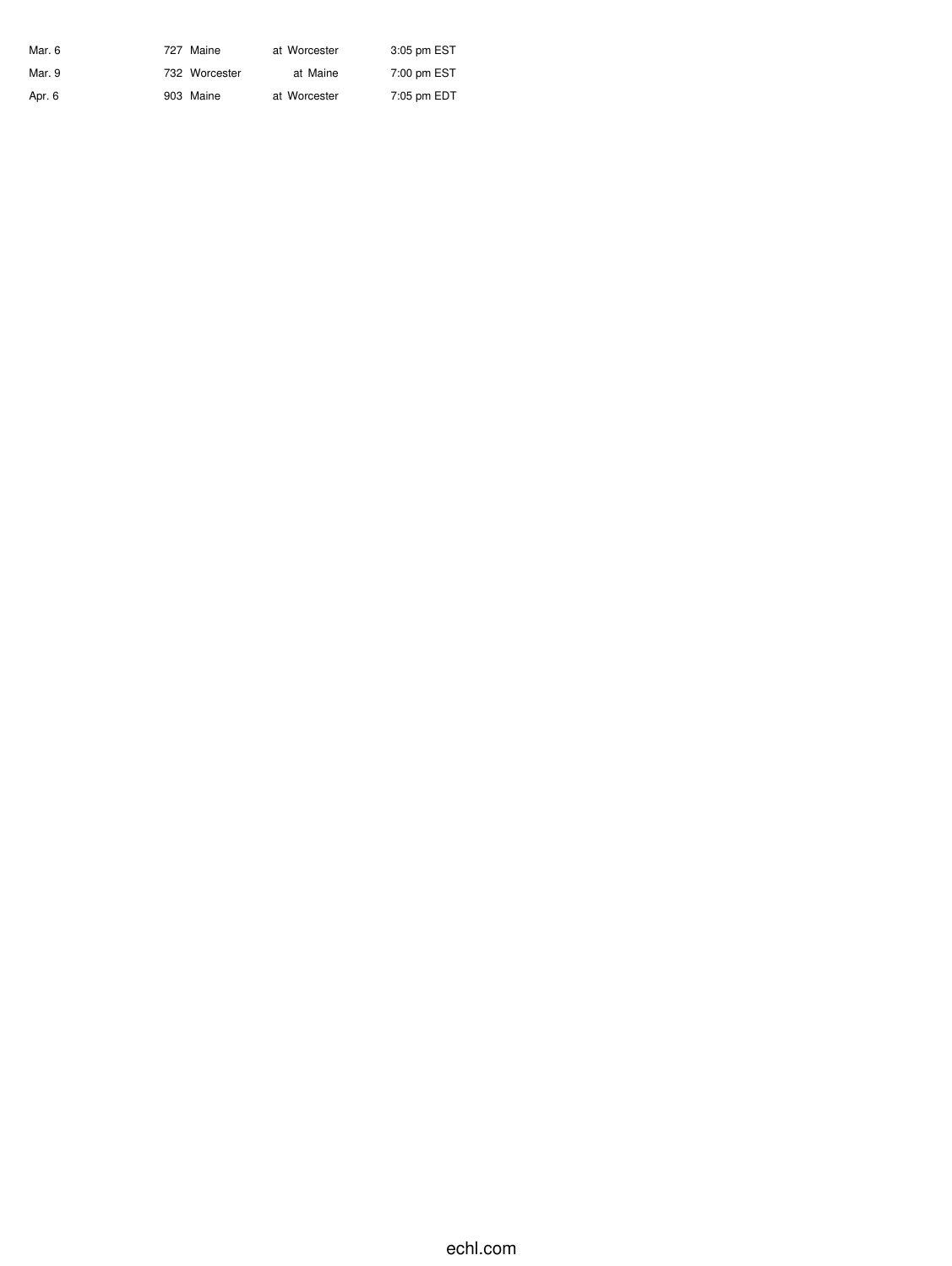| Mar. 6 | 727 Maine     | at Worcester | 3:05 pm EST |
|--------|---------------|--------------|-------------|
| Mar. 9 | 732 Worcester | at Maine     | 7:00 pm EST |
| Apr. 6 | 903 Maine     | at Worcester | 7:05 pm EDT |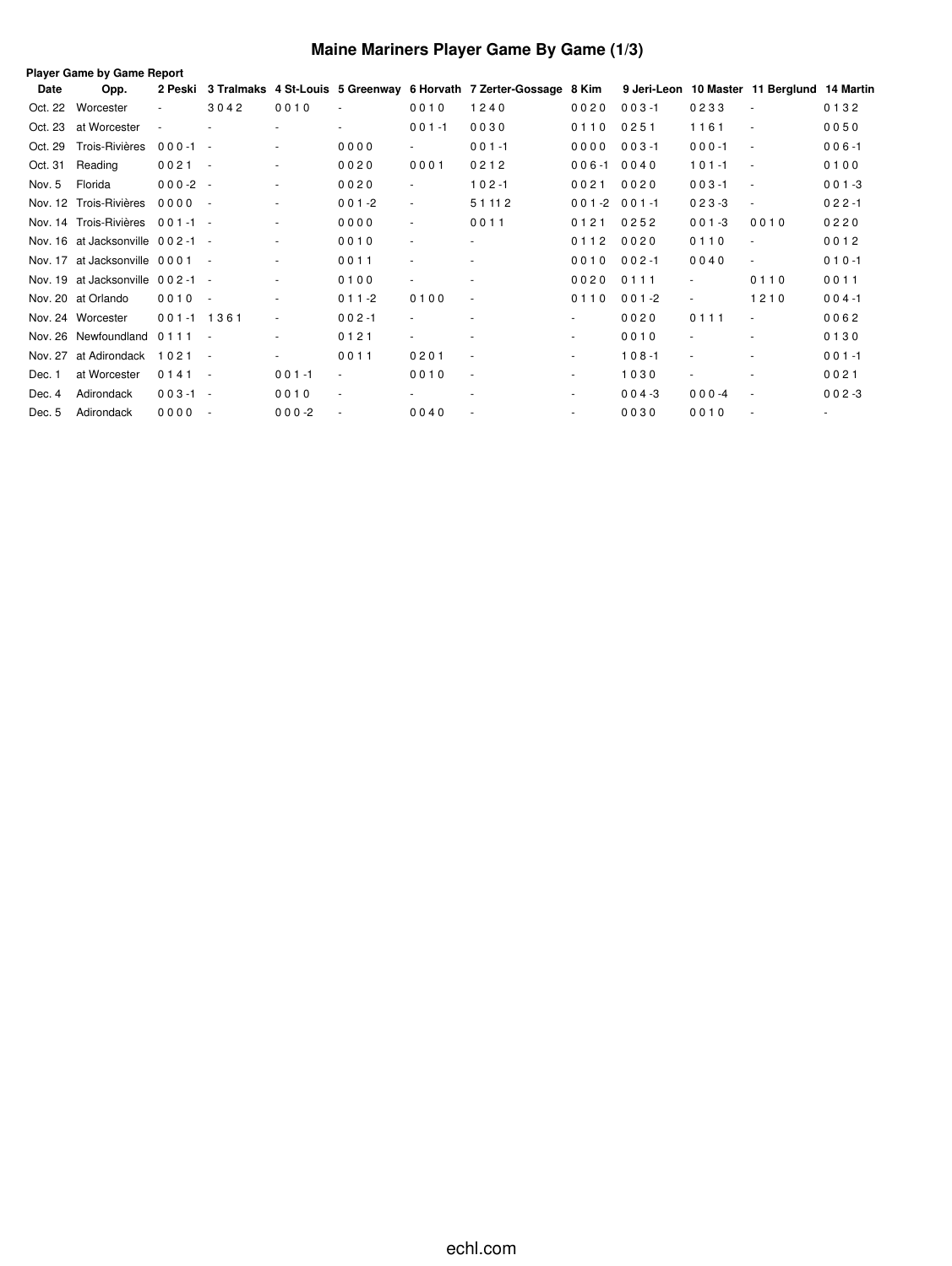## **Maine Mariners Player Game By Game (1/3)**

|         | <b>Player Game by Game Report</b> |             |        |                |           |                          |                                                                   |                          |           |                |                                             |           |  |
|---------|-----------------------------------|-------------|--------|----------------|-----------|--------------------------|-------------------------------------------------------------------|--------------------------|-----------|----------------|---------------------------------------------|-----------|--|
| Date    | Opp.                              | 2 Peski     |        |                |           |                          | 3 Tralmaks 4 St-Louis 5 Greenway 6 Horvath 7 Zerter-Gossage 8 Kim |                          |           |                | 9 Jeri-Leon 10 Master 11 Berglund 14 Martin |           |  |
| Oct. 22 | Worcester                         |             | 3042   | 0010           |           | 0010                     | 1240                                                              | 0020                     | $003 - 1$ | 0233           | $\sim$                                      | 0132      |  |
| Oct. 23 | at Worcester                      |             |        |                |           | $001 - 1$                | 0030                                                              | 0110                     | 0251      | 1161           | $\overline{\phantom{a}}$                    | 0050      |  |
| Oct. 29 | Trois-Rivières                    | $000 - 1 -$ |        |                | 0000      | $\sim$                   | $001 - 1$                                                         | 0000                     | $003 - 1$ | $000 - 1$      | $\blacksquare$                              | $006 - 1$ |  |
| Oct. 31 | Reading                           | $0021 -$    |        |                | 0020      | 0001                     | 0212                                                              | $006 - 1$                | 0040      | $101 - 1$      | $\sim$                                      | 0100      |  |
| Nov. 5  | Florida                           | $000-2 -$   |        | $\blacksquare$ | 0020      | $\blacksquare$           | $102 - 1$                                                         | 0021                     | 0020      | $003 - 1$      | $\sim$                                      | $001 - 3$ |  |
|         | Nov. 12 Trois-Rivières            | $0000 -$    |        | $\sim$         | $001 - 2$ | $\blacksquare$           | 5 1 1 1 2                                                         | $001 - 2001 - 1$         |           | $023-3$        | $\blacksquare$                              | $022 - 1$ |  |
|         | Nov. 14 Trois-Rivières            | $001 - 1 -$ |        | $\sim$         | 0000      | $\overline{\phantom{a}}$ | 0011                                                              | 0121                     | 0252      | $001 - 3$      | 0010                                        | 0220      |  |
|         | Nov. 16 at Jacksonville 002-1 -   |             |        | $\sim$         | 0010      | $\overline{\phantom{a}}$ |                                                                   | 0112                     | 0020      | 0110           | $\blacksquare$                              | 0012      |  |
|         | Nov. 17 at Jacksonville 0001 -    |             |        | $\sim$         | 0011      | $\overline{\phantom{a}}$ |                                                                   | 0010                     | $002 - 1$ | 0040           | $\overline{\phantom{a}}$                    | $010 - 1$ |  |
|         | Nov. 19 at Jacksonville 002-1 -   |             |        | $\blacksquare$ | 0100      | $\overline{\phantom{a}}$ |                                                                   | 0020                     | 0111      |                | 0110                                        | 0011      |  |
|         | Nov. 20 at Orlando                | $0010 -$    |        | $\sim$         | $011 - 2$ | 0100                     | $\overline{\phantom{a}}$                                          | 0110                     | $001 - 2$ | $\blacksquare$ | 1210                                        | $004 - 1$ |  |
|         | Nov. 24 Worcester                 | 001-1 1361  |        | $\blacksquare$ | $002 - 1$ | $\sim$                   |                                                                   | $\sim$                   | 0020      | 0111           | $\overline{\phantom{a}}$                    | 0062      |  |
|         | Nov. 26 Newfoundland              | $0111 -$    |        | $\sim$         | 0121      | $\sim$                   |                                                                   | $\overline{\phantom{a}}$ | 0010      |                | ٠                                           | 0130      |  |
| Nov. 27 | at Adirondack                     | $1021 -$    |        | $\sim$         | 0011      | 0201                     |                                                                   | $\overline{\phantom{a}}$ | $108 - 1$ | $\sim$         | ٠                                           | $001 - 1$ |  |
| Dec. 1  | at Worcester                      | $0141 -$    |        | $001 - 1$      |           | 0010                     | $\overline{\phantom{a}}$                                          | $\overline{\phantom{a}}$ | 1030      | $\blacksquare$ |                                             | 0021      |  |
| Dec. 4  | Adirondack                        | $003 - 1 -$ |        | 0010           | $\sim$    | . .                      | $\overline{a}$                                                    | $\sim$                   | $004 - 3$ | $000 - 4$      | $\sim$                                      | $002 - 3$ |  |
| Dec. 5  | Adirondack                        | 0000        | $\sim$ | $000-2$        |           | 0040                     |                                                                   | $\sim$                   | 0030      | 0010           |                                             | $\sim$    |  |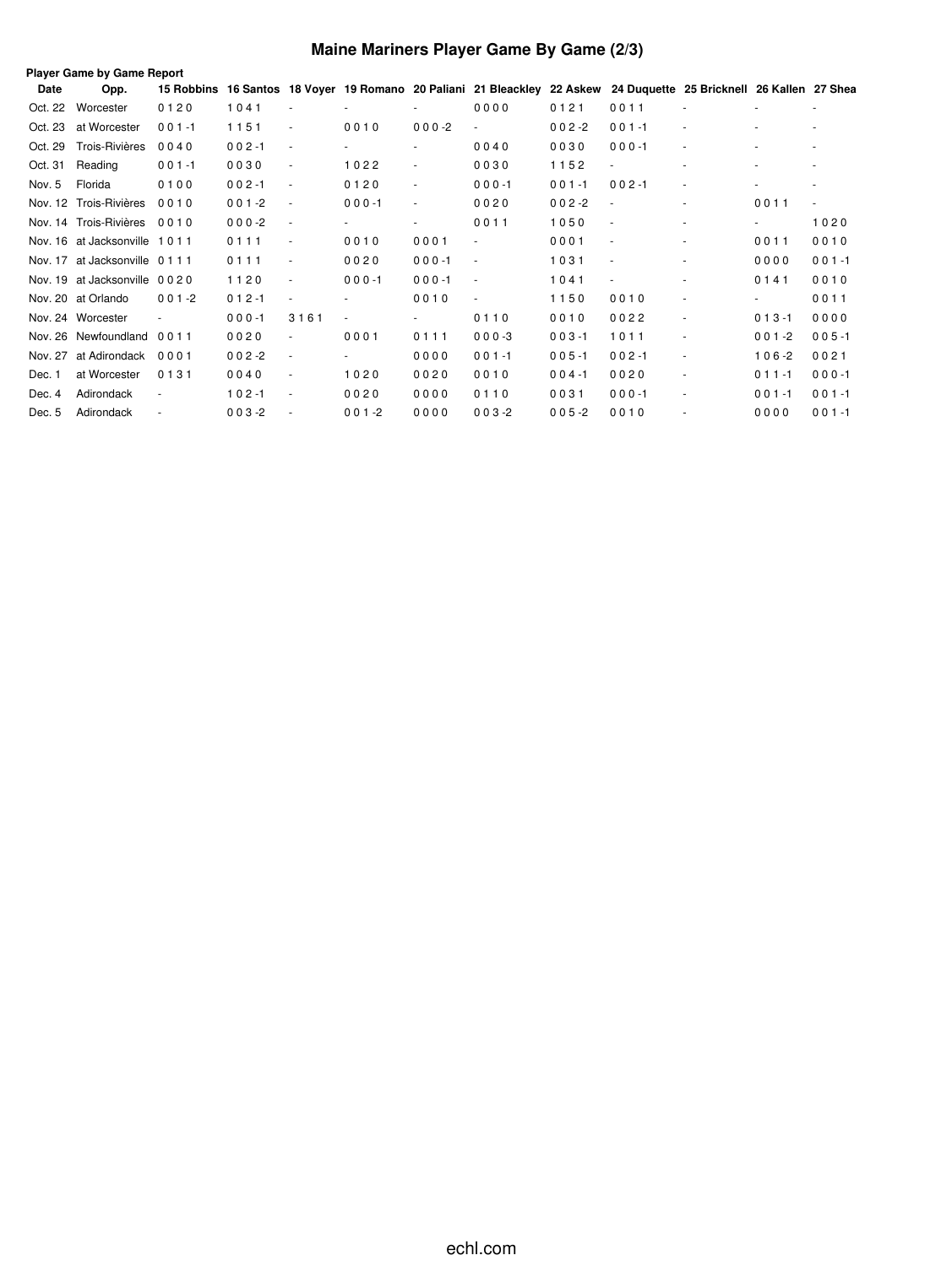## **Maine Mariners Player Game By Game (2/3)**

|         | Player Game by Game Report<br>16 Santos 18 Voyer 19 Romano 20 Paliani 21 Bleackley 22 Askew 24 Duquette 25 Bricknell 26 Kallen 27 Shea |            |           |                          |                |                          |                          |           |           |                          |                          |           |  |  |
|---------|----------------------------------------------------------------------------------------------------------------------------------------|------------|-----------|--------------------------|----------------|--------------------------|--------------------------|-----------|-----------|--------------------------|--------------------------|-----------|--|--|
| Date    | Opp.                                                                                                                                   | 15 Robbins |           |                          |                |                          |                          |           |           |                          |                          |           |  |  |
| Oct. 22 | Worcester                                                                                                                              | 0120       | 1041      | $\sim$                   |                |                          | 0000                     | 0121      | 0011      |                          |                          | ٠         |  |  |
| Oct. 23 | at Worcester                                                                                                                           | $001 - 1$  | 1151      | $\sim$                   | 0010           | $000 - 2$                | $\overline{\phantom{a}}$ | $002 - 2$ | $001 - 1$ | ٠                        |                          |           |  |  |
| Oct. 29 | Trois-Rivières                                                                                                                         | 0040       | $002 - 1$ | $\sim$                   | $\overline{a}$ | $\overline{\phantom{0}}$ | 0040                     | 0030      | $000 - 1$ | $\overline{\phantom{a}}$ |                          |           |  |  |
| Oct. 31 | Reading                                                                                                                                | $001 - 1$  | 0030      | $\sim$                   | 1022           | ٠                        | 0030                     | 1152      | ٠         |                          |                          |           |  |  |
| Nov. 5  | Florida                                                                                                                                | 0100       | $002 - 1$ | $\overline{\phantom{a}}$ | 0120           | $\sim$                   | $000 - 1$                | $001 - 1$ | $002 - 1$ | ٠                        |                          |           |  |  |
| Nov. 12 | Trois-Rivières                                                                                                                         | 0010       | $001 - 2$ | $\sim$                   | $000 - 1$      | $\sim$                   | 0020                     | $002 - 2$ | $\sim$    | ٠                        | 0011                     |           |  |  |
|         | Nov. 14 Trois-Rivières                                                                                                                 | 0010       | $000 -2$  | $\sim$                   |                | $\overline{\phantom{0}}$ | 0011                     | 1050      | $\sim$    | ٠                        | $\overline{\phantom{a}}$ | 1020      |  |  |
|         | Nov. 16 at Jacksonville                                                                                                                | 1011       | 0111      |                          | 0010           | 0001                     | $\overline{\phantom{a}}$ | 0001      | $\sim$    |                          | 0011                     | 0010      |  |  |
| Nov. 17 | at Jacksonville 0111                                                                                                                   |            | 0111      | ٠                        | 0020           | $000 - 1$                | $\overline{\phantom{a}}$ | 1031      | $\sim$    |                          | 0000                     | $001 - 1$ |  |  |
| Nov. 19 | at Jacksonville 0020                                                                                                                   |            | 1120      | ٠                        | $000 - 1$      | $000 - 1$                | $\overline{\phantom{a}}$ | 1041      | $\sim$    |                          | 0141                     | 0010      |  |  |
|         | Nov. 20 at Orlando                                                                                                                     | $001 - 2$  | $012 - 1$ | $\sim$                   |                | 0010                     | $\overline{\phantom{a}}$ | 1150      | 0010      | ٠                        | ۰.                       | 0011      |  |  |
|         | Nov. 24 Worcester                                                                                                                      |            | $000 - 1$ | 3161                     |                |                          | 0110                     | 0010      | 0022      |                          | $013 - 1$                | 0000      |  |  |
| Nov. 26 | Newfoundland                                                                                                                           | 0011       | 0020      |                          | 0001           | 0111                     | $000-3$                  | $003 - 1$ | 1011      |                          | $001 - 2$                | $005 - 1$ |  |  |
| Nov. 27 | at Adirondack                                                                                                                          | 0001       | $002 - 2$ | $\overline{\phantom{a}}$ |                | 0000                     | $001 - 1$                | $005 - 1$ | $002 - 1$ |                          | $106 - 2$                | 0021      |  |  |
| Dec. 1  | at Worcester                                                                                                                           | 0131       | 0040      | $\overline{\phantom{a}}$ | 1020           | 0020                     | 0010                     | $004 - 1$ | 0020      | ٠                        | $011 - 1$                | $000 - 1$ |  |  |
| Dec. 4  | Adirondack                                                                                                                             |            | $102 - 1$ |                          | 0020           | 0000                     | 0110                     | 0031      | $000 - 1$ |                          | $001 - 1$                | $001 - 1$ |  |  |
| Dec. 5  | Adirondack                                                                                                                             |            | $003 - 2$ |                          | $001 - 2$      | 0000                     | $003 - 2$                | $005 - 2$ | 0010      |                          | 0000                     | $001 - 1$ |  |  |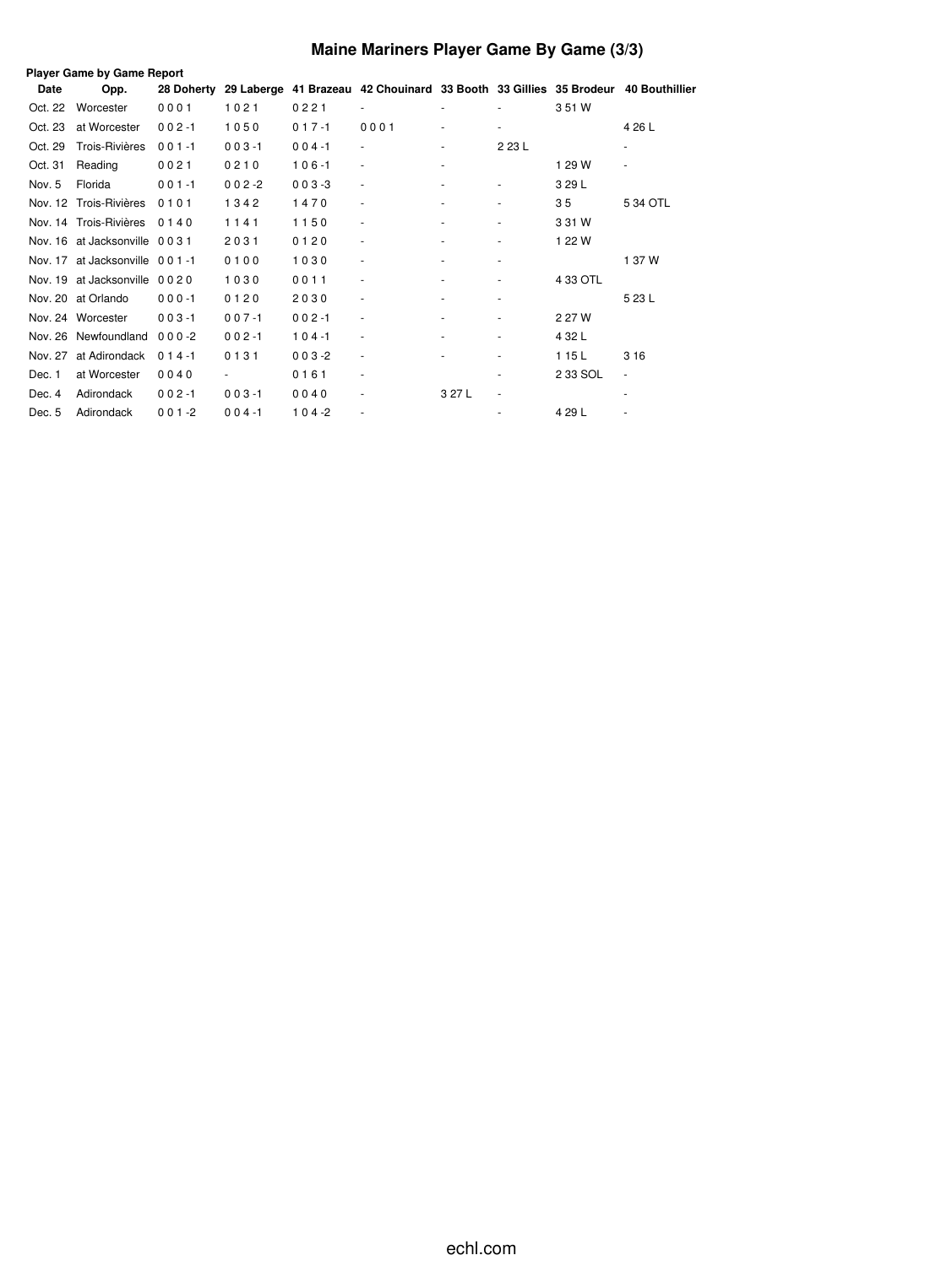## **Maine Mariners Player Game By Game (3/3)**

|         | <b>Player Game by Game Report</b> |           |           |           |                                                                              |        |                          |          |                          |  |  |  |  |  |
|---------|-----------------------------------|-----------|-----------|-----------|------------------------------------------------------------------------------|--------|--------------------------|----------|--------------------------|--|--|--|--|--|
| Date    | Opp.                              |           |           |           | 28 Doherty 29 Laberge 41 Brazeau 42 Chouinard 33 Booth 33 Gillies 35 Brodeur |        |                          |          | 40 Bouthillier           |  |  |  |  |  |
| Oct. 22 | Worcester                         | 0001      | 1021      | 0221      |                                                                              |        |                          | 3 51 W   |                          |  |  |  |  |  |
| Oct. 23 | at Worcester                      | $002 - 1$ | 1050      | $017 - 1$ | 0001                                                                         |        |                          |          | 4 26 L                   |  |  |  |  |  |
| Oct. 29 | Trois-Rivières                    | $001 - 1$ | $003 - 1$ | $004 - 1$ | $\overline{\phantom{a}}$                                                     |        | 2 23 L                   |          |                          |  |  |  |  |  |
| Oct. 31 | Reading                           | 0021      | 0210      | $106 - 1$ | $\sim$                                                                       |        |                          | 1 29 W   | ٠                        |  |  |  |  |  |
| Nov. 5  | Florida                           | $001 - 1$ | $002 - 2$ | $003 - 3$ | $\overline{\phantom{a}}$                                                     |        |                          | 3 29 L   |                          |  |  |  |  |  |
|         | Nov. 12 Trois-Rivières            | 0101      | 1342      | 1470      | $\overline{\phantom{a}}$                                                     |        |                          | 35       | 5 34 OTL                 |  |  |  |  |  |
|         | Nov. 14 Trois-Rivières            | 0140      | 1141      | 1150      | $\overline{\phantom{a}}$                                                     |        |                          | 3 31 W   |                          |  |  |  |  |  |
|         | Nov. 16 at Jacksonville 0031      |           | 2031      | 0120      | $\overline{\phantom{a}}$                                                     |        |                          | 1 22 W   |                          |  |  |  |  |  |
|         | Nov. 17 at Jacksonville 001-1     |           | 0100      | 1030      | $\overline{\phantom{a}}$                                                     |        | ٠                        |          | 1 37 W                   |  |  |  |  |  |
|         | Nov. 19 at Jacksonville 0020      |           | 1030      | 0011      | $\overline{\phantom{a}}$                                                     |        |                          | 4 33 OTL |                          |  |  |  |  |  |
|         | Nov. 20 at Orlando                | $000 - 1$ | 0120      | 2030      | $\overline{\phantom{a}}$                                                     |        |                          |          | 5 23 L                   |  |  |  |  |  |
|         | Nov. 24 Worcester                 | $003 - 1$ | $007 - 1$ | $002 - 1$ | $\overline{\phantom{a}}$                                                     |        |                          | 2 27 W   |                          |  |  |  |  |  |
|         | Nov. 26 Newfoundland              | $000-2$   | $002 - 1$ | $104 - 1$ | $\overline{\phantom{a}}$                                                     |        |                          | 4 32 L   |                          |  |  |  |  |  |
| Nov. 27 | at Adirondack                     | $014 - 1$ | 0131      | $003 - 2$ | $\overline{\phantom{a}}$                                                     |        |                          | 115L     | 3 1 6                    |  |  |  |  |  |
| Dec. 1  | at Worcester                      | 0040      |           | 0161      | $\overline{\phantom{a}}$                                                     |        | ٠                        | 2 33 SOL | $\overline{\phantom{a}}$ |  |  |  |  |  |
| Dec. 4  | Adirondack                        | $002 - 1$ | $003 - 1$ | 0040      | $\overline{\phantom{a}}$                                                     | 3 27 L | $\overline{\phantom{a}}$ |          | ٠                        |  |  |  |  |  |
| Dec. 5  | Adirondack                        | $001 - 2$ | $004 - 1$ | $104 - 2$ | ٠                                                                            |        |                          | 4 29 L   |                          |  |  |  |  |  |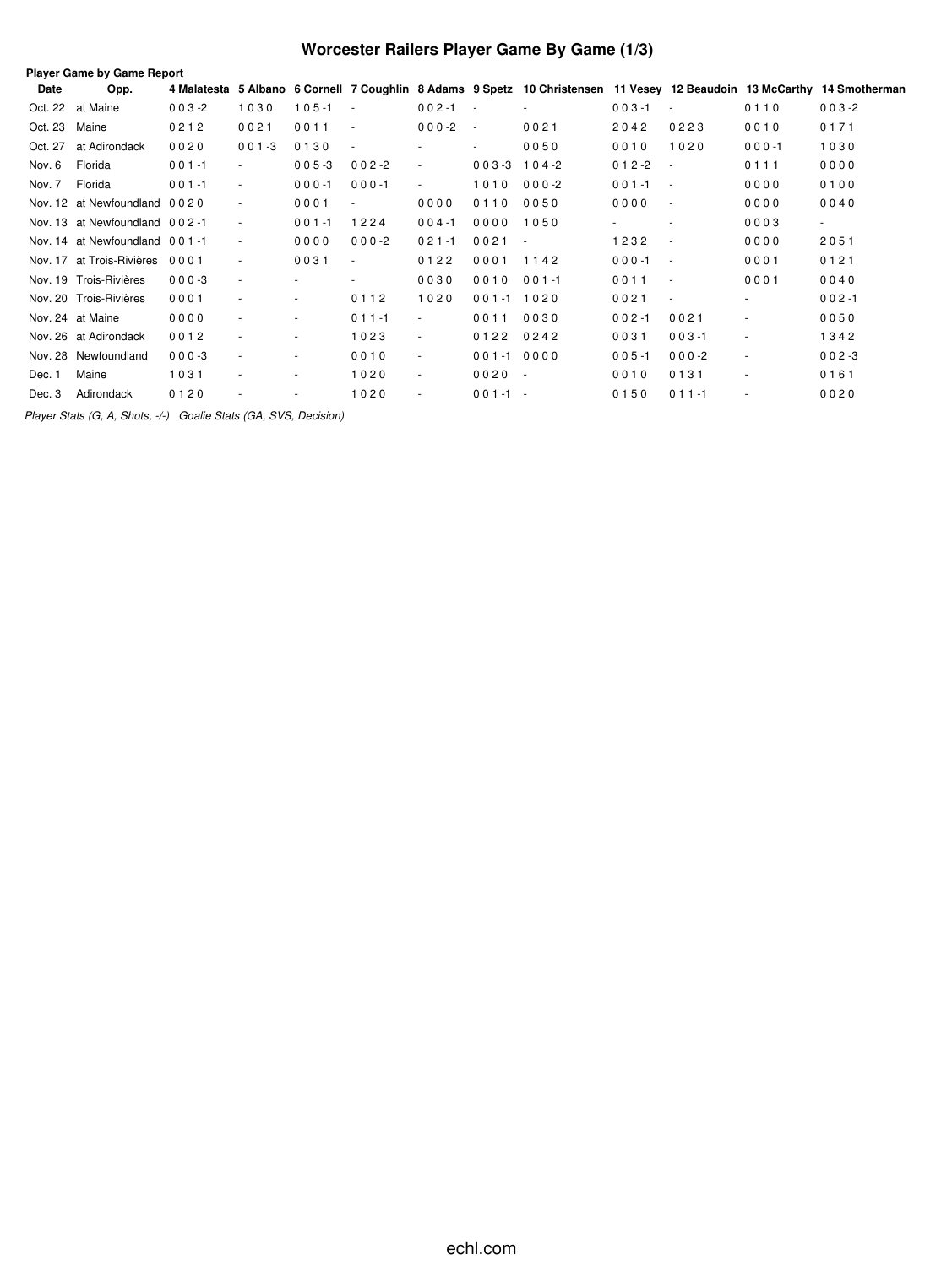## **Worcester Railers Player Game By Game (1/3)**

| Date          | Opp.                          |           |                          |           |                          |                |                          | 4 Malatesta 5 Albano 6 Cornell 7 Coughlin 8 Adams 9 Spetz 10 Christensen 11 Vesey 12 Beaudoin 13 McCarthy 14 Smotherman |                         |                          |           |                          |
|---------------|-------------------------------|-----------|--------------------------|-----------|--------------------------|----------------|--------------------------|-------------------------------------------------------------------------------------------------------------------------|-------------------------|--------------------------|-----------|--------------------------|
|               | Oct. 22 at Maine              | $003 - 2$ | 1030                     | $105 - 1$ | $\sim$                   | $002 - 1$      | $\sim$                   |                                                                                                                         | $003 - 1$               | $\overline{\phantom{a}}$ | 0110      | $003 - 2$                |
| Oct. 23 Maine |                               | 0212      | 0021                     | 0011      | $\sim$                   | $000-2$        | $\overline{\phantom{a}}$ | 0021                                                                                                                    | 2042                    | 0223                     | 0010      | 0171                     |
| Oct. 27       | at Adirondack                 | 0020      | $001 - 3$                | 0130      | $\sim$                   |                | $\overline{\phantom{a}}$ | 0050                                                                                                                    | 0010                    | 1020                     | $000 - 1$ | 1030                     |
| Nov. 6        | Florida                       | $001 - 1$ | $\sim$                   | $005 - 3$ | $002 - 2$                | $\blacksquare$ | $003-3$ 104-2            |                                                                                                                         | $012 - 2$<br>$\sim$ $-$ |                          | 0111      | 0000                     |
| Nov. 7        | Florida                       | $001 - 1$ | $\overline{\phantom{a}}$ | $000 - 1$ | $000 - 1$                | $\blacksquare$ | 1010 000-2               |                                                                                                                         | $001 - 1$<br>$\sim$ $-$ |                          | 0000      | 0100                     |
|               | Nov. 12 at Newfoundland 0020  |           | $\sim$                   | 0001      | $\overline{\phantom{a}}$ | 0000           | 0110                     | 0050                                                                                                                    | 0000                    | $\sim$                   | 0000      | 0040                     |
|               | Nov. 13 at Newfoundland 002-1 |           | ٠                        | $001 - 1$ | 1224                     | $004 - 1$      | 0000                     | 1050                                                                                                                    |                         | $\sim$                   | 0003      | $\overline{\phantom{a}}$ |
|               | Nov. 14 at Newfoundland 001-1 |           | $\overline{\phantom{a}}$ | 0000      | $000-2$                  | $021 - 1$      | 0021                     | $\sim$                                                                                                                  | 1232                    | $\sim$                   | 0000      | 2051                     |
|               | Nov. 17 at Trois-Rivières     | 0001      |                          | 0031      | $\overline{\phantom{a}}$ | 0122           | 0001                     | 1142                                                                                                                    | $000 - 1$               | $\sim$                   | 0001      | 0121                     |
|               | Nov. 19 Trois-Rivières        | $000 - 3$ | $\overline{\phantom{a}}$ |           |                          | 0030           | 0010                     | $001 - 1$                                                                                                               | 0011                    | $\sim$                   | 0001      | 0040                     |
|               | Nov. 20 Trois-Rivières        | 0001      |                          | $\sim$    | 0112                     | 1020           | $001 - 1$ 1020           |                                                                                                                         | 0021                    | $\sim$                   | $\sim$    | $002 - 1$                |
|               | Nov. 24 at Maine              | 0000      |                          | $\sim$    | $011 - 1$                | $\blacksquare$ | 0011                     | 0030                                                                                                                    | $002 - 1$               | 0021                     | $\sim$    | 0050                     |
|               | Nov. 26 at Adirondack         | 0012      |                          |           | 1023                     | $\blacksquare$ | 0122                     | 0242                                                                                                                    | 0031                    | $003 - 1$                |           | 1342                     |
|               | Nov. 28 Newfoundland          | $000 - 3$ | ٠                        | ٠         | 0010                     | $\sim$         | $001 - 10000$            |                                                                                                                         | $005 - 1$               | $000-2$                  | $\sim$    | $002 - 3$                |
| Dec. 1        | Maine                         | 1031      |                          | ٠         | 1020                     | $\sim$         | $0020 -$                 |                                                                                                                         | 0010                    | 0131                     | $\sim$    | 0161                     |
| Dec. 3        | Adirondack                    | 0120      |                          |           | 1020                     | $\blacksquare$ | $001 - 1 -$              |                                                                                                                         | 0150                    | $011 - 1$                |           | 0020                     |

*Player Stats (G, A, Shots, -/-) Goalie Stats (GA, SVS, Decision)*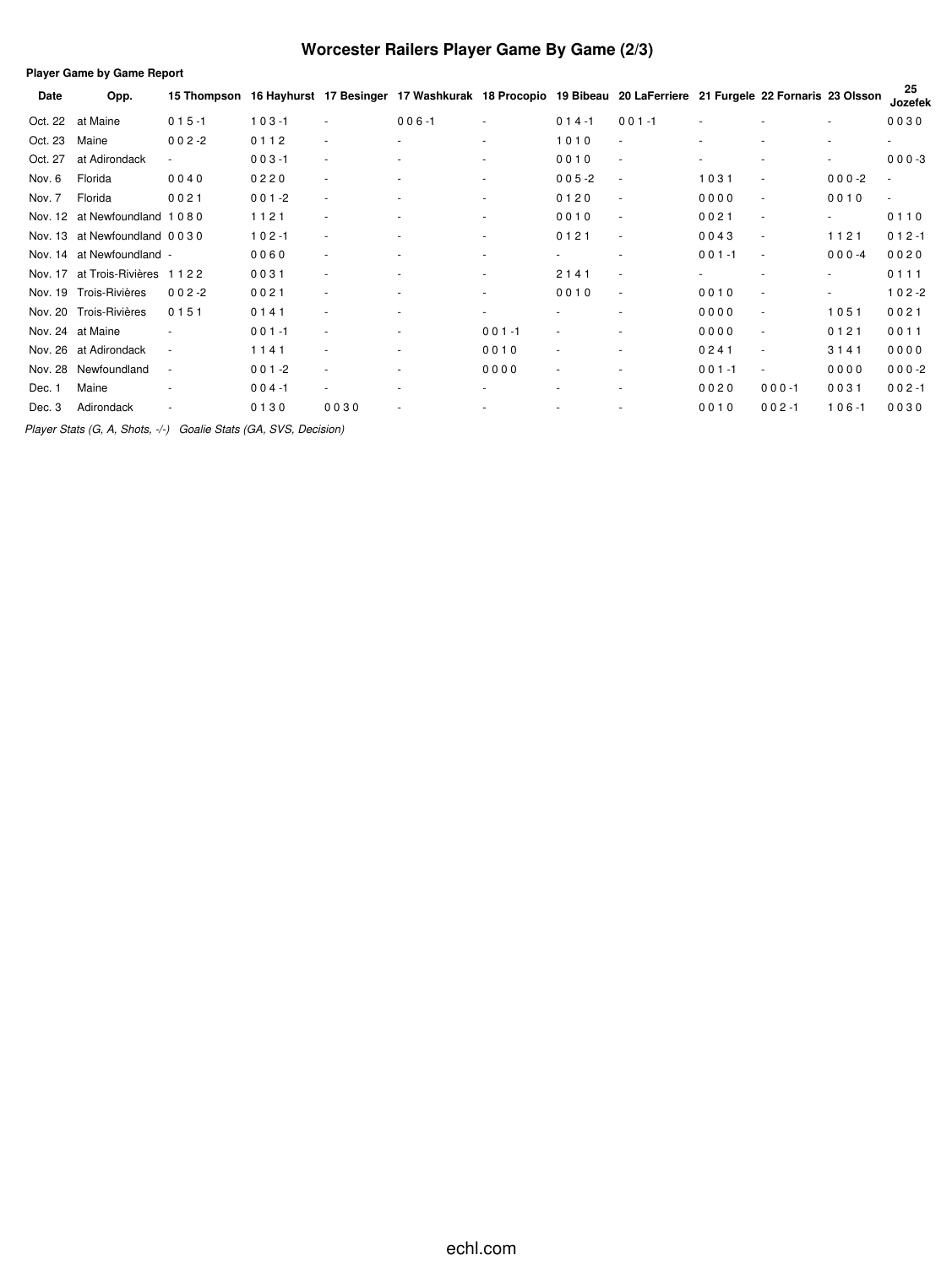## **Worcester Railers Player Game By Game (2/3)**

|         | <b>Player Game by Game Report</b> |                          |           |      |                                                                                                           |                          |                          |           |           |           |                          |               |  |
|---------|-----------------------------------|--------------------------|-----------|------|-----------------------------------------------------------------------------------------------------------|--------------------------|--------------------------|-----------|-----------|-----------|--------------------------|---------------|--|
| Date    | Opp.                              | 15 Thompson              |           |      | 16 Hayhurst 17 Besinger 17 Washkurak 18 Procopio 19 Bibeau 20 LaFerriere 21 Furgele 22 Fornaris 23 Olsson |                          |                          |           |           |           |                          | 25<br>Jozefek |  |
| Oct. 22 | at Maine                          | $015 - 1$                | $103 - 1$ |      | $006 - 1$                                                                                                 | ٠                        | $014 - 1$                | $001 - 1$ |           |           | $\sim$                   | 0030          |  |
| Oct. 23 | Maine                             | $002 - 2$                | 0112      |      | ٠                                                                                                         | ٠                        | 1010                     | ٠         |           |           | ٠                        | ٠             |  |
| Oct. 27 | at Adirondack                     | $\overline{\phantom{a}}$ | $003 - 1$ |      |                                                                                                           | ٠                        | 0010                     | $\sim$    |           |           | ٠                        | $000-3$       |  |
| Nov. 6  | Florida                           | 0040                     | 0220      |      |                                                                                                           | ٠                        | $005 - 2$                | ٠         | 1031      |           | $000 - 2$                | $\sim$        |  |
| Nov. 7  | Florida                           | 0021                     | $001 - 2$ |      |                                                                                                           | ٠                        | 0120                     | ٠         | 0000      | ٠         | 0010                     | $\sim$        |  |
| Nov. 12 | at Newfoundland 1080              |                          | 1121      |      | ٠                                                                                                         | ٠                        | 0010                     | ٠         | 0021      | ٠         | $\overline{\phantom{a}}$ | 0110          |  |
| Nov. 13 | at Newfoundland 0030              |                          | $102 - 1$ |      |                                                                                                           | ٠                        | 0121                     | ٠         | 0043      | ٠         | 1121                     | $012 - 1$     |  |
| Nov. 14 | at Newfoundland -                 |                          | 0060      |      |                                                                                                           | ٠                        | $\sim$                   | ٠         | $001 - 1$ | $\sim$    | $000 - 4$                | 0020          |  |
| Nov. 17 | at Trois-Rivières                 | 1122                     | 0031      |      |                                                                                                           | ٠                        | 2141                     | ÷         |           |           | ٠                        | 0111          |  |
| Nov. 19 | Trois-Rivières                    | $002 - 2$                | 0021      |      | ۰                                                                                                         | ٠                        | 0010                     | ٠         | 0010      |           | ٠                        | $102 - 2$     |  |
| Nov. 20 | Trois-Rivières                    | 0151                     | 0141      |      | ۰                                                                                                         | $\overline{\phantom{0}}$ |                          | ٠         | 0000      | ٠         | 1051                     | 0021          |  |
| Nov. 24 | at Maine                          |                          | $001 - 1$ |      | ×.                                                                                                        | $001 - 1$                |                          |           | 0000      | ٠         | 0121                     | 0011          |  |
| Nov. 26 | at Adirondack                     | $\sim$                   | 1141      |      | ۰                                                                                                         | 0010                     |                          |           | 0241      | ٠         | 3141                     | 0000          |  |
| Nov. 28 | Newfoundland                      | ٠                        | $001 - 2$ |      |                                                                                                           | 0000                     | $\overline{\phantom{a}}$ | ٠         | $001 - 1$ | ٠         | 0000                     | $000 -2$      |  |
| Dec. 1  | Maine                             |                          | $004 - 1$ |      |                                                                                                           |                          |                          |           | 0020      | $000 - 1$ | 0031                     | $002 - 1$     |  |
| Dec. 3  | Adirondack                        |                          | 0130      | 0030 |                                                                                                           |                          |                          |           | 0010      | $002 - 1$ | $106 - 1$                | 0030          |  |

*Player Stats (G, A, Shots, -/-) Goalie Stats (GA, SVS, Decision)*